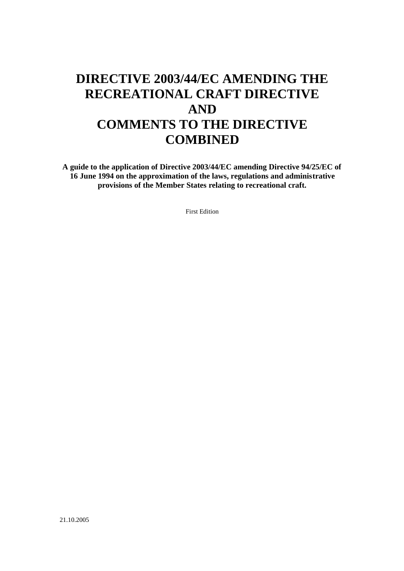# **DIRECTIVE 2003/44/EC AMENDING THE RECREATIONAL CRAFT DIRECTIVE AND COMMENTS TO THE DIRECTIVE COMBINED**

**A guide to the application of Directive 2003/44/EC amending Directive 94/25/EC of 16 June 1994 on the approximation of the laws, regulations and administrative provisions of the Member States relating to recreational craft.** 

First Edition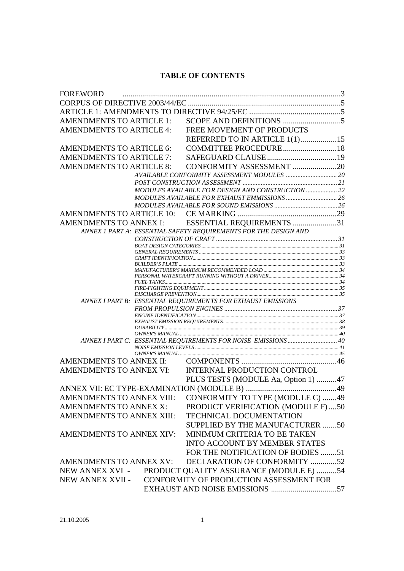# **TABLE OF CONTENTS**

| <b>FOREWORD</b>                 |                                                                  |  |
|---------------------------------|------------------------------------------------------------------|--|
|                                 |                                                                  |  |
|                                 |                                                                  |  |
|                                 |                                                                  |  |
| <b>AMENDMENTS TO ARTICLE 4:</b> | FREE MOVEMENT OF PRODUCTS                                        |  |
|                                 | REFERRED TO IN ARTICLE 1(1) 15                                   |  |
| <b>AMENDMENTS TO ARTICLE 6:</b> | COMMITTEE PROCEDURE 18                                           |  |
| <b>AMENDMENTS TO ARTICLE 7:</b> |                                                                  |  |
| <b>AMENDMENTS TO ARTICLE 8:</b> | CONFORMITY ASSESSMENT 20                                         |  |
|                                 |                                                                  |  |
|                                 |                                                                  |  |
|                                 | MODULES AVAILABLE FOR DESIGN AND CONSTRUCTION  22                |  |
|                                 |                                                                  |  |
|                                 |                                                                  |  |
|                                 |                                                                  |  |
|                                 | AMENDMENTS TO ANNEX I: ESSENTIAL REQUIREMENTS 31                 |  |
|                                 | ANNEX 1 PART A: ESSENTIAL SAFETY REQUIREMENTS FOR THE DESIGN AND |  |
|                                 |                                                                  |  |
|                                 |                                                                  |  |
|                                 |                                                                  |  |
|                                 |                                                                  |  |
|                                 |                                                                  |  |
|                                 |                                                                  |  |
|                                 |                                                                  |  |
|                                 | ANNEX I PART B: ESSENTIAL REQUIREMENTS FOR EXHAUST EMISSIONS     |  |
|                                 |                                                                  |  |
|                                 |                                                                  |  |
|                                 |                                                                  |  |
|                                 |                                                                  |  |
|                                 |                                                                  |  |
| AMENDMENTS TO ANNEX II:         |                                                                  |  |
| <b>AMENDMENTS TO ANNEX VI:</b>  | <b>INTERNAL PRODUCTION CONTROL</b>                               |  |
|                                 | PLUS TESTS (MODULE Aa, Option 1) 47                              |  |
|                                 |                                                                  |  |
| AMENDMENTS TO ANNEX VIII:       | CONFORMITY TO TYPE (MODULE C) 49                                 |  |
| AMENDMENTS TO ANNEX X:          | PRODUCT VERIFICATION (MODULE F)50                                |  |
| AMENDMENTS TO ANNEX XIII:       | <b>TECHNICAL DOCUMENTATION</b>                                   |  |
|                                 | SUPPLIED BY THE MANUFACTURER 50                                  |  |
| AMENDMENTS TO ANNEX XIV:        |                                                                  |  |
|                                 | MINIMUM CRITERIA TO BE TAKEN                                     |  |
|                                 | <b>INTO ACCOUNT BY MEMBER STATES</b>                             |  |
|                                 | FOR THE NOTIFICATION OF BODIES 51                                |  |
| AMENDMENTS TO ANNEX XV:         | DECLARATION OF CONFORMITY 52                                     |  |
| NEW ANNEX XVI -                 | PRODUCT QUALITY ASSURANCE (MODULE E) 54                          |  |
| NEW ANNEX XVII -                | CONFORMITY OF PRODUCTION ASSESSMENT FOR                          |  |
|                                 |                                                                  |  |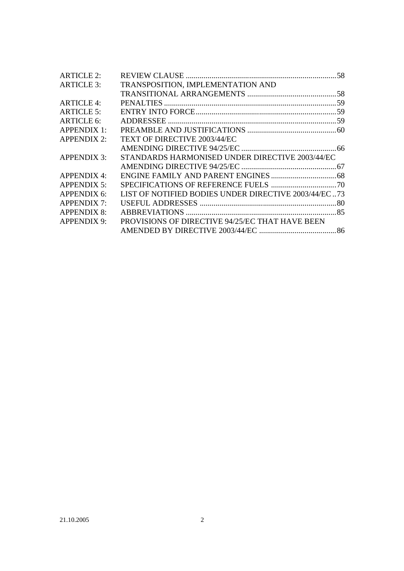| <b>ARTICLE 2:</b>  |                                                      |  |
|--------------------|------------------------------------------------------|--|
| <b>ARTICLE 3:</b>  | TRANSPOSITION, IMPLEMENTATION AND                    |  |
|                    |                                                      |  |
| ARTICLE 4:         |                                                      |  |
| <b>ARTICLE 5:</b>  |                                                      |  |
| <b>ARTICLE 6:</b>  |                                                      |  |
| APPENDIX 1:        |                                                      |  |
| <b>APPENDIX 2:</b> | <b>TEXT OF DIRECTIVE 2003/44/EC</b>                  |  |
|                    |                                                      |  |
| <b>APPENDIX 3:</b> | STANDARDS HARMONISED UNDER DIRECTIVE 2003/44/EC      |  |
|                    |                                                      |  |
| APPENDIX 4:        |                                                      |  |
| <b>APPENDIX 5:</b> |                                                      |  |
| APPENDIX 6:        | LIST OF NOTIFIED BODIES UNDER DIRECTIVE 2003/44/EC73 |  |
| <b>APPENDIX 7:</b> |                                                      |  |
| <b>APPENDIX 8:</b> |                                                      |  |
| <b>APPENDIX 9:</b> | PROVISIONS OF DIRECTIVE 94/25/EC THAT HAVE BEEN      |  |
|                    |                                                      |  |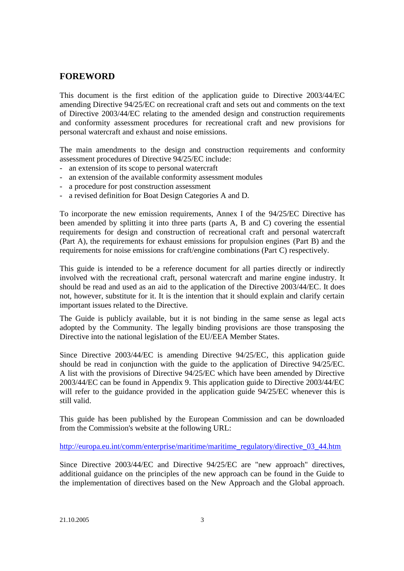# **FOREWORD**

This document is the first edition of the application guide to Directive 2003/44/EC amending Directive 94/25/EC on recreational craft and sets out and comments on the text of Directive 2003/44/EC relating to the amended design and construction requirements and conformity assessment procedures for recreational craft and new provisions for personal watercraft and exhaust and noise emissions.

The main amendments to the design and construction requirements and conformity assessment procedures of Directive 94/25/EC include:

- an extension of its scope to personal watercraft
- an extension of the available conformity assessment modules
- a procedure for post construction assessment
- a revised definition for Boat Design Categories A and D.

To incorporate the new emission requirements, Annex I of the 94/25/EC Directive has been amended by splitting it into three parts (parts A, B and C) covering the essential requirements for design and construction of recreational craft and personal watercraft (Part A), the requirements for exhaust emissions for propulsion engines (Part B) and the requirements for noise emissions for craft/engine combinations (Part C) respectively.

This guide is intended to be a reference document for all parties directly or indirectly involved with the recreational craft, personal watercraft and marine engine industry. It should be read and used as an aid to the application of the Directive 2003/44/EC. It does not, however, substitute for it. It is the intention that it should explain and clarify certain important issues related to the Directive.

The Guide is publicly available, but it is not binding in the same sense as legal acts adopted by the Community. The legally binding provisions are those transposing the Directive into the national legislation of the EU/EEA Member States.

Since Directive 2003/44/EC is amending Directive 94/25/EC, this application guide should be read in conjunction with the guide to the application of Directive 94/25/EC. A list with the provisions of Directive 94/25/EC which have been amended by Directive 2003/44/EC can be found in Appendix 9. This application guide to Directive 2003/44/EC will refer to the guidance provided in the application guide 94/25/EC whenever this is still valid.

This guide has been published by the European Commission and can be downloaded from the Commission's website at the following URL:

http://europa.eu.int/comm/enterprise/maritime/maritime\_regulatory/directive\_03\_44.htm

Since Directive 2003/44/EC and Directive 94/25/EC are "new approach" directives, additional guidance on the principles of the new approach can be found in the Guide to the implementation of directives based on the New Approach and the Global approach.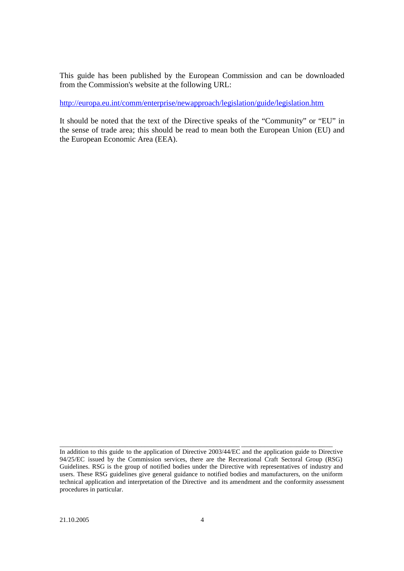This guide has been published by the European Commission and can be downloaded from the Commission's website at the following URL:

http://europa.eu.int/comm/enterprise/newapproach/legislation/guide/legislation.htm

It should be noted that the text of the Directive speaks of the "Community" or "EU" in the sense of trade area; this should be read to mean both the European Union (EU) and the European Economic Area (EEA).

\_\_\_\_\_\_\_\_\_\_\_\_\_\_\_\_\_\_\_\_\_\_\_\_\_\_\_\_\_\_\_\_\_\_\_\_\_\_\_\_\_\_\_\_\_\_\_\_\_\_\_\_\_\_\_ \_\_\_\_\_\_\_\_\_\_\_\_\_\_\_\_\_\_\_\_\_\_\_\_\_\_\_\_

In addition to this guide to the application of Directive 2003/44/EC and the application guide to Directive 94/25/EC issued by the Commission services, there are the Recreational Craft Sectoral Group (RSG) Guidelines. RSG is the group of notified bodies under the Directive with representatives of industry and users. These RSG guidelines give general guidance to notified bodies and manufacturers, on the uniform technical application and interpretation of the Directive and its amendment and the conformity assessment procedures in particular.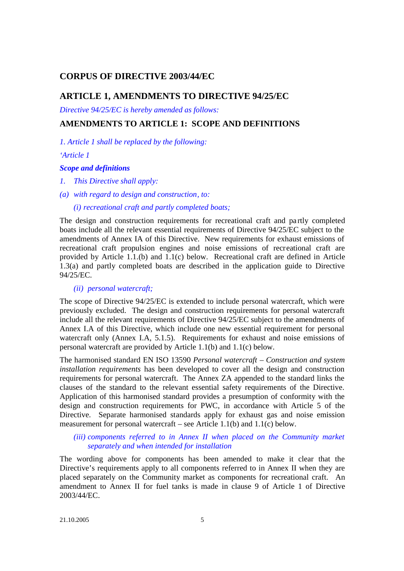# **CORPUS OF DIRECTIVE 2003/44/EC**

# **ARTICLE 1, AMENDMENTS TO DIRECTIVE 94/25/EC**

*Directive 94/25/EC is hereby amended as follows:*

# **AMENDMENTS TO ARTICLE 1: SCOPE AND DEFINITIONS**

*1. Article 1 shall be replaced by the following:*

*'Article 1*

#### *Scope and definitions*

- *1. This Directive shall apply:*
- *(a) with regard to design and construction, to:*

#### *(i) recreational craft and partly completed boats;*

The design and construction requirements for recreational craft and partly completed boats include all the relevant essential requirements of Directive 94/25/EC subject to the amendments of Annex IA of this Directive. New requirements for exhaust emissions of recreational craft propulsion engines and noise emissions of recreational craft are provided by Article 1.1.(b) and 1.1(c) below. Recreational craft are defined in Article 1.3(a) and partly completed boats are described in the application guide to Directive 94/25/EC.

# *(ii) personal watercraft;*

The scope of Directive 94/25/EC is extended to include personal watercraft, which were previously excluded. The design and construction requirements for personal watercraft include all the relevant requirements of Directive 94/25/EC subject to the amendments of Annex I.A of this Directive, which include one new essential requirement for personal watercraft only (Annex I.A, 5.1.5). Requirements for exhaust and noise emissions of personal watercraft are provided by Article 1.1(b) and 1.1(c) below.

The harmonised standard EN ISO 13590 *Personal watercraft – Construction and system installation requirements* has been developed to cover all the design and construction requirements for personal watercraft. The Annex ZA appended to the standard links the clauses of the standard to the relevant essential safety requirements of the Directive. Application of this harmonised standard provides a presumption of conformity with the design and construction requirements for PWC, in accordance with Article 5 of the Directive. Separate harmonised standards apply for exhaust gas and noise emission measurement for personal watercraft – see Article 1.1(b) and 1.1(c) below.

#### *(iii) components referred to in Annex II when placed on the Community market separately and when intended for installation*

The wording above for components has been amended to make it clear that the Directive's requirements apply to all components referred to in Annex II when they are placed separately on the Community market as components for recreational craft. An amendment to Annex II for fuel tanks is made in clause 9 of Article 1 of Directive 2003/44/EC.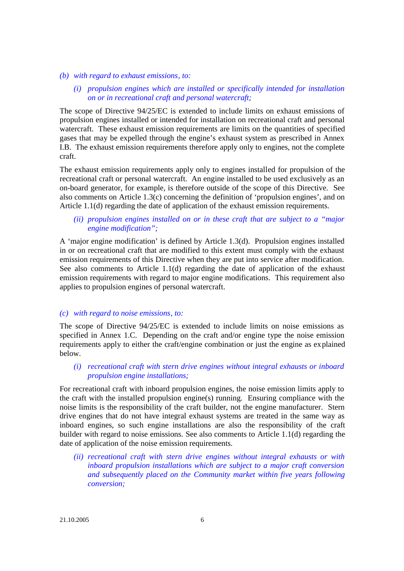#### *(b) with regard to exhaust emissions, to:*

*(i) propulsion engines which are installed or specifically intended for installation on or in recreational craft and personal watercraft;*

The scope of Directive 94/25/EC is extended to include limits on exhaust emissions of propulsion engines installed or intended for installation on recreational craft and personal watercraft. These exhaust emission requirements are limits on the quantities of specified gases that may be expelled through the engine's exhaust system as prescribed in Annex I.B. The exhaust emission requirements therefore apply only to engines, not the complete craft.

The exhaust emission requirements apply only to engines installed for propulsion of the recreational craft or personal watercraft. An engine installed to be used exclusively as an on-board generator, for example, is therefore outside of the scope of this Directive. See also comments on Article 1.3(c) concerning the definition of 'propulsion engines', and on Article 1.1(d) regarding the date of application of the exhaust emission requirements.

## *(ii) propulsion engines installed on or in these craft that are subject to a "major engine modification";*

A 'major engine modification' is defined by Article 1.3(d). Propulsion engines installed in or on recreational craft that are modified to this extent must comply with the exhaust emission requirements of this Directive when they are put into service after modification. See also comments to Article 1.1(d) regarding the date of application of the exhaust emission requirements with regard to major engine modifications. This requirement also applies to propulsion engines of personal watercraft.

#### *(c) with regard to noise emissions, to:*

The scope of Directive 94/25/EC is extended to include limits on noise emissions as specified in Annex 1.C. Depending on the craft and/or engine type the noise emission requirements apply to either the craft/engine combination or just the engine as explained below.

*(i) recreational craft with stern drive engines without integral exhausts or inboard propulsion engine installations;*

For recreational craft with inboard propulsion engines, the noise emission limits apply to the craft with the installed propulsion engine(s) running. Ensuring compliance with the noise limits is the responsibility of the craft builder, not the engine manufacturer. Stern drive engines that do not have integral exhaust systems are treated in the same way as inboard engines, so such engine installations are also the responsibility of the craft builder with regard to noise emissions. See also comments to Article 1.1(d) regarding the date of application of the noise emission requirements.

*(ii) recreational craft with stern drive engines without integral exhausts or with inboard propulsion installations which are subject to a major craft conversion and subsequently placed on the Community market within five years following conversion;*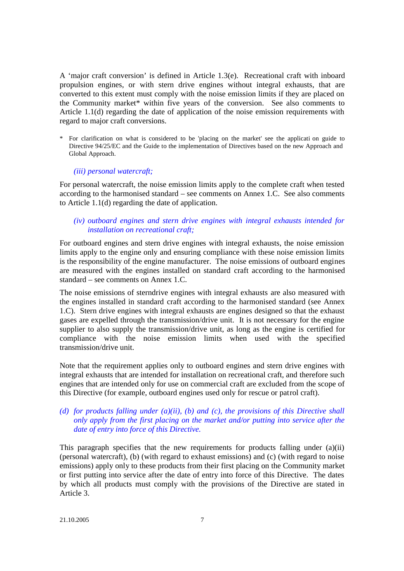A 'major craft conversion' is defined in Article 1.3(e). Recreational craft with inboard propulsion engines, or with stern drive engines without integral exhausts, that are converted to this extent must comply with the noise emission limits if they are placed on the Community market\* within five years of the conversion. See also comments to Article 1.1(d) regarding the date of application of the noise emission requirements with regard to major craft conversions.

For clarification on what is considered to be 'placing on the market' see the applicati on guide to Directive 94/25/EC and the Guide to the implementation of Directives based on the new Approach and Global Approach.

#### *(iii) personal watercraft;*

For personal watercraft, the noise emission limits apply to the complete craft when tested according to the harmonised standard – see comments on Annex 1.C. See also comments to Article 1.1(d) regarding the date of application.

# *(iv) outboard engines and stern drive engines with integral exhausts intended for installation on recreational craft;*

For outboard engines and stern drive engines with integral exhausts, the noise emission limits apply to the engine only and ensuring compliance with these noise emission limits is the responsibility of the engine manufacturer. The noise emissions of outboard engines are measured with the engines installed on standard craft according to the harmonised standard – see comments on Annex 1.C.

The noise emissions of sterndrive engines with integral exhausts are also measured with the engines installed in standard craft according to the harmonised standard (see Annex 1.C). Stern drive engines with integral exhausts are engines designed so that the exhaust gases are expelled through the transmission/drive unit. It is not necessary for the engine supplier to also supply the transmission/drive unit, as long as the engine is certified for compliance with the noise emission limits when used with the specified transmission/drive unit.

Note that the requirement applies only to outboard engines and stern drive engines with integral exhausts that are intended for installation on recreational craft, and therefore such engines that are intended only for use on commercial craft are excluded from the scope of this Directive (for example, outboard engines used only for rescue or patrol craft).

## *(d) for products falling under (a)(ii), (b) and (c), the provisions of this Directive shall only apply from the first placing on the market and/or putting into service after the date of entry into force of this Directive.*

This paragraph specifies that the new requirements for products falling under (a)(ii) (personal watercraft), (b) (with regard to exhaust emissions) and (c) (with regard to noise emissions) apply only to these products from their first placing on the Community market or first putting into service after the date of entry into force of this Directive. The dates by which all products must comply with the provisions of the Directive are stated in Article 3.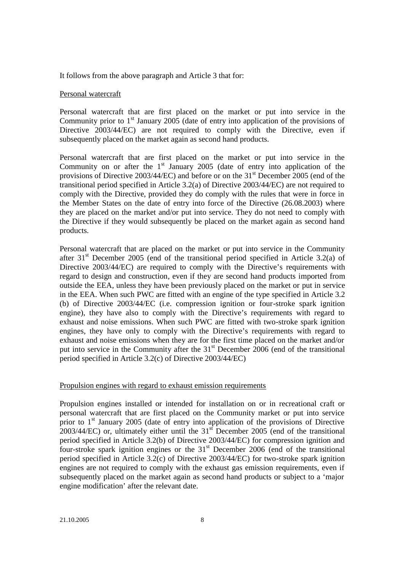It follows from the above paragraph and Article 3 that for:

#### Personal watercraft

Personal watercraft that are first placed on the market or put into service in the Community prior to  $1<sup>st</sup>$  January 2005 (date of entry into application of the provisions of Directive 2003/44/EC) are not required to comply with the Directive, even if subsequently placed on the market again as second hand products.

Personal watercraft that are first placed on the market or put into service in the Community on or after the  $1<sup>st</sup>$  January 2005 (date of entry into application of the provisions of Directive  $2003/44/EC$ ) and before or on the  $31<sup>st</sup>$  December 2005 (end of the transitional period specified in Article 3.2(a) of Directive 2003/44/EC) are not required to comply with the Directive, provided they do comply with the rules that were in force in the Member States on the date of entry into force of the Directive (26.08.2003) where they are placed on the market and/or put into service. They do not need to comply with the Directive if they would subsequently be placed on the market again as second hand products.

Personal watercraft that are placed on the market or put into service in the Community after 31<sup>st</sup> December 2005 (end of the transitional period specified in Article 3.2(a) of Directive 2003/44/EC) are required to comply with the Directive's requirements with regard to design and construction, even if they are second hand products imported from outside the EEA, unless they have been previously placed on the market or put in service in the EEA. When such PWC are fitted with an engine of the type specified in Article 3.2 (b) of Directive 2003/44/EC (i.e. compression ignition or four-stroke spark ignition engine), they have also to comply with the Directive's requirements with regard to exhaust and noise emissions. When such PWC are fitted with two-stroke spark ignition engines, they have only to comply with the Directive's requirements with regard to exhaust and noise emissions when they are for the first time placed on the market and/or put into service in the Community after the  $31<sup>st</sup>$  December 2006 (end of the transitional period specified in Article 3.2(c) of Directive 2003/44/EC)

#### Propulsion engines with regard to exhaust emission requirements

Propulsion engines installed or intended for installation on or in recreational craft or personal watercraft that are first placed on the Community market or put into service prior to  $1<sup>st</sup>$  January 2005 (date of entry into application of the provisions of Directive  $2003/44/EC$ ) or, ultimately either until the 31<sup>st</sup> December 2005 (end of the transitional period specified in Article 3.2(b) of Directive 2003/44/EC) for compression ignition and four-stroke spark ignition engines or the 31<sup>st</sup> December 2006 (end of the transitional period specified in Article 3.2(c) of Directive 2003/44/EC) for two-stroke spark ignition engines are not required to comply with the exhaust gas emission requirements, even if subsequently placed on the market again as second hand products or subject to a 'major engine modification' after the relevant date.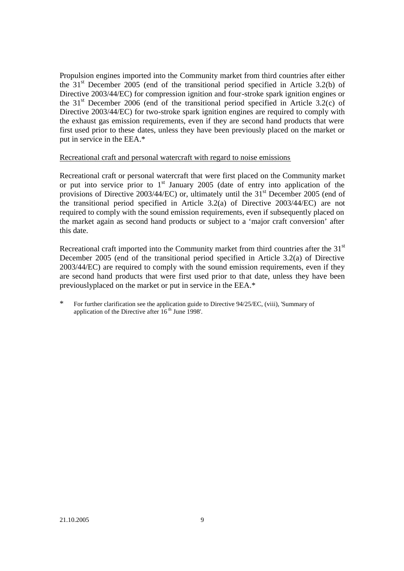Propulsion engines imported into the Community market from third countries after either the  $31<sup>st</sup>$  December 2005 (end of the transitional period specified in Article 3.2(b) of Directive 2003/44/EC) for compression ignition and four-stroke spark ignition engines or the 31<sup>st</sup> December 2006 (end of the transitional period specified in Article 3.2(c) of Directive 2003/44/EC) for two-stroke spark ignition engines are required to comply with the exhaust gas emission requirements, even if they are second hand products that were first used prior to these dates, unless they have been previously placed on the market or put in service in the EEA.\*

#### Recreational craft and personal watercraft with regard to noise emissions

Recreational craft or personal watercraft that were first placed on the Community market or put into service prior to  $1<sup>st</sup>$  January 2005 (date of entry into application of the provisions of Directive 2003/44/EC) or, ultimately until the 31<sup>st</sup> December 2005 (end of the transitional period specified in Article 3.2(a) of Directive 2003/44/EC) are not required to comply with the sound emission requirements, even if subsequently placed on the market again as second hand products or subject to a 'major craft conversion' after this date.

Recreational craft imported into the Community market from third countries after the  $31<sup>st</sup>$ December 2005 (end of the transitional period specified in Article 3.2(a) of Directive 2003/44/EC) are required to comply with the sound emission requirements, even if they are second hand products that were first used prior to that date, unless they have been previouslyplaced on the market or put in service in the EEA.\*

For further clarification see the application guide to Directive 94/25/EC, (viii), 'Summary of application of the Directive after  $16<sup>th</sup>$  June 1998'.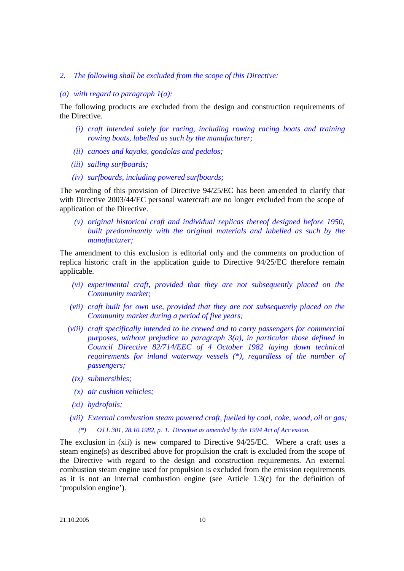#### *2. The following shall be excluded from the scope of this Directive:*

#### *(a) with regard to paragraph 1(a):*

The following products are excluded from the design and construction requirements of the Directive.

- *(i) craft intended solely for racing, including rowing racing boats and training rowing boats, labelled as such by the manufacturer;*
- *(ii) canoes and kayaks, gondolas and pedalos;*
- *(iii) sailing surfboards;*
- *(iv) surfboards, including powered surfboards;*

The wording of this provision of Directive 94/25/EC has been amended to clarify that with Directive 2003/44/EC personal watercraft are no longer excluded from the scope of application of the Directive.

*(v) original historical craft and individual replicas thereof designed before 1950, built predominantly with the original materials and labelled as such by the manufacturer;*

The amendment to this exclusion is editorial only and the comments on production of replica historic craft in the application guide to Directive 94/25/EC therefore remain applicable.

- *(vi) experimental craft, provided that they are not subsequently placed on the Community market;*
- *(vii) craft built for own use, provided that they are not subsequently placed on the Community market during a period of five years;*
- *(viii) craft specifically intended to be crewed and to carry passengers for commercial purposes, without prejudice to paragraph 3(a), in particular those defined in Council Directive 82/714/EEC of 4 October 1982 laying down technical requirements for inland waterway vessels (\*), regardless of the number of passengers;*
	- *(ix) submersibles;*
	- *(x) air cushion vehicles;*
	- *(xi) hydrofoils;*
- *(xii) External combustion steam powered craft, fuelled by coal, coke, wood, oil or gas; (\*) OJ L 301, 28.10.1982, p. 1. Directive as amended by the 1994 Act of Acc ession.*

The exclusion in (xii) is new compared to Directive 94/25/EC. Where a craft uses a steam engine(s) as described above for propulsion the craft is excluded from the scope of the Directive with regard to the design and construction requirements. An external combustion steam engine used for propulsion is excluded from the emission requirements as it is not an internal combustion engine (see Article 1.3(c) for the definition of 'propulsion engine').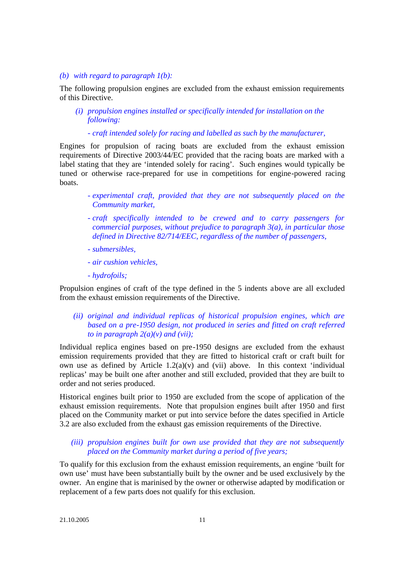#### *(b) with regard to paragraph 1(b):*

The following propulsion engines are excluded from the exhaust emission requirements of this Directive.

- *(i) propulsion engines installed or specifically intended for installation on the following:*
	- *- craft intended solely for racing and labelled as such by the manufacturer,*

Engines for propulsion of racing boats are excluded from the exhaust emission requirements of Directive 2003/44/EC provided that the racing boats are marked with a label stating that they are 'intended solely for racing'. Such engines would typically be tuned or otherwise race-prepared for use in competitions for engine-powered racing boats.

- *experimental craft, provided that they are not subsequently placed on the Community market,*
- *craft specifically intended to be crewed and to carry passengers for commercial purposes, without prejudice to paragraph 3(a), in particular those defined in Directive 82/714/EEC, regardless of the number of passengers,*
- *submersibles,*
- *air cushion vehicles,*
- *hydrofoils;*

Propulsion engines of craft of the type defined in the 5 indents above are all excluded from the exhaust emission requirements of the Directive.

*(ii) original and individual replicas of historical propulsion engines, which are based on a pre-1950 design, not produced in series and fitted on craft referred to in paragraph 2(a)(v) and (vii);*

Individual replica engines based on pre-1950 designs are excluded from the exhaust emission requirements provided that they are fitted to historical craft or craft built for own use as defined by Article  $1.2(a)(v)$  and (vii) above. In this context 'individual replicas' may be built one after another and still excluded, provided that they are built to order and not series produced.

Historical engines built prior to 1950 are excluded from the scope of application of the exhaust emission requirements. Note that propulsion engines built after 1950 and first placed on the Community market or put into service before the dates specified in Article 3.2 are also excluded from the exhaust gas emission requirements of the Directive.

#### *(iii) propulsion engines built for own use provided that they are not subsequently placed on the Community market during a period of five years;*

To qualify for this exclusion from the exhaust emission requirements, an engine 'built for own use' must have been substantially built by the owner and be used exclusively by the owner. An engine that is marinised by the owner or otherwise adapted by modification or replacement of a few parts does not qualify for this exclusion.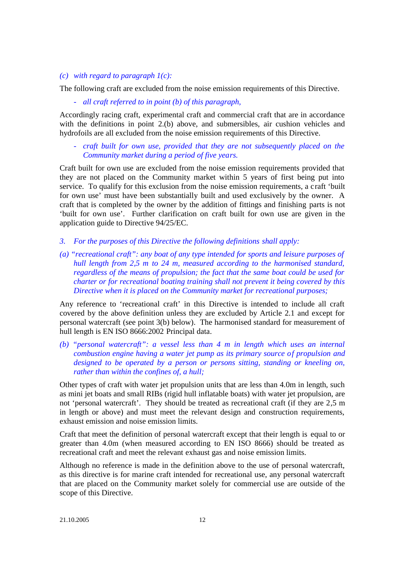#### *(c) with regard to paragraph 1(c):*

The following craft are excluded from the noise emission requirements of this Directive.

- *all craft referred to in point (b) of this paragraph,*

Accordingly racing craft, experimental craft and commercial craft that are in accordance with the definitions in point 2.(b) above, and submersibles, air cushion vehicles and hydrofoils are all excluded from the noise emission requirements of this Directive.

- *craft built for own use, provided that they are not subsequently placed on the Community market during a period of five years.*

Craft built for own use are excluded from the noise emission requirements provided that they are not placed on the Community market within 5 years of first being put into service. To qualify for this exclusion from the noise emission requirements, a craft 'built for own use' must have been substantially built and used exclusively by the owner. A craft that is completed by the owner by the addition of fittings and finishing parts is not 'built for own use'. Further clarification on craft built for own use are given in the application guide to Directive 94/25/EC.

- *3. For the purposes of this Directive the following definitions shall apply:*
- *(a) "recreational craft": any boat of any type intended for sports and leisure purposes of hull length from 2,5 m to 24 m, measured according to the harmonised standard, regardless of the means of propulsion; the fact that the same boat could be used for charter or for recreational boating training shall not prevent it being covered by this Directive when it is placed on the Community market for recreational purposes;*

Any reference to 'recreational craft' in this Directive is intended to include all craft covered by the above definition unless they are excluded by Article 2.1 and except for personal watercraft (see point 3(b) below). The harmonised standard for measurement of hull length is EN ISO 8666:2002 Principal data.

*(b) "personal watercraft": a vessel less than 4 m in length which uses an internal combustion engine having a water jet pump as its primary source of propulsion and designed to be operated by a person or persons sitting, standing or kneeling on, rather than within the confines of, a hull;*

Other types of craft with water jet propulsion units that are less than 4.0m in length, such as mini jet boats and small RIBs (rigid hull inflatable boats) with water jet propulsion, are not 'personal watercraft'. They should be treated as recreational craft (if they are 2,5 m in length or above) and must meet the relevant design and construction requirements, exhaust emission and noise emission limits.

Craft that meet the definition of personal watercraft except that their length is equal to or greater than 4.0m (when measured according to EN ISO 8666) should be treated as recreational craft and meet the relevant exhaust gas and noise emission limits.

Although no reference is made in the definition above to the use of personal watercraft, as this directive is for marine craft intended for recreational use, any personal watercraft that are placed on the Community market solely for commercial use are outside of the scope of this Directive.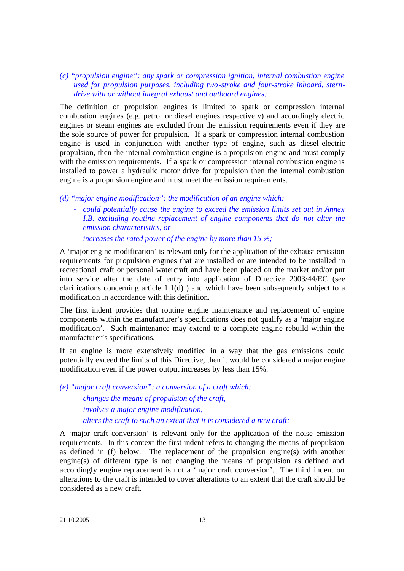*(c) "propulsion engine": any spark or compression ignition, internal combustion engine used for propulsion purposes, including two-stroke and four-stroke inboard, sterndrive with or without integral exhaust and outboard engines;*

The definition of propulsion engines is limited to spark or compression internal combustion engines (e.g. petrol or diesel engines respectively) and accordingly electric engines or steam engines are excluded from the emission requirements even if they are the sole source of power for propulsion. If a spark or compression internal combustion engine is used in conjunction with another type of engine, such as diesel-electric propulsion, then the internal combustion engine is a propulsion engine and must comply with the emission requirements. If a spark or compression internal combustion engine is installed to power a hydraulic motor drive for propulsion then the internal combustion engine is a propulsion engine and must meet the emission requirements.

- *(d) "major engine modification": the modification of an engine which:*
	- *could potentially cause the engine to exceed the emission limits set out in Annex I.B. excluding routine replacement of engine components that do not alter the emission characteristics, or*
	- *increases the rated power of the engine by more than 15 %;*

A 'major engine modification' is relevant only for the application of the exhaust emission requirements for propulsion engines that are installed or are intended to be installed in recreational craft or personal watercraft and have been placed on the market and/or put into service after the date of entry into application of Directive 2003/44/EC (see clarifications concerning article 1.1(d) ) and which have been subsequently subject to a modification in accordance with this definition.

The first indent provides that routine engine maintenance and replacement of engine components within the manufacturer's specifications does not qualify as a 'major engine modification'. Such maintenance may extend to a complete engine rebuild within the manufacturer's specifications.

If an engine is more extensively modified in a way that the gas emissions could potentially exceed the limits of this Directive, then it would be considered a major engine modification even if the power output increases by less than 15%.

*(e) "major craft conversion": a conversion of a craft which:*

- *changes the means of propulsion of the craft,*
- *involves a major engine modification,*
- *alters the craft to such an extent that it is considered a new craft;*

A 'major craft conversion' is relevant only for the application of the noise emission requirements. In this context the first indent refers to changing the means of propulsion as defined in (f) below. The replacement of the propulsion engine(s) with another engine(s) of different type is not changing the means of propulsion as defined and accordingly engine replacement is not a 'major craft conversion'. The third indent on alterations to the craft is intended to cover alterations to an extent that the craft should be considered as a new craft.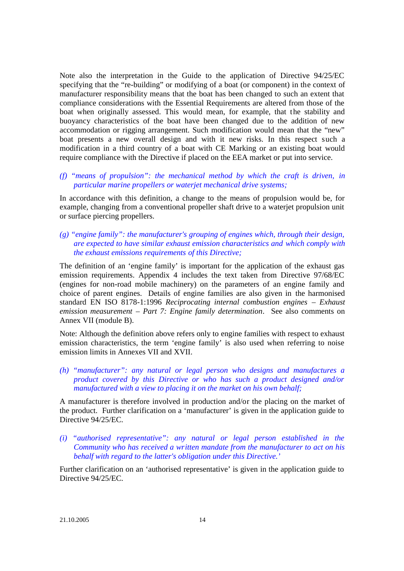Note also the interpretation in the Guide to the application of Directive 94/25/EC specifying that the "re-building" or modifying of a boat (or component) in the context of manufacturer responsibility means that the boat has been changed to such an extent that compliance considerations with the Essential Requirements are altered from those of the boat when originally assessed. This would mean, for example, that the stability and buoyancy characteristics of the boat have been changed due to the addition of new accommodation or rigging arrangement. Such modification would mean that the "new" boat presents a new overall design and with it new risks. In this respect such a modification in a third country of a boat with CE Marking or an existing boat would require compliance with the Directive if placed on the EEA market or put into service.

# *(f) "means of propulsion": the mechanical method by which the craft is driven, in particular marine propellers or waterjet mechanical drive systems;*

In accordance with this definition, a change to the means of propulsion would be, for example, changing from a conventional propeller shaft drive to a waterjet propulsion unit or surface piercing propellers.

# *(g) "engine family": the manufacturer's grouping of engines which, through their design, are expected to have similar exhaust emission characteristics and which comply with the exhaust emissions requirements of this Directive;*

The definition of an 'engine family' is important for the application of the exhaust gas emission requirements. Appendix 4 includes the text taken from Directive 97/68/EC (engines for non-road mobile machinery) on the parameters of an engine family and choice of parent engines. Details of engine families are also given in the harmonised standard EN ISO 8178-1:1996 *Reciprocating internal combustion engines – Exhaust emission measurement – Part 7: Engine family determination.* See also comments on Annex VII (module B).

Note: Although the definition above refers only to engine families with respect to exhaust emission characteristics, the term 'engine family' is also used when referring to noise emission limits in Annexes VII and XVII.

*(h) "manufacturer": any natural or legal person who designs and manufactures a product covered by this Directive or who has such a product designed and/or manufactured with a view to placing it on the market on his own behalf;*

A manufacturer is therefore involved in production and/or the placing on the market of the product. Further clarification on a 'manufacturer' is given in the application guide to Directive 94/25/EC.

*(i) "authorised representative": any natural or legal person established in the Community who has received a written mandate from the manufacturer to act on his behalf with regard to the latter's obligation under this Directive.'*

Further clarification on an 'authorised representative' is given in the application guide to Directive 94/25/EC.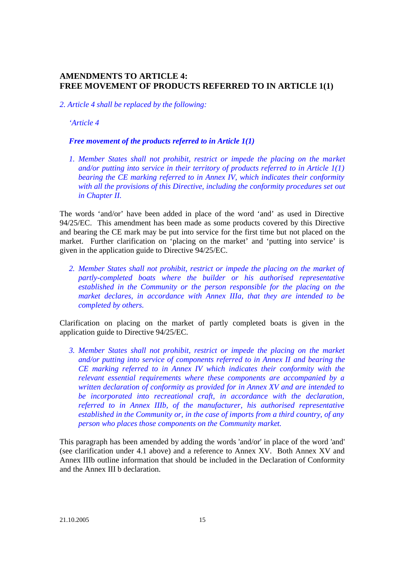# **AMENDMENTS TO ARTICLE 4: FREE MOVEMENT OF PRODUCTS REFERRED TO IN ARTICLE 1(1)**

*2. Article 4 shall be replaced by the following:*

*'Article 4*

#### *Free movement of the products referred to in Article 1(1)*

*1. Member States shall not prohibit, restrict or impede the placing on the market and/or putting into service in their territory of products referred to in Article 1(1) bearing the CE marking referred to in Annex IV, which indicates their conformity with all the provisions of this Directive, including the conformity procedures set out in Chapter II.*

The words 'and/or' have been added in place of the word 'and' as used in Directive 94/25/EC. This amendment has been made as some products covered by this Directive and bearing the CE mark may be put into service for the first time but not placed on the market. Further clarification on 'placing on the market' and 'putting into service' is given in the application guide to Directive 94/25/EC.

*2. Member States shall not prohibit, restrict or impede the placing on the market of partly-completed boats where the builder or his authorised representative established in the Community or the person responsible for the placing on the market declares, in accordance with Annex IIIa, that they are intended to be completed by others.*

Clarification on placing on the market of partly completed boats is given in the application guide to Directive 94/25/EC.

*3. Member States shall not prohibit, restrict or impede the placing on the market and/or putting into service of components referred to in Annex II and bearing the CE marking referred to in Annex IV which indicates their conformity with the relevant essential requirements where these components are accompanied by a written declaration of conformity as provided for in Annex XV and are intended to be incorporated into recreational craft, in accordance with the declaration, referred to in Annex IIIb, of the manufacturer, his authorised representative established in the Community or, in the case of imports from a third country, of any person who places those components on the Community market.*

This paragraph has been amended by adding the words 'and/or' in place of the word 'and' (see clarification under 4.1 above) and a reference to Annex XV. Both Annex XV and Annex IIIb outline information that should be included in the Declaration of Conformity and the Annex III b declaration.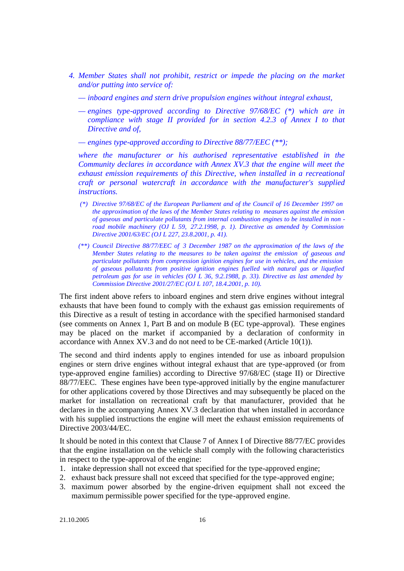- *4. Member States shall not prohibit, restrict or impede the placing on the market and/or putting into service of:*
	- *— inboard engines and stern drive propulsion engines without integral exhaust,*
	- *— engines type-approved according to Directive 97/68/EC (\*) which are in compliance with stage II provided for in section 4.2.3 of Annex I to that Directive and of,*

*— engines type-approved according to Directive 88/77/EEC (\*\*);*

*where the manufacturer or his authorised representative established in the Community declares in accordance with Annex XV.3 that the engine will meet the exhaust emission requirements of this Directive, when installed in a recreational craft or personal watercraft in accordance with the manufacturer's supplied instructions.*

- *(\*) Directive 97/68/EC of the European Parliament and of the Council of 16 December 1997 on the approximation of the laws of the Member States relating to measures against the emission of gaseous and particulate pollutants from internal combustion engines to be installed in non road mobile machinery (OJ L 59, 27.2.1998, p. 1). Directive as amended by Commission Directive 2001/63/EC (OJ L 227, 23.8.2001, p. 41).*
- *(\*\*) Council Directive 88/77/EEC of 3 December 1987 on the approximation of the laws of the Member States relating to the measures to be taken against the emission of gaseous and particulate pollutants from compression ignition engines for use in vehicles, and the emission of gaseous pollutants from positive ignition engines fuelled with natural gas or liquefied petroleum gas for use in vehicles (OJ L 36, 9.2.1988, p. 33). Directive as last amended by Commission Directive 2001/27/EC (OJ L 107, 18.4.2001, p. 10).*

The first indent above refers to inboard engines and stern drive engines without integral exhausts that have been found to comply with the exhaust gas emission requirements of this Directive as a result of testing in accordance with the specified harmonised standard (see comments on Annex 1, Part B and on module B (EC type-approval). These engines may be placed on the market if accompanied by a declaration of conformity in accordance with Annex XV.3 and do not need to be CE-marked (Article 10(1)).

The second and third indents apply to engines intended for use as inboard propulsion engines or stern drive engines without integral exhaust that are type-approved (or from type-approved engine families) according to Directive 97/68/EC (stage II) or Directive 88/77/EEC. These engines have been type-approved initially by the engine manufacturer for other applications covered by those Directives and may subsequently be placed on the market for installation on recreational craft by that manufacturer, provided that he declares in the accompanying Annex XV.3 declaration that when installed in accordance with his supplied instructions the engine will meet the exhaust emission requirements of Directive 2003/44/EC.

It should be noted in this context that Clause 7 of Annex I of Directive 88/77/EC provides that the engine installation on the vehicle shall comply with the following characteristics in respect to the type-approval of the engine:

- 1. intake depression shall not exceed that specified for the type-approved engine;
- 2. exhaust back pressure shall not exceed that specified for the type-approved engine;
- 3. maximum power absorbed by the engine-driven equipment shall not exceed the maximum permissible power specified for the type-approved engine.

21.10.2005 16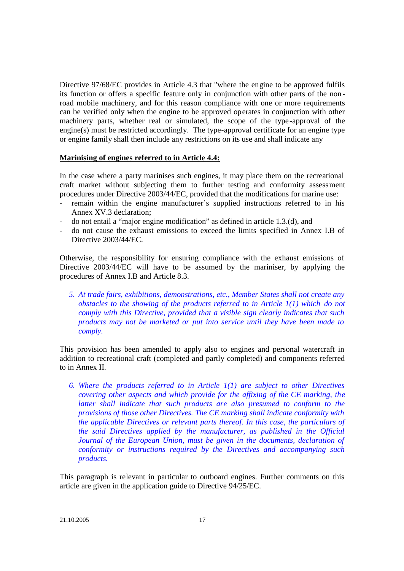Directive 97/68/EC provides in Article 4.3 that "where the engine to be approved fulfils its function or offers a specific feature only in conjunction with other parts of the non road mobile machinery, and for this reason compliance with one or more requirements can be verified only when the engine to be approved operates in conjunction with other machinery parts, whether real or simulated, the scope of the type-approval of the engine(s) must be restricted accordingly. The type-approval certificate for an engine type or engine family shall then include any restrictions on its use and shall indicate any

#### **Marinising of engines referred to in Article 4.4:**

In the case where a party marinises such engines, it may place them on the recreational craft market without subjecting them to further testing and conformity assessment procedures under Directive 2003/44/EC, provided that the modifications for marine use:

- remain within the engine manufacturer's supplied instructions referred to in his Annex XV.3 declaration;
- do not entail a "major engine modification" as defined in article 1.3.(d), and
- do not cause the exhaust emissions to exceed the limits specified in Annex I.B of Directive 2003/44/EC.

Otherwise, the responsibility for ensuring compliance with the exhaust emissions of Directive 2003/44/EC will have to be assumed by the mariniser, by applying the procedures of Annex I.B and Article 8.3.

*5. At trade fairs, exhibitions, demonstrations, etc., Member States shall not create any obstacles to the showing of the products referred to in Article 1(1) which do not comply with this Directive, provided that a visible sign clearly indicates that such products may not be marketed or put into service until they have been made to comply.*

This provision has been amended to apply also to engines and personal watercraft in addition to recreational craft (completed and partly completed) and components referred to in Annex II.

*6. Where the products referred to in Article 1(1) are subject to other Directives covering other aspects and which provide for the affixing of the CE marking, the latter shall indicate that such products are also presumed to conform to the provisions of those other Directives. The CE marking shall indicate conformity with the applicable Directives or relevant parts thereof. In this case, the particulars of the said Directives applied by the manufacturer, as published in the Official Journal of the European Union, must be given in the documents, declaration of conformity or instructions required by the Directives and accompanying such products.*

This paragraph is relevant in particular to outboard engines. Further comments on this article are given in the application guide to Directive 94/25/EC.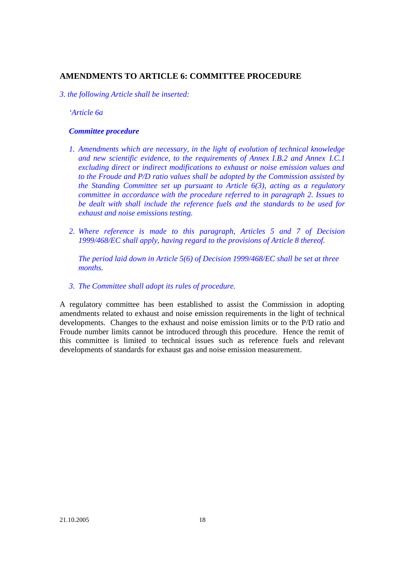# **AMENDMENTS TO ARTICLE 6: COMMITTEE PROCEDURE**

*3. the following Article shall be inserted:*

*'Article 6a*

#### *Committee procedure*

- *1. Amendments which are necessary, in the light of evolution of technical knowledge and new scientific evidence, to the requirements of Annex I.B.2 and Annex I.C.1 excluding direct or indirect modifications to exhaust or noise emission values and to the Froude and P/D ratio values shall be adopted by the Commission assisted by the Standing Committee set up pursuant to Article 6(3), acting as a regulatory committee in accordance with the procedure referred to in paragraph 2. Issues to be dealt with shall include the reference fuels and the standards to be used for exhaust and noise emissions testing.*
- *2. Where reference is made to this paragraph, Articles 5 and 7 of Decision 1999/468/EC shall apply, having regard to the provisions of Article 8 thereof.*

*The period laid down in Article 5(6) of Decision 1999/468/EC shall be set at three months.*

*3. The Committee shall adopt its rules of procedure.*

A regulatory committee has been established to assist the Commission in adopting amendments related to exhaust and noise emission requirements in the light of technical developments. Changes to the exhaust and noise emission limits or to the P/D ratio and Froude number limits cannot be introduced through this procedure. Hence the remit of this committee is limited to technical issues such as reference fuels and relevant developments of standards for exhaust gas and noise emission measurement.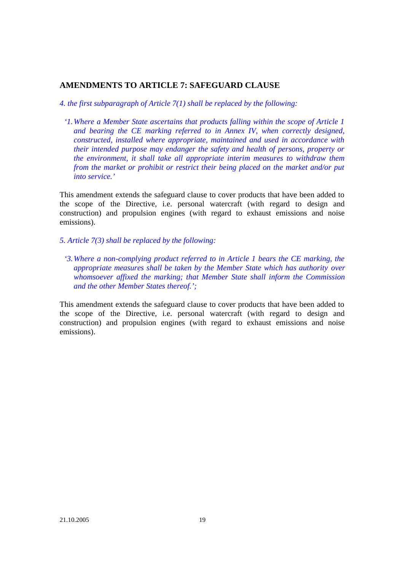# **AMENDMENTS TO ARTICLE 7: SAFEGUARD CLAUSE**

*4. the first subparagraph of Article 7(1) shall be replaced by the following:*

*'1.Where a Member State ascertains that products falling within the scope of Article 1 and bearing the CE marking referred to in Annex IV, when correctly designed, constructed, installed where appropriate, maintained and used in accordance with their intended purpose may endanger the safety and health of persons, property or the environment, it shall take all appropriate interim measures to withdraw them from the market or prohibit or restrict their being placed on the market and/or put into service.'*

This amendment extends the safeguard clause to cover products that have been added to the scope of the Directive, i.e. personal watercraft (with regard to design and construction) and propulsion engines (with regard to exhaust emissions and noise emissions).

- *5. Article 7(3) shall be replaced by the following:*
	- *'3.Where a non-complying product referred to in Article 1 bears the CE marking, the appropriate measures shall be taken by the Member State which has authority over whomsoever affixed the marking; that Member State shall inform the Commission and the other Member States thereof.';*

This amendment extends the safeguard clause to cover products that have been added to the scope of the Directive, i.e. personal watercraft (with regard to design and construction) and propulsion engines (with regard to exhaust emissions and noise emissions).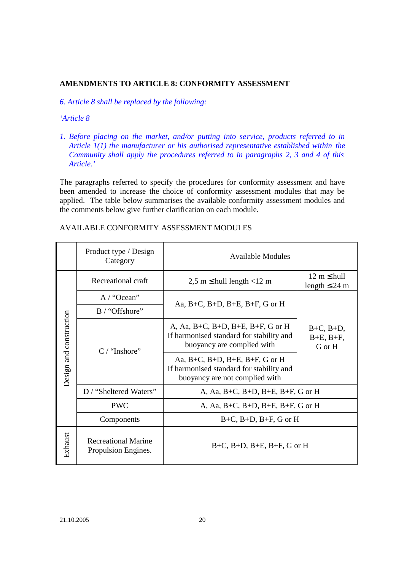# **AMENDMENTS TO ARTICLE 8: CONFORMITY ASSESSMENT**

*6. Article 8 shall be replaced by the following:*

#### *'Article 8*

*1. Before placing on the market, and/or putting into service, products referred to in Article 1(1) the manufacturer or his authorised representative established within the Community shall apply the procedures referred to in paragraphs 2, 3 and 4 of this Article.'*

The paragraphs referred to specify the procedures for conformity assessment and have been amended to increase the choice of conformity assessment modules that may be applied. The table below summarises the available conformity assessment modules and the comments below give further clarification on each module.

|                         | Product type / Design<br>Category                 | <b>Available Modules</b>                                                                                     |                                                       |  |
|-------------------------|---------------------------------------------------|--------------------------------------------------------------------------------------------------------------|-------------------------------------------------------|--|
|                         | Recreational craft                                | $2,5 \text{ m} \leq \text{hull length} < 12 \text{ m}$                                                       | $12 \text{ m} \leq \text{hull}$<br>length $\leq 24$ m |  |
| Design and construction | A / "Ocean"                                       | Aa, B+C, B+D, B+E, B+F, G or H                                                                               |                                                       |  |
|                         | B / "Offshore"                                    |                                                                                                              |                                                       |  |
|                         | $C$ / "Inshore"                                   | A, Aa, B+C, B+D, B+E, B+F, G or H<br>If harmonised standard for stability and<br>buoyancy are complied with  | $B+C$ , $B+D$ ,<br>$B+E$ , $B+F$ ,<br>G or H          |  |
|                         |                                                   | Aa, B+C, B+D, B+E, B+F, G or H<br>If harmonised standard for stability and<br>buoyancy are not complied with |                                                       |  |
|                         | D / "Sheltered Waters"                            | A, Aa, B+C, B+D, B+E, B+F, G or H                                                                            |                                                       |  |
|                         | <b>PWC</b>                                        |                                                                                                              | A, Aa, B+C, B+D, B+E, B+F, G or H                     |  |
|                         | Components                                        | $B+C$ , $B+D$ , $B+F$ , G or H                                                                               |                                                       |  |
| Exhaust                 | <b>Recreational Marine</b><br>Propulsion Engines. | $B+C$ , $B+D$ , $B+E$ , $B+F$ , G or H                                                                       |                                                       |  |

#### AVAILABLE CONFORMITY ASSESSMENT MODULES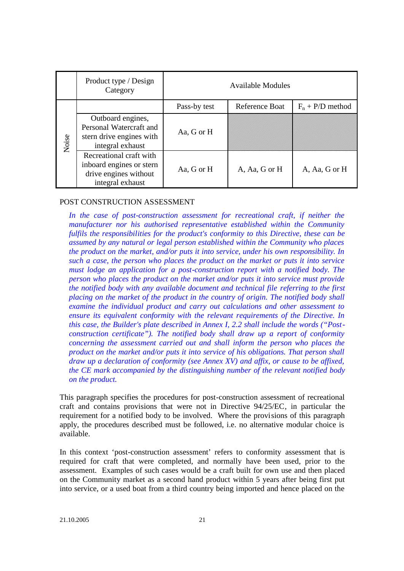|       | Product type / Design<br>Category                                                                | Available Modules |                |                    |
|-------|--------------------------------------------------------------------------------------------------|-------------------|----------------|--------------------|
|       |                                                                                                  | Pass-by test      | Reference Boat | $F_n$ + P/D method |
| Noise | Outboard engines,<br>Personal Watercraft and<br>stern drive engines with<br>integral exhaust     | Aa, G or H        |                |                    |
|       | Recreational craft with<br>inboard engines or stern<br>drive engines without<br>integral exhaust | Aa, G or H        | A, Aa, G or H  | A, Aa, G or H      |

#### POST CONSTRUCTION ASSESSMENT

*In the case of post-construction assessment for recreational craft, if neither the manufacturer nor his authorised representative established within the Community fulfils the responsibilities for the product's conformity to this Directive, these can be assumed by any natural or legal person established within the Community who places the product on the market, and/or puts it into service, under his own responsibility. In such a case, the person who places the product on the market or puts it into service must lodge an application for a post-construction report with a notified body. The person who places the product on the market and/or puts it into service must provide the notified body with any available document and technical file referring to the first placing on the market of the product in the country of origin. The notified body shall examine the individual product and carry out calculations and other assessment to ensure its equivalent conformity with the relevant requirements of the Directive. In this case, the Builder's plate described in Annex I, 2.2 shall include the words ("Postconstruction certificate"). The notified body shall draw up a report of conformity concerning the assessment carried out and shall inform the person who places the product on the market and/or puts it into service of his obligations. That person shall draw up a declaration of conformity (see Annex XV) and affix, or cause to be affixed, the CE mark accompanied by the distinguishing number of the relevant notified body on the product.*

This paragraph specifies the procedures for post-construction assessment of recreational craft and contains provisions that were not in Directive 94/25/EC, in particular the requirement for a notified body to be involved. Where the provisions of this paragraph apply, the procedures described must be followed, i.e. no alternative modular choice is available.

In this context 'post-construction assessment' refers to conformity assessment that is required for craft that were completed, and normally have been used, prior to the assessment. Examples of such cases would be a craft built for own use and then placed on the Community market as a second hand product within 5 years after being first put into service, or a used boat from a third country being imported and hence placed on the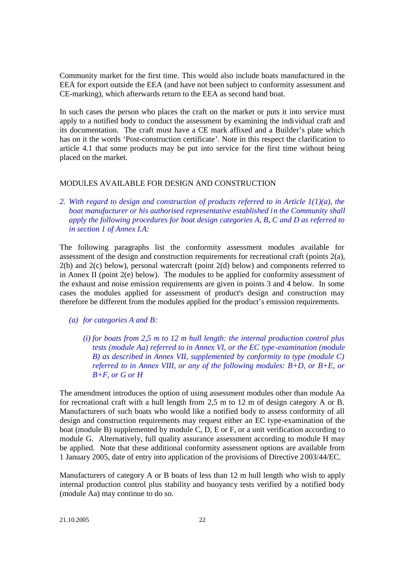Community market for the first time. This would also include boats manufactured in the EEA for export outside the EEA (and have not been subject to conformity assessment and CE-marking), which afterwards return to the EEA as second hand boat.

In such cases the person who places the craft on the market or puts it into service must apply to a notified body to conduct the assessment by examining the individual craft and its documentation. The craft must have a CE mark affixed and a Builder's plate which has on it the words 'Post-construction certificate'. Note in this respect the clarification to article 4.1 that some products may be put into service for the first time without being placed on the market.

# MODULES AVAILABLE FOR DESIGN AND CONSTRUCTION

*2. With regard to design and construction of products referred to in Article 1(1)(a), the boat manufacturer or his authorised representative established in the Community shall apply the following procedures for boat design categories A, B, C and D as referred to in section 1 of Annex I.A:*

The following paragraphs list the conformity assessment modules available for assessment of the design and construction requirements for recreational craft (points  $2(a)$ , 2(b) and 2(c) below), personal watercraft (point 2(d) below) and components referred to in Annex II (point 2(e) below). The modules to be applied for conformity assessment of the exhaust and noise emission requirements are given in points 3 and 4 below. In some cases the modules applied for assessment of product's design and construction may therefore be different from the modules applied for the product's emission requirements.

- *(a) for categories A and B:*
	- *(i) for boats from 2,5 m to 12 m hull length: the internal production control plus tests (module Aa) referred to in Annex VI, or the EC type-examination (module B) as described in Annex VII, supplemented by conformity to type (module C) referred to in Annex VIII, or any of the following modules: B+D, or B+E, or B+F, or G or H*

The amendment introduces the option of using assessment modules other than module Aa for recreational craft with a hull length from 2,5 m to 12 m of design category A or B. Manufacturers of such boats who would like a notified body to assess conformity of all design and construction requirements may request either an EC type-examination of the boat (module B) supplemented by module C, D, E or F, or a unit verification according to module G. Alternatively, full quality assurance assessment according to module H may be applied. Note that these additional conformity assessment options are available from 1 January 2005, date of entry into application of the provisions of Directive 2003/44/EC.

Manufacturers of category A or B boats of less than 12 m hull length who wish to apply internal production control plus stability and buoyancy tests verified by a notified body (module Aa) may continue to do so.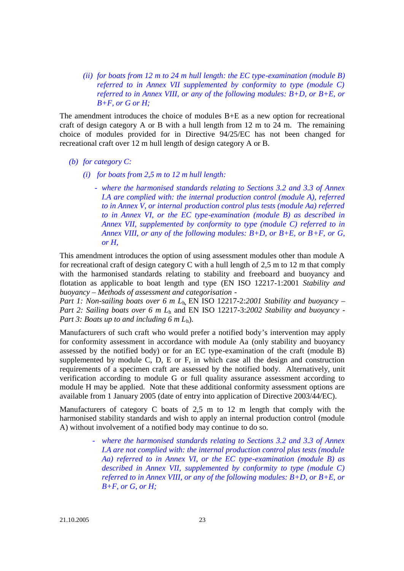*(ii) for boats from 12 m to 24 m hull length: the EC type-examination (module B) referred to in Annex VII supplemented by conformity to type (module C) referred to in Annex VIII, or any of the following modules: B+D, or B+E, or B+F, or G or H;*

The amendment introduces the choice of modules  $B+E$  as a new option for recreational craft of design category A or B with a hull length from 12 m to 24 m. The remaining choice of modules provided for in Directive 94/25/EC has not been changed for recreational craft over 12 m hull length of design category A or B.

#### *(b) for category C:*

- *(i) for boats from 2,5 m to 12 m hull length:*
	- *where the harmonised standards relating to Sections 3.2 and 3.3 of Annex I.A are complied with: the internal production control (module A), referred to in Annex V, or internal production control plus tests (module Aa) referred to in Annex VI, or the EC type-examination (module B) as described in Annex VII, supplemented by conformity to type (module C) referred to in Annex VIII, or any of the following modules: B+D, or B+E, or B+F, or G, or H,*

This amendment introduces the option of using assessment modules other than module A for recreational craft of design category C with a hull length of 2,5 m to 12 m that comply with the harmonised standards relating to stability and freeboard and buoyancy and flotation as applicable to boat length and type (EN ISO 12217-1:2001 *Stability and buoyancy – Methods of assessment and categorisation -*

*Part 1: Non-sailing boats over 6 m L*<sub>h</sub>, EN ISO 12217-2:2001 Stability and buoyancy – *Part 2: Sailing boats over 6 m L*<sup>h</sup> and EN ISO 12217-3:*2002 Stability and buoyancy - Part 3: Boats up to and including 6 m L*<sub>h</sub>).

Manufacturers of such craft who would prefer a notified body's intervention may apply for conformity assessment in accordance with module Aa (only stability and buoyancy assessed by the notified body) or for an EC type-examination of the craft (module B) supplemented by module C, D, E or F, in which case all the design and construction requirements of a specimen craft are assessed by the notified body. Alternatively, unit verification according to module G or full quality assurance assessment according to module H may be applied. Note that these additional conformity assessment options are available from 1 January 2005 (date of entry into application of Directive 2003/44/EC).

Manufacturers of category C boats of 2,5 m to 12 m length that comply with the harmonised stability standards and wish to apply an internal production control (module A) without involvement of a notified body may continue to do so.

> where the harmonised standards relating to Sections 3.2 and 3.3 of Annex *I.A are not complied with: the internal production control plus tests (module Aa) referred to in Annex VI, or the EC type-examination (module B) as described in Annex VII, supplemented by conformity to type (module C) referred to in Annex VIII, or any of the following modules: B+D, or B+E, or B+F, or G, or H;*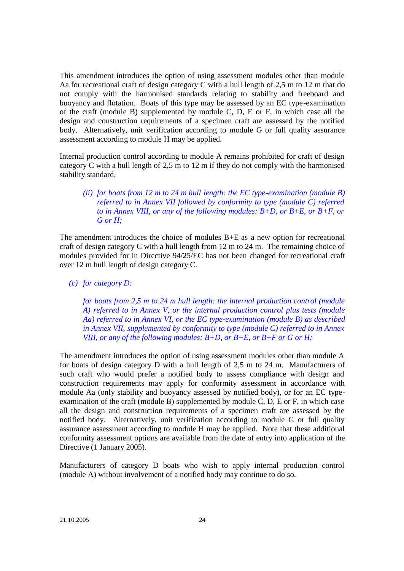This amendment introduces the option of using assessment modules other than module Aa for recreational craft of design category C with a hull length of 2,5 m to 12 m that do not comply with the harmonised standards relating to stability and freeboard and buoyancy and flotation. Boats of this type may be assessed by an EC type-examination of the craft (module B) supplemented by module C, D, E or F, in which case all the design and construction requirements of a specimen craft are assessed by the notified body. Alternatively, unit verification according to module G or full quality assurance assessment according to module H may be applied.

Internal production control according to module A remains prohibited for craft of design category C with a hull length of 2,5 m to 12 m if they do not comply with the harmonised stability standard.

# *(ii) for boats from 12 m to 24 m hull length: the EC type-examination (module B) referred to in Annex VII followed by conformity to type (module C) referred to in Annex VIII, or any of the following modules: B+D, or B+E, or B+F, or G or H;*

The amendment introduces the choice of modules B+E as a new option for recreational craft of design category C with a hull length from 12 m to 24 m. The remaining choice of modules provided for in Directive 94/25/EC has not been changed for recreational craft over 12 m hull length of design category C.

*(c) for category D:*

*for boats from 2,5 m to 24 m hull length: the internal production control (module A) referred to in Annex V, or the internal production control plus tests (module Aa) referred to in Annex VI, or the EC type-examination (module B) as described in Annex VII, supplemented by conformity to type (module C) referred to in Annex VIII, or any of the following modules: B+D, or B+E, or B+F or G or H;*

The amendment introduces the option of using assessment modules other than module A for boats of design category D with a hull length of 2,5 m to 24 m. Manufacturers of such craft who would prefer a notified body to assess compliance with design and construction requirements may apply for conformity assessment in accordance with module Aa (only stability and buoyancy assessed by notified body), or for an EC typeexamination of the craft (module B) supplemented by module C, D, E or F, in which case all the design and construction requirements of a specimen craft are assessed by the notified body. Alternatively, unit verification according to module G or full quality assurance assessment according to module H may be applied. Note that these additional conformity assessment options are available from the date of entry into application of the Directive (1 January 2005).

Manufacturers of category D boats who wish to apply internal production control (module A) without involvement of a notified body may continue to do so.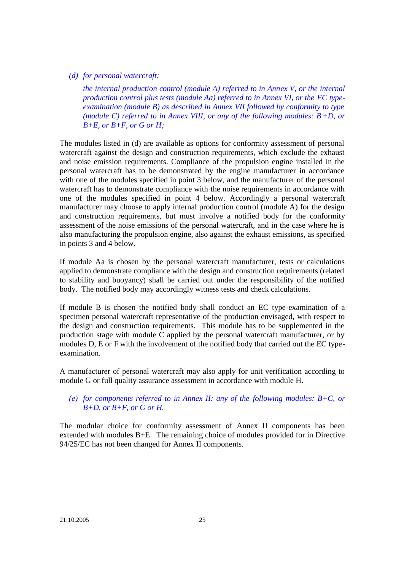#### *(d) for personal watercraft:*

*the internal production control (module A) referred to in Annex V, or the internal production control plus tests (module Aa) referred to in Annex VI, or the EC typeexamination (module B) as described in Annex VII followed by conformity to type (module C) referred to in Annex VIII, or any of the following modules: B+D, or B+E, or B+F, or G or H;*

The modules listed in (d) are available as options for conformity assessment of personal watercraft against the design and construction requirements, which exclude the exhaust and noise emission requirements. Compliance of the propulsion engine installed in the personal watercraft has to be demonstrated by the engine manufacturer in accordance with one of the modules specified in point 3 below, and the manufacturer of the personal watercraft has to demonstrate compliance with the noise requirements in accordance with one of the modules specified in point 4 below. Accordingly a personal watercraft manufacturer may choose to apply internal production control (module A) for the design and construction requirements, but must involve a notified body for the conformity assessment of the noise emissions of the personal watercraft, and in the case where he is also manufacturing the propulsion engine, also against the exhaust emissions, as specified in points 3 and 4 below.

If module Aa is chosen by the personal watercraft manufacturer, tests or calculations applied to demonstrate compliance with the design and construction requirements (related to stability and buoyancy) shall be carried out under the responsibility of the notified body. The notified body may accordingly witness tests and check calculations.

If module B is chosen the notified body shall conduct an EC type-examination of a specimen personal watercraft representative of the production envisaged, with respect to the design and construction requirements. This module has to be supplemented in the production stage with module C applied by the personal watercraft manufacturer, or by modules D, E or F with the involvement of the notified body that carried out the EC typeexamination.

A manufacturer of personal watercraft may also apply for unit verification according to module G or full quality assurance assessment in accordance with module H.

# *(e) for components referred to in Annex II: any of the following modules: B+C, or B+D, or B+F, or G or H.*

The modular choice for conformity assessment of Annex II components has been extended with modules B+E. The remaining choice of modules provided for in Directive 94/25/EC has not been changed for Annex II components.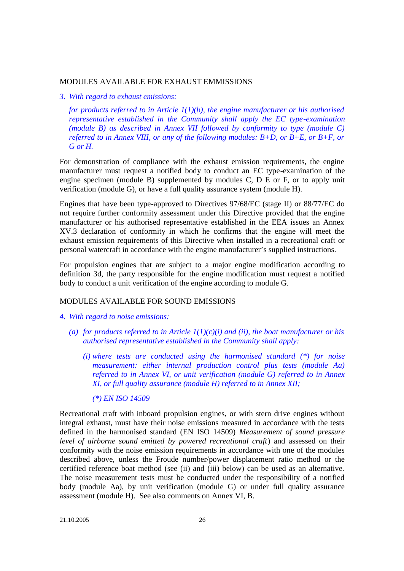#### MODULES AVAILABLE FOR EXHAUST EMMISSIONS

#### *3. With regard to exhaust emissions:*

*for products referred to in Article 1(1)(b), the engine manufacturer or his authorised representative established in the Community shall apply the EC type-examination (module B) as described in Annex VII followed by conformity to type (module C) referred to in Annex VIII, or any of the following modules: B+D, or B+E, or B+F, or G or H.*

For demonstration of compliance with the exhaust emission requirements, the engine manufacturer must request a notified body to conduct an EC type-examination of the engine specimen (module B) supplemented by modules C, D E or F, or to apply unit verification (module G), or have a full quality assurance system (module H).

Engines that have been type-approved to Directives 97/68/EC (stage II) or 88/77/EC do not require further conformity assessment under this Directive provided that the engine manufacturer or his authorised representative established in the EEA issues an Annex XV.3 declaration of conformity in which he confirms that the engine will meet the exhaust emission requirements of this Directive when installed in a recreational craft or personal watercraft in accordance with the engine manufacturer's supplied instructions.

For propulsion engines that are subject to a major engine modification according to definition 3d, the party responsible for the engine modification must request a notified body to conduct a unit verification of the engine according to module G.

#### MODULES AVAILABLE FOR SOUND EMISSIONS

- *4. With regard to noise emissions:*
	- (a) for products referred to in Article  $I(I)(c)(i)$  and (ii), the boat manufacturer or his *authorised representative established in the Community shall apply:*
		- *(i) where tests are conducted using the harmonised standard (\*) for noise measurement: either internal production control plus tests (module Aa) referred to in Annex VI, or unit verification (module G) referred to in Annex XI, or full quality assurance (module H) referred to in Annex XII;*
			- *(\*) EN ISO 14509*

Recreational craft with inboard propulsion engines, or with stern drive engines without integral exhaust, must have their noise emissions measured in accordance with the tests defined in the harmonised standard (EN ISO 14509) *Measurement of sound pressure level of airborne sound emitted by powered recreational craft*) and assessed on their conformity with the noise emission requirements in accordance with one of the modules described above, unless the Froude number/power displacement ratio method or the certified reference boat method (see (ii) and (iii) below) can be used as an alternative. The noise measurement tests must be conducted under the responsibility of a notified body (module Aa), by unit verification (module G) or under full quality assurance assessment (module H). See also comments on Annex VI, B.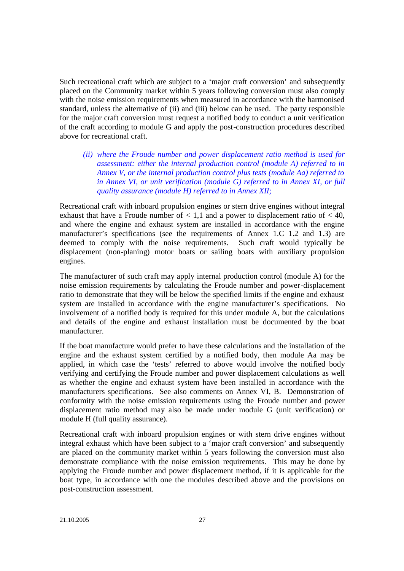Such recreational craft which are subject to a 'major craft conversion' and subsequently placed on the Community market within 5 years following conversion must also comply with the noise emission requirements when measured in accordance with the harmonised standard, unless the alternative of (ii) and (iii) below can be used. The party responsible for the major craft conversion must request a notified body to conduct a unit verification of the craft according to module G and apply the post-construction procedures described above for recreational craft.

*(ii) where the Froude number and power displacement ratio method is used for assessment: either the internal production control (module A) referred to in Annex V, or the internal production control plus tests (module Aa) referred to in Annex VI, or unit verification (module G) referred to in Annex XI, or full quality assurance (module H) referred to in Annex XII;*

Recreational craft with inboard propulsion engines or stern drive engines without integral exhaust that have a Froude number of  $\leq 1,1$  and a power to displacement ratio of  $< 40$ , and where the engine and exhaust system are installed in accordance with the engine manufacturer's specifications (see the requirements of Annex 1.C 1.2 and 1.3) are deemed to comply with the noise requirements. Such craft would typically be displacement (non-planing) motor boats or sailing boats with auxiliary propulsion engines.

The manufacturer of such craft may apply internal production control (module A) for the noise emission requirements by calculating the Froude number and power-displacement ratio to demonstrate that they will be below the specified limits if the engine and exhaust system are installed in accordance with the engine manufacturer's specifications. No involvement of a notified body is required for this under module A, but the calculations and details of the engine and exhaust installation must be documented by the boat manufacturer.

If the boat manufacture would prefer to have these calculations and the installation of the engine and the exhaust system certified by a notified body, then module Aa may be applied, in which case the 'tests' referred to above would involve the notified body verifying and certifying the Froude number and power displacement calculations as well as whether the engine and exhaust system have been installed in accordance with the manufacturers specifications. See also comments on Annex VI, B. Demonstration of conformity with the noise emission requirements using the Froude number and power displacement ratio method may also be made under module G (unit verification) or module H (full quality assurance).

Recreational craft with inboard propulsion engines or with stern drive engines without integral exhaust which have been subject to a 'major craft conversion' and subsequently are placed on the community market within 5 years following the conversion must also demonstrate compliance with the noise emission requirements. This may be done by applying the Froude number and power displacement method, if it is applicable for the boat type, in accordance with one the modules described above and the provisions on post-construction assessment.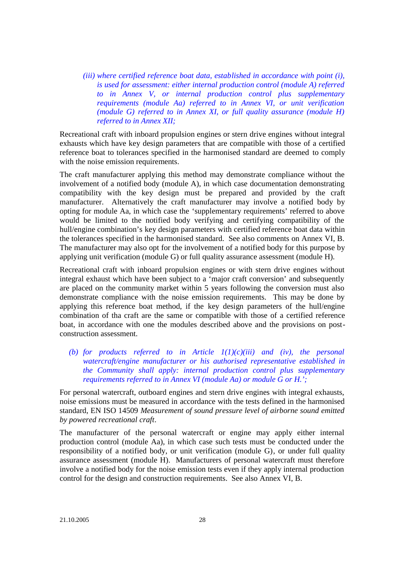*(iii) where certified reference boat data, established in accordance with point (i), is used for assessment: either internal production control (module A) referred to in Annex V, or internal production control plus supplementary requirements (module Aa) referred to in Annex VI, or unit verification (module G) referred to in Annex XI, or full quality assurance (module H) referred to in Annex XII;*

Recreational craft with inboard propulsion engines or stern drive engines without integral exhausts which have key design parameters that are compatible with those of a certified reference boat to tolerances specified in the harmonised standard are deemed to comply with the noise emission requirements.

The craft manufacturer applying this method may demonstrate compliance without the involvement of a notified body (module A), in which case documentation demonstrating compatibility with the key design must be prepared and provided by the craft manufacturer. Alternatively the craft manufacturer may involve a notified body by opting for module Aa, in which case the 'supplementary requirements' referred to above would be limited to the notified body verifying and certifying compatibility of the hull/engine combination's key design parameters with certified reference boat data within the tolerances specified in the harmonised standard. See also comments on Annex VI, B. The manufacturer may also opt for the involvement of a notified body for this purpose by applying unit verification (module G) or full quality assurance assessment (module H).

Recreational craft with inboard propulsion engines or with stern drive engines without integral exhaust which have been subject to a 'major craft conversion' and subsequently are placed on the community market within 5 years following the conversion must also demonstrate compliance with the noise emission requirements. This may be done by applying this reference boat method, if the key design parameters of the hull/engine combination of tha craft are the same or compatible with those of a certified reference boat, in accordance with one the modules described above and the provisions on postconstruction assessment.

(b) for products referred to in Article  $I(I)(c)(iii)$  and *(iv)*, the personal *watercraft/engine manufacturer or his authorised representative established in the Community shall apply: internal production control plus supplementary requirements referred to in Annex VI (module Aa) or module G or H.';*

For personal watercraft, outboard engines and stern drive engines with integral exhausts, noise emissions must be measured in accordance with the tests defined in the harmonised standard, EN ISO 14509 *Measurement of sound pressure level of airborne sound emitted by powered recreational craft*.

The manufacturer of the personal watercraft or engine may apply either internal production control (module Aa), in which case such tests must be conducted under the responsibility of a notified body, or unit verification (module G), or under full quality assurance assessment (module H). Manufacturers of personal watercraft must therefore involve a notified body for the noise emission tests even if they apply internal production control for the design and construction requirements. See also Annex VI, B.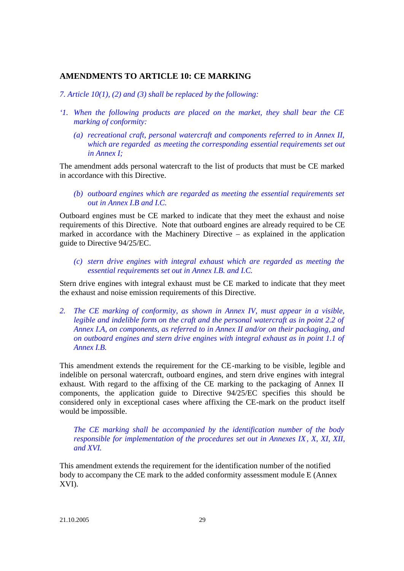# **AMENDMENTS TO ARTICLE 10: CE MARKING**

*7. Article 10(1), (2) and (3) shall be replaced by the following:*

- *'1. When the following products are placed on the market, they shall bear the CE marking of conformity:*
	- *(a) recreational craft, personal watercraft and components referred to in Annex II, which are regarded as meeting the corresponding essential requirements set out in Annex I;*

The amendment adds personal watercraft to the list of products that must be CE marked in accordance with this Directive.

*(b) outboard engines which are regarded as meeting the essential requirements set out in Annex I.B and I.C.*

Outboard engines must be CE marked to indicate that they meet the exhaust and noise requirements of this Directive. Note that outboard engines are already required to be CE marked in accordance with the Machinery Directive – as explained in the application guide to Directive 94/25/EC.

*(c) stern drive engines with integral exhaust which are regarded as meeting the essential requirements set out in Annex I.B. and I.C.*

Stern drive engines with integral exhaust must be CE marked to indicate that they meet the exhaust and noise emission requirements of this Directive.

*2. The CE marking of conformity, as shown in Annex IV, must appear in a visible, legible and indelible form on the craft and the personal watercraft as in point 2.2 of Annex I.A, on components, as referred to in Annex II and/or on their packaging, and on outboard engines and stern drive engines with integral exhaust as in point 1.1 of Annex I.B.*

This amendment extends the requirement for the CE-marking to be visible, legible and indelible on personal watercraft, outboard engines, and stern drive engines with integral exhaust. With regard to the affixing of the CE marking to the packaging of Annex II components, the application guide to Directive 94/25/EC specifies this should be considered only in exceptional cases where affixing the CE-mark on the product itself would be impossible.

*The CE marking shall be accompanied by the identification number of the body responsible for implementation of the procedures set out in Annexes IX, X, XI, XII, and XVI.*

This amendment extends the requirement for the identification number of the notified body to accompany the CE mark to the added conformity assessment module E (Annex XVI).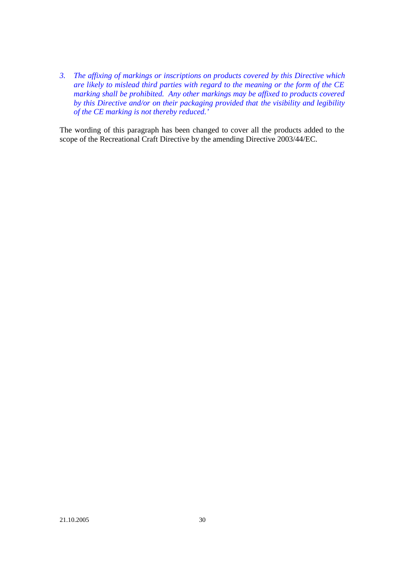*3. The affixing of markings or inscriptions on products covered by this Directive which are likely to mislead third parties with regard to the meaning or the form of the CE marking shall be prohibited. Any other markings may be affixed to products covered by this Directive and/or on their packaging provided that the visibility and legibility of the CE marking is not thereby reduced.'*

The wording of this paragraph has been changed to cover all the products added to the scope of the Recreational Craft Directive by the amending Directive 2003/44/EC.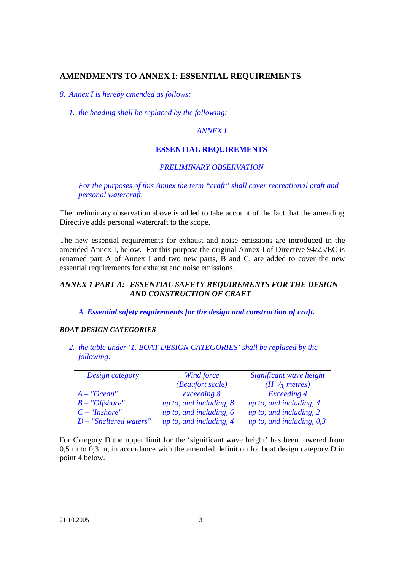# **AMENDMENTS TO ANNEX I: ESSENTIAL REQUIREMENTS**

*8. Annex I is hereby amended as follows:*

*1. the heading shall be replaced by the following:*

# *ANNEX I*

#### **ESSENTIAL REQUIREMENTS**

#### *PRELIMINARY OBSERVATION*

*For the purposes of this Annex the term "craft" shall cover recreational craft and personal watercraft.*

The preliminary observation above is added to take account of the fact that the amending Directive adds personal watercraft to the scope.

The new essential requirements for exhaust and noise emissions are introduced in the amended Annex I, below. For this purpose the original Annex I of Directive 94/25/EC is renamed part A of Annex I and two new parts, B and C, are added to cover the new essential requirements for exhaust and noise emissions.

# *ANNEX 1 PART A: ESSENTIAL SAFETY REQUIREMENTS FOR THE DESIGN AND CONSTRUCTION OF CRAFT*

#### *A. Essential safety requirements for the design and construction of craft.*

#### *BOAT DESIGN CATEGORIES*

*2. the table under '1. BOAT DESIGN CATEGORIES' shall be replaced by the following:*

| Design category          | Wind force                | Significant wave height     |  |
|--------------------------|---------------------------|-----------------------------|--|
|                          | (Beaufort scale)          | $(H^{1}/_{3})$ metres)      |  |
| $A - "Ocean"$            | exceeding 8               | <b>Exceeding 4</b>          |  |
| $B - "Offshore"$         | up to, and including, $8$ | up to, and including, 4     |  |
| $C - "Inshore"$          | up to, and including, $6$ | up to, and including, 2     |  |
| $D$ – "Sheltered waters" | up to, and including, 4   | up to, and including, $0,3$ |  |

For Category D the upper limit for the 'significant wave height' has been lowered from 0,5 m to 0,3 m, in accordance with the amended definition for boat design category D in point 4 below.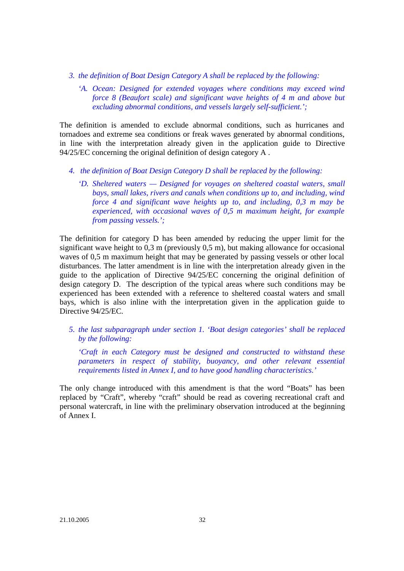- *3. the definition of Boat Design Category A shall be replaced by the following:*
	- *'A. Ocean: Designed for extended voyages where conditions may exceed wind force 8 (Beaufort scale) and significant wave heights of 4 m and above but excluding abnormal conditions, and vessels largely self-sufficient.';*

The definition is amended to exclude abnormal conditions, such as hurricanes and tornadoes and extreme sea conditions or freak waves generated by abnormal conditions, in line with the interpretation already given in the application guide to Directive 94/25/EC concerning the original definition of design category A .

- *4. the definition of Boat Design Category D shall be replaced by the following:*
	- *'D. Sheltered waters Designed for voyages on sheltered coastal waters, small bays, small lakes, rivers and canals when conditions up to, and including, wind force 4 and significant wave heights up to, and including, 0,3 m may be experienced, with occasional waves of 0,5 m maximum height, for example from passing vessels.';*

The definition for category D has been amended by reducing the upper limit for the significant wave height to 0,3 m (previously 0,5 m), but making allowance for occasional waves of 0,5 m maximum height that may be generated by passing vessels or other local disturbances. The latter amendment is in line with the interpretation already given in the guide to the application of Directive 94/25/EC concerning the original definition of design category D. The description of the typical areas where such conditions may be experienced has been extended with a reference to sheltered coastal waters and small bays, which is also inline with the interpretation given in the application guide to Directive 94/25/EC.

*5. the last subparagraph under section 1. 'Boat design categories' shall be replaced by the following:*

*'Craft in each Category must be designed and constructed to withstand these parameters in respect of stability, buoyancy, and other relevant essential requirements listed in Annex I, and to have good handling characteristics.'*

The only change introduced with this amendment is that the word "Boats" has been replaced by "Craft", whereby "craft" should be read as covering recreational craft and personal watercraft, in line with the preliminary observation introduced at the beginning of Annex I.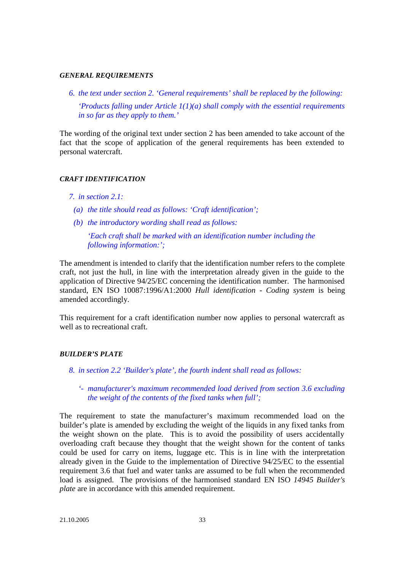#### *GENERAL REQUIREMENTS*

*6. the text under section 2. 'General requirements' shall be replaced by the following: 'Products falling under Article 1(1)(a) shall comply with the essential requirements in so far as they apply to them.'*

The wording of the original text under section 2 has been amended to take account of the fact that the scope of application of the general requirements has been extended to personal watercraft.

#### *CRAFT IDENTIFICATION*

#### *7. in section 2.1:*

- *(a) the title should read as follows: 'Craft identification';*
- *(b) the introductory wording shall read as follows:*

*'Each craft shall be marked with an identification number including the following information:';*

The amendment is intended to clarify that the identification number refers to the complete craft, not just the hull, in line with the interpretation already given in the guide to the application of Directive 94/25/EC concerning the identification number. The harmonised standard, EN ISO 10087:1996/A1:2000 *Hull identification - Coding system* is being amended accordingly.

This requirement for a craft identification number now applies to personal watercraft as well as to recreational craft.

#### *BUILDER'S PLATE*

- *8. in section 2.2 'Builder's plate', the fourth indent shall read as follows:*
	- *'- manufacturer's maximum recommended load derived from section 3.6 excluding the weight of the contents of the fixed tanks when full';*

The requirement to state the manufacturer's maximum recommended load on the builder's plate is amended by excluding the weight of the liquids in any fixed tanks from the weight shown on the plate. This is to avoid the possibility of users accidentally overloading craft because they thought that the weight shown for the content of tanks could be used for carry on items, luggage etc. This is in line with the interpretation already given in the Guide to the implementation of Directive 94/25/EC to the essential requirement 3.6 that fuel and water tanks are assumed to be full when the recommended load is assigned. The provisions of the harmonised standard EN ISO *14945 Builder's plate* are in accordance with this amended requirement.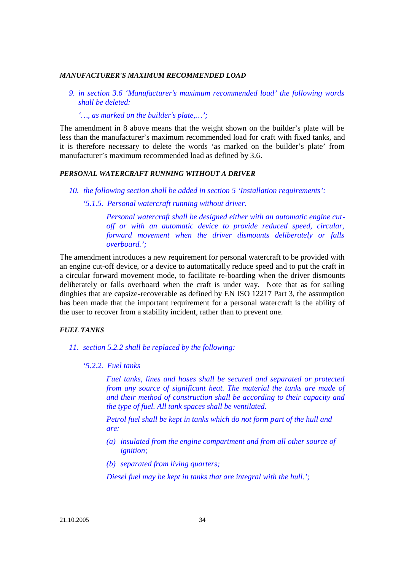#### *MANUFACTURER'S MAXIMUM RECOMMENDED LOAD*

*9. in section 3.6 'Manufacturer's maximum recommended load' the following words shall be deleted:*

*'…, as marked on the builder's plate,…';*

The amendment in 8 above means that the weight shown on the builder's plate will be less than the manufacturer's maximum recommended load for craft with fixed tanks, and it is therefore necessary to delete the words 'as marked on the builder's plate' from manufacturer's maximum recommended load as defined by 3.6.

#### *PERSONAL WATERCRAFT RUNNING WITHOUT A DRIVER*

*10. the following section shall be added in section 5 'Installation requirements':*

*'5.1.5. Personal watercraft running without driver.*

*Personal watercraft shall be designed either with an automatic engine cutoff or with an automatic device to provide reduced speed, circular, forward movement when the driver dismounts deliberately or falls overboard.';*

The amendment introduces a new requirement for personal watercraft to be provided with an engine cut-off device, or a device to automatically reduce speed and to put the craft in a circular forward movement mode, to facilitate re-boarding when the driver dismounts deliberately or falls overboard when the craft is under way. Note that as for sailing dinghies that are capsize-recoverable as defined by EN ISO 12217 Part 3, the assumption has been made that the important requirement for a personal watercraft is the ability of the user to recover from a stability incident, rather than to prevent one.

#### *FUEL TANKS*

- *11. section 5.2.2 shall be replaced by the following:*
	- *'5.2.2. Fuel tanks*

*Fuel tanks, lines and hoses shall be secured and separated or protected from any source of significant heat. The material the tanks are made of and their method of construction shall be according to their capacity and the type of fuel. All tank spaces shall be ventilated.*

*Petrol fuel shall be kept in tanks which do not form part of the hull and are:*

- *(a) insulated from the engine compartment and from all other source of ignition;*
- *(b) separated from living quarters;*

*Diesel fuel may be kept in tanks that are integral with the hull.';*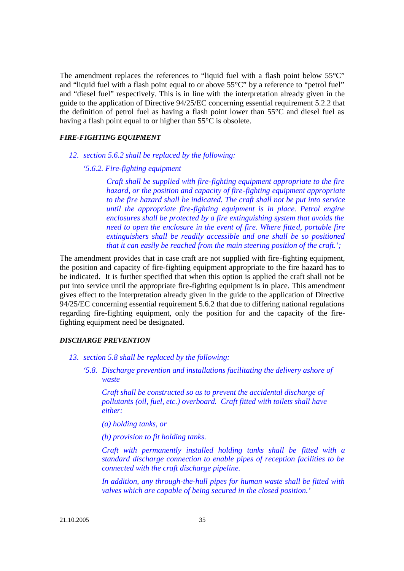The amendment replaces the references to "liquid fuel with a flash point below  $55^{\circ}$ "C" and "liquid fuel with a flash point equal to or above 55°C" by a reference to "petrol fuel" and "diesel fuel" respectively. This is in line with the interpretation already given in the guide to the application of Directive 94/25/EC concerning essential requirement 5.2.2 that the definition of petrol fuel as having a flash point lower than 55°C and diesel fuel as having a flash point equal to or higher than 55<sup>o</sup>C is obsolete.

#### *FIRE-FIGHTING EQUIPMENT*

- *12. section 5.6.2 shall be replaced by the following:*
	- *'5.6.2. Fire-fighting equipment*

*Craft shall be supplied with fire-fighting equipment appropriate to the fire hazard, or the position and capacity of fire-fighting equipment appropriate to the fire hazard shall be indicated. The craft shall not be put into service until the appropriate fire-fighting equipment is in place. Petrol engine enclosures shall be protected by a fire extinguishing system that avoids the need to open the enclosure in the event of fire. Where fitted, portable fire extinguishers shall be readily accessible and one shall be so positioned that it can easily be reached from the main steering position of the craft.';*

The amendment provides that in case craft are not supplied with fire-fighting equipment, the position and capacity of fire-fighting equipment appropriate to the fire hazard has to be indicated. It is further specified that when this option is applied the craft shall not be put into service until the appropriate fire-fighting equipment is in place. This amendment gives effect to the interpretation already given in the guide to the application of Directive 94/25/EC concerning essential requirement 5.6.2 that due to differing national regulations regarding fire-fighting equipment, only the position for and the capacity of the firefighting equipment need be designated.

#### *DISCHARGE PREVENTION*

- *13. section 5.8 shall be replaced by the following:*
	- *'5.8. Discharge prevention and installations facilitating the delivery ashore of waste*

*Craft shall be constructed so as to prevent the accidental discharge of pollutants (oil, fuel, etc.) overboard. Craft fitted with toilets shall have either:*

*(a) holding tanks, or*

*(b) provision to fit holding tanks.*

*Craft with permanently installed holding tanks shall be fitted with a standard discharge connection to enable pipes of reception facilities to be connected with the craft discharge pipeline.*

*In addition, any through-the-hull pipes for human waste shall be fitted with valves which are capable of being secured in the closed position.'*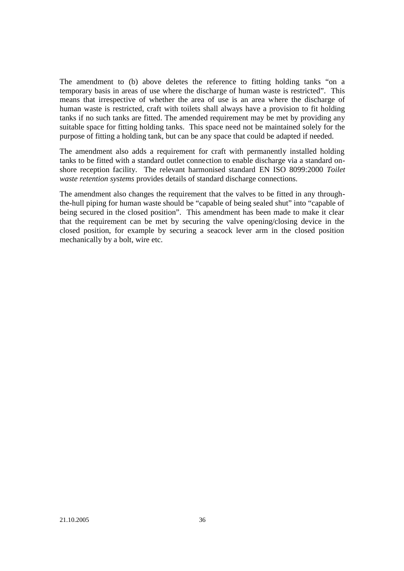The amendment to (b) above deletes the reference to fitting holding tanks "on a temporary basis in areas of use where the discharge of human waste is restricted". This means that irrespective of whether the area of use is an area where the discharge of human waste is restricted, craft with toilets shall always have a provision to fit holding tanks if no such tanks are fitted. The amended requirement may be met by providing any suitable space for fitting holding tanks. This space need not be maintained solely for the purpose of fitting a holding tank, but can be any space that could be adapted if needed.

The amendment also adds a requirement for craft with permanently installed holding tanks to be fitted with a standard outlet connection to enable discharge via a standard onshore reception facility. The relevant harmonised standard EN ISO 8099:2000 *Toilet waste retention systems* provides details of standard discharge connections.

The amendment also changes the requirement that the valves to be fitted in any throughthe-hull piping for human waste should be "capable of being sealed shut" into "capable of being secured in the closed position". This amendment has been made to make it clear that the requirement can be met by securing the valve opening/closing device in the closed position, for example by securing a seacock lever arm in the closed position mechanically by a bolt, wire etc.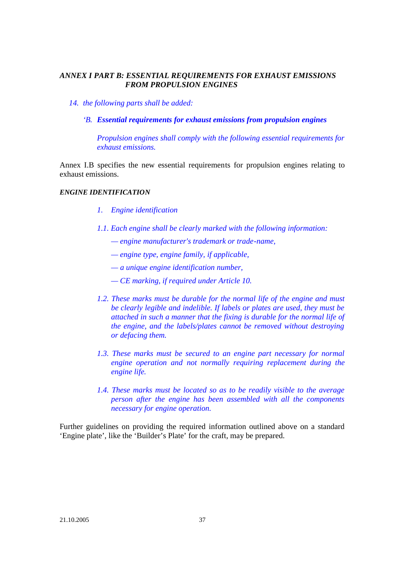# *ANNEX I PART B: ESSENTIAL REQUIREMENTS FOR EXHAUST EMISSIONS FROM PROPULSION ENGINES*

- *14. the following parts shall be added:*
	- *'B. Essential requirements for exhaust emissions from propulsion engines*

*Propulsion engines shall comply with the following essential requirements for exhaust emissions.* 

Annex I.B specifies the new essential requirements for propulsion engines relating to exhaust emissions.

#### *ENGINE IDENTIFICATION*

- *1. Engine identification*
- *1.1. Each engine shall be clearly marked with the following information:*
	- *engine manufacturer's trademark or trade-name,*
	- *engine type, engine family, if applicable,*
	- *a unique engine identification number,*
	- *CE marking, if required under Article 10.*
- 1.2. These marks must be durable for the normal life of the engine and must *be clearly legible and indelible. If labels or plates are used, they must be attached in such a manner that the fixing is durable for the normal life of the engine, and the labels/plates cannot be removed without destroying or defacing them.*
- 1.3. These marks must be secured to an engine part necessary for normal *engine operation and not normally requiring replacement during the engine life.*
- *1.4. These marks must be located so as to be readily visible to the average person after the engine has been assembled with all the components necessary for engine operation.*

Further guidelines on providing the required information outlined above on a standard 'Engine plate', like the 'Builder's Plate' for the craft, may be prepared.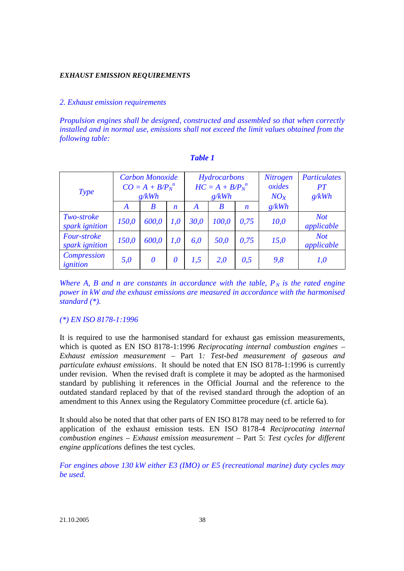#### *EXHAUST EMISSION REQUIREMENTS*

### *2. Exhaust emission requirements*

*Propulsion engines shall be designed, constructed and assembled so that when correctly installed and in normal use, emissions shall not exceed the limit values obtained from the following table:*

| Type                                |       | <b>Carbon Monoxide</b><br>$CO = A + B/P_N^{\ n}$<br>g/kWh |                  | Hydrocarbons<br>$HC = A + B/P_N^{\ n}$<br>g/kWh |       |                  | <b>Nitrogen</b><br>oxides<br>$NO_x$ | <b>Particulates</b><br>PT<br>g/kWh |
|-------------------------------------|-------|-----------------------------------------------------------|------------------|-------------------------------------------------|-------|------------------|-------------------------------------|------------------------------------|
|                                     | A     | B                                                         | $\boldsymbol{n}$ | A                                               | B     | $\boldsymbol{n}$ | g/kWh                               |                                    |
| <i>Two-stroke</i><br>spark ignition | 150,0 | 600,0                                                     | <i>1.0</i>       | 30,0                                            | 100,0 | 0,75             | 10,0                                | <b>Not</b><br>applicable           |
| Four-stroke<br>spark ignition       | 150,0 | 600,0                                                     | <i>1.0</i>       | 6,0                                             | 50,0  | 0,75             | 15,0                                | <b>Not</b><br>applicable           |
| Compression<br>ignition             | 5,0   | $\boldsymbol{\theta}$                                     | 0                | 1,5                                             | 2.0   | 0,5              | 9,8                                 | 1,0                                |

*Where A, B and n are constants in accordance with the table,*  $P_N$  *is the rated engine power in kW and the exhaust emissions are measured in accordance with the harmonised standard (\*).*

### *(\*) EN ISO 8178-1:1996*

It is required to use the harmonised standard for exhaust gas emission measurements, which is quoted as EN ISO 8178-1:1996 *Reciprocating internal combustion engines – Exhaust emission measurement* – Part 1*: Test-bed measurement of gaseous and particulate exhaust emissions*. It should be noted that EN ISO 8178-1:1996 is currently under revision. When the revised draft is complete it may be adopted as the harmonised standard by publishing it references in the Official Journal and the reference to the outdated standard replaced by that of the revised standard through the adoption of an amendment to this Annex using the Regulatory Committee procedure (cf. article 6a).

It should also be noted that that other parts of EN ISO 8178 may need to be referred to for application of the exhaust emission tests. EN ISO 8178-4 *Reciprocating internal combustion engines – Exhaust emission measurement* – Part 5: *Test cycles for different engine applications* defines the test cycles.

*For engines above 130 kW either E3 (IMO) or E5 (recreational marine) duty cycles may be used.*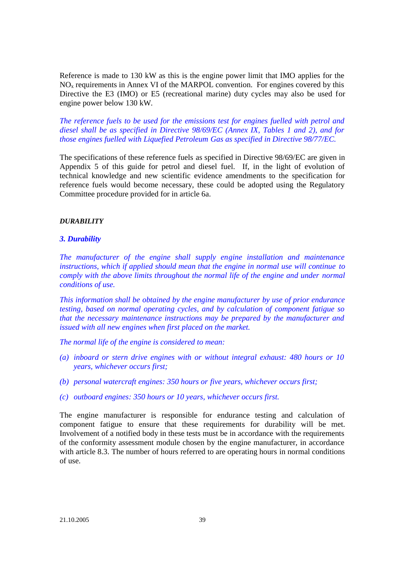Reference is made to 130 kW as this is the engine power limit that IMO applies for the  $NO<sub>x</sub>$  requirements in Annex VI of the MARPOL convention. For engines covered by this Directive the E3 (IMO) or E5 (recreational marine) duty cycles may also be used for engine power below 130 kW.

*The reference fuels to be used for the emissions test for engines fuelled with petrol and diesel shall be as specified in Directive 98/69/EC (Annex IX, Tables 1 and 2), and for those engines fuelled with Liquefied Petroleum Gas as specified in Directive 98/77/EC.*

The specifications of these reference fuels as specified in Directive 98/69/EC are given in Appendix 5 of this guide for petrol and diesel fuel. If, in the light of evolution of technical knowledge and new scientific evidence amendments to the specification for reference fuels would become necessary, these could be adopted using the Regulatory Committee procedure provided for in article 6a.

#### *DURABILITY*

#### *3. Durability*

*The manufacturer of the engine shall supply engine installation and maintenance instructions, which if applied should mean that the engine in normal use will continue to comply with the above limits throughout the normal life of the engine and under normal conditions of use.*

*This information shall be obtained by the engine manufacturer by use of prior endurance testing, based on normal operating cycles, and by calculation of component fatigue so that the necessary maintenance instructions may be prepared by the manufacturer and issued with all new engines when first placed on the market.*

*The normal life of the engine is considered to mean:*

- *(a) inboard or stern drive engines with or without integral exhaust: 480 hours or 10 years, whichever occurs first;*
- *(b) personal watercraft engines: 350 hours or five years, whichever occurs first;*
- *(c) outboard engines: 350 hours or 10 years, whichever occurs first.*

The engine manufacturer is responsible for endurance testing and calculation of component fatigue to ensure that these requirements for durability will be met. Involvement of a notified body in these tests must be in accordance with the requirements of the conformity assessment module chosen by the engine manufacturer, in accordance with article 8.3. The number of hours referred to are operating hours in normal conditions of use.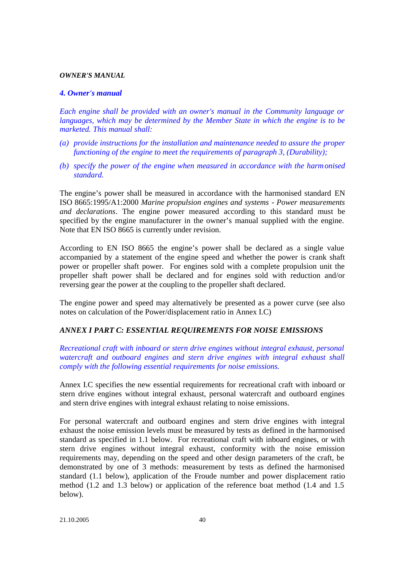#### *OWNER'S MANUAL*

### *4. Owner's manual*

*Each engine shall be provided with an owner's manual in the Community language or languages, which may be determined by the Member State in which the engine is to be marketed. This manual shall:*

- *(a) provide instructions for the installation and maintenance needed to assure the proper functioning of the engine to meet the requirements of paragraph 3, (Durability);*
- *(b) specify the power of the engine when measured in accordance with the harmonised standard.*

The engine's power shall be measured in accordance with the harmonised standard EN ISO 8665:1995/A1:2000 *Marine propulsion engines and systems - Power measurements and declarations*. The engine power measured according to this standard must be specified by the engine manufacturer in the owner's manual supplied with the engine. Note that EN ISO 8665 is currently under revision.

According to EN ISO 8665 the engine's power shall be declared as a single value accompanied by a statement of the engine speed and whether the power is crank shaft power or propeller shaft power. For engines sold with a complete propulsion unit the propeller shaft power shall be declared and for engines sold with reduction and/or reversing gear the power at the coupling to the propeller shaft declared.

The engine power and speed may alternatively be presented as a power curve (see also notes on calculation of the Power/displacement ratio in Annex I.C)

### *ANNEX I PART C: ESSENTIAL REQUIREMENTS FOR NOISE EMISSIONS*

*Recreational craft with inboard or stern drive engines without integral exhaust, personal watercraft and outboard engines and stern drive engines with integral exhaust shall comply with the following essential requirements for noise emissions.*

Annex I.C specifies the new essential requirements for recreational craft with inboard or stern drive engines without integral exhaust, personal watercraft and outboard engines and stern drive engines with integral exhaust relating to noise emissions.

For personal watercraft and outboard engines and stern drive engines with integral exhaust the noise emission levels must be measured by tests as defined in the harmonised standard as specified in 1.1 below. For recreational craft with inboard engines, or with stern drive engines without integral exhaust, conformity with the noise emission requirements may, depending on the speed and other design parameters of the craft, be demonstrated by one of 3 methods: measurement by tests as defined the harmonised standard (1.1 below), application of the Froude number and power displacement ratio method (1.2 and 1.3 below) or application of the reference boat method (1.4 and 1.5 below).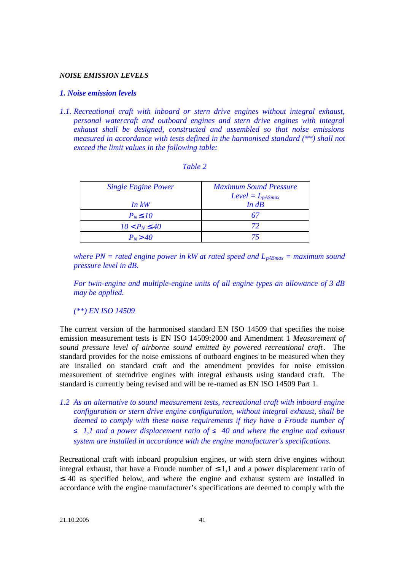#### *NOISE EMISSION LEVELS*

#### *1. Noise emission levels*

*1.1. Recreational craft with inboard or stern drive engines without integral exhaust, personal watercraft and outboard engines and stern drive engines with integral exhaust shall be designed, constructed and assembled so that noise emissions measured in accordance with tests defined in the harmonised standard (\*\*) shall not exceed the limit values in the following table:*

| <b>Single Engine Power</b> | <b>Maximum Sound Pressure</b><br>$Level = L_{pASmax}$ |
|----------------------------|-------------------------------------------------------|
| In~kW                      | $In$ $dB$                                             |
| $P_N \triangle 10$         | 67                                                    |
| $10 < P_N \,\text{E}$ 40   | 72                                                    |
| $P_N > 40$                 |                                                       |

|  | m |  |
|--|---|--|
|  |   |  |

*where PN = rated engine power in kW at rated speed and*  $L_{pASmax}$  *= maximum sound pressure level in dB.*

*For twin-engine and multiple-engine units of all engine types an allowance of 3 dB may be applied.*

*(\*\*) EN ISO 14509*

The current version of the harmonised standard EN ISO 14509 that specifies the noise emission measurement tests is EN ISO 14509:2000 and Amendment 1 *Measurement of sound pressure level of airborne sound emitted by powered recreational craft*. The standard provides for the noise emissions of outboard engines to be measured when they are installed on standard craft and the amendment provides for noise emission measurement of sterndrive engines with integral exhausts using standard craft. The standard is currently being revised and will be re-named as EN ISO 14509 Part 1.

*1.2 As an alternative to sound measurement tests, recreational craft with inboard engine configuration or stern drive engine configuration, without integral exhaust, shall be deemed to comply with these noise requirements if they have a Froude number of*   $\leq$  1,1 and a power displacement ratio of  $\leq$  40 and where the engine and exhaust *system are installed in accordance with the engine manufacturer's specifications.*

Recreational craft with inboard propulsion engines, or with stern drive engines without integral exhaust, that have a Froude number of  $\leq 1,1$  and a power displacement ratio of ≤ 40 as specified below, and where the engine and exhaust system are installed in accordance with the engine manufacturer's specifications are deemed to comply with the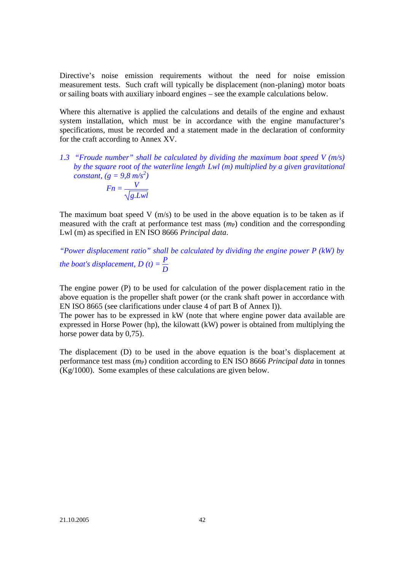Directive's noise emission requirements without the need for noise emission measurement tests. Such craft will typically be displacement (non-planing) motor boats or sailing boats with auxiliary inboard engines – see the example calculations below*.* 

Where this alternative is applied the calculations and details of the engine and exhaust system installation, which must be in accordance with the engine manufacturer's specifications, must be recorded and a statement made in the declaration of conformity for the craft according to Annex XV.

*1.3 "Froude number" shall be calculated by dividing the maximum boat speed V (m/s) by the square root of the waterline length Lwl (m) multiplied by a given gravitational constant,*  $(g = 9.8 \text{ m/s}^2)$  $Fn = \frac{V}{\sqrt{V}}$ *g.Lwl*

The maximum boat speed V  $(m/s)$  to be used in the above equation is to be taken as if measured with the craft at performance test mass  $(m<sub>P</sub>)$  condition and the corresponding Lwl (m) as specified in EN ISO 8666 *Principal data*.

*"Power displacement ratio" shall be calculated by dividing the engine power P (kW) by the boat's displacement,*  $D(t) = \frac{P}{D}$ 

The engine power (P) to be used for calculation of the power displacement ratio in the above equation is the propeller shaft power (or the crank shaft power in accordance with EN ISO 8665 (see clarifications under clause 4 of part B of Annex I)).

The power has to be expressed in kW (note that where engine power data available are expressed in Horse Power (hp), the kilowatt (kW) power is obtained from multiplying the horse power data by 0,75).

The displacement (D) to be used in the above equation is the boat's displacement at performance test mass  $(m_P)$  condition according to EN ISO 8666 *Principal data* in tonnes (Kg/1000). Some examples of these calculations are given below.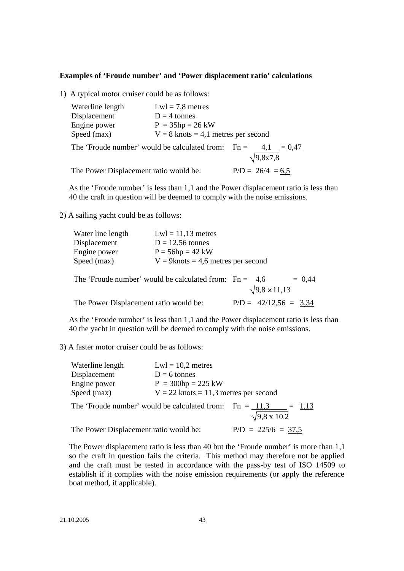#### **Examples of 'Froude number' and 'Power displacement ratio' calculations**

1) A typical motor cruiser could be as follows:

| Waterline length                                     | $Lwl = 7.8$ metres                    |                    |                         |          |
|------------------------------------------------------|---------------------------------------|--------------------|-------------------------|----------|
| Displacement                                         | $D = 4$ tonnes                        |                    |                         |          |
| Engine power                                         | $P = 35hp = 26 kW$                    |                    |                         |          |
| Speed (max)                                          | $V = 8$ knots = 4,1 metres per second |                    |                         |          |
| The 'Froude number' would be calculated from: $Fn =$ |                                       |                    | 4,1<br>$\sqrt{9,8x7,8}$ | $= 0.47$ |
|                                                      |                                       |                    |                         |          |
| The Power Displacement ratio would be:               |                                       | $P/D = 26/4 = 6.5$ |                         |          |

As the 'Froude number' is less than 1,1 and the Power displacement ratio is less than 40 the craft in question will be deemed to comply with the noise emissions.

2) A sailing yacht could be as follows:

| $Lwl = 11,13$ metres                  |
|---------------------------------------|
| $D = 12,56$ tonnes                    |
| $P = 56hp = 42 kW$                    |
| $V = 9$ knots = 4,6 metres per second |
|                                       |

The 'Froude number' would be calculated from:  $Fn = 4.6$  = 0.44  $9,8 \times 11,13$ The Power Displacement ratio would be:  $P/D = 42/12,56 = 3,34$ 

As the 'Froude number' is less than 1,1 and the Power displacement ratio is less than 40 the yacht in question will be deemed to comply with the noise emissions.

3) A faster motor cruiser could be as follows:

The 'Froude number' would be calculated from: Fn =  $\frac{11,3}{\sqrt{9,8 \times 10,2}}$  = 1,13

The Power Displacement ratio would be:  $P/D = 225/6 = 37,5$ 

The Power displacement ratio is less than 40 but the 'Froude number' is more than 1,1 so the craft in question fails the criteria. This method may therefore not be applied and the craft must be tested in accordance with the pass-by test of ISO 14509 to establish if it complies with the noise emission requirements (or apply the reference boat method, if applicable).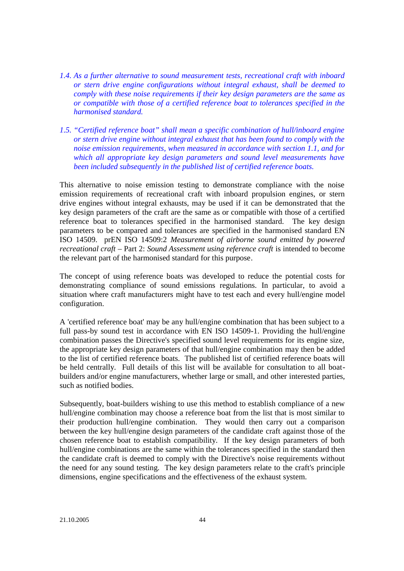- *1.4. As a further alternative to sound measurement tests, recreational craft with inboard or stern drive engine configurations without integral exhaust, shall be deemed to comply with these noise requirements if their key design parameters are the same as or compatible with those of a certified reference boat to tolerances specified in the harmonised standard.*
- *1.5. "Certified reference boat" shall mean a specific combination of hull/inboard engine or stern drive engine without integral exhaust that has been found to comply with the noise emission requirements, when measured in accordance with section 1.1, and for which all appropriate key design parameters and sound level measurements have been included subsequently in the published list of certified reference boats.*

This alternative to noise emission testing to demonstrate compliance with the noise emission requirements of recreational craft with inboard propulsion engines, or stern drive engines without integral exhausts, may be used if it can be demonstrated that the key design parameters of the craft are the same as or compatible with those of a certified reference boat to tolerances specified in the harmonised standard. The key design parameters to be compared and tolerances are specified in the harmonised standard EN ISO 14509. prEN ISO 14509:2 *Measurement of airborne sound emitted by powered recreational craft* – Part 2: *Sound Assessment using reference craft* is intended to become the relevant part of the harmonised standard for this purpose.

The concept of using reference boats was developed to reduce the potential costs for demonstrating compliance of sound emissions regulations. In particular, to avoid a situation where craft manufacturers might have to test each and every hull/engine model configuration.

A 'certified reference boat' may be any hull/engine combination that has been subject to a full pass-by sound test in accordance with EN ISO 14509-1. Providing the hull/engine combination passes the Directive's specified sound level requirements for its engine size, the appropriate key design parameters of that hull/engine combination may then be added to the list of certified reference boats. The published list of certified reference boats will be held centrally. Full details of this list will be available for consultation to all boatbuilders and/or engine manufacturers, whether large or small, and other interested parties, such as notified bodies.

Subsequently, boat-builders wishing to use this method to establish compliance of a new hull/engine combination may choose a reference boat from the list that is most similar to their production hull/engine combination. They would then carry out a comparison between the key hull/engine design parameters of the candidate craft against those of the chosen reference boat to establish compatibility. If the key design parameters of both hull/engine combinations are the same within the tolerances specified in the standard then the candidate craft is deemed to comply with the Directive's noise requirements without the need for any sound testing. The key design parameters relate to the craft's principle dimensions, engine specifications and the effectiveness of the exhaust system.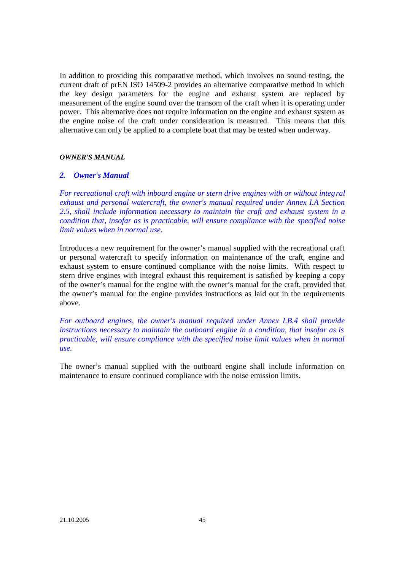In addition to providing this comparative method, which involves no sound testing, the current draft of prEN ISO 14509-2 provides an alternative comparative method in which the key design parameters for the engine and exhaust system are replaced by measurement of the engine sound over the transom of the craft when it is operating under power. This alternative does not require information on the engine and exhaust system as the engine noise of the craft under consideration is measured. This means that this alternative can only be applied to a complete boat that may be tested when underway.

#### *OWNER'S MANUAL*

#### *2. Owner's Manual*

*For recreational craft with inboard engine or stern drive engines with or without integral exhaust and personal watercraft, the owner's manual required under Annex I.A Section 2.5, shall include information necessary to maintain the craft and exhaust system in a condition that, insofar as is practicable, will ensure compliance with the specified noise limit values when in normal use.*

Introduces a new requirement for the owner's manual supplied with the recreational craft or personal watercraft to specify information on maintenance of the craft, engine and exhaust system to ensure continued compliance with the noise limits. With respect to stern drive engines with integral exhaust this requirement is satisfied by keeping a copy of the owner's manual for the engine with the owner's manual for the craft, provided that the owner's manual for the engine provides instructions as laid out in the requirements above.

*For outboard engines, the owner's manual required under Annex I.B.4 shall provide instructions necessary to maintain the outboard engine in a condition, that insofar as is practicable, will ensure compliance with the specified noise limit values when in normal use.*

The owner's manual supplied with the outboard engine shall include information on maintenance to ensure continued compliance with the noise emission limits.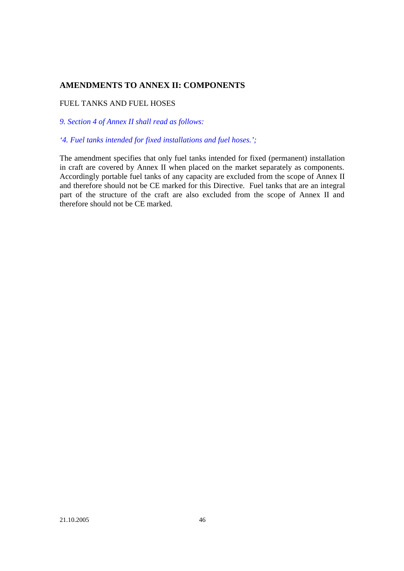# **AMENDMENTS TO ANNEX II: COMPONENTS**

## FUEL TANKS AND FUEL HOSES

*9. Section 4 of Annex II shall read as follows:*

## *'4. Fuel tanks intended for fixed installations and fuel hoses.';*

The amendment specifies that only fuel tanks intended for fixed (permanent) installation in craft are covered by Annex II when placed on the market separately as components. Accordingly portable fuel tanks of any capacity are excluded from the scope of Annex II and therefore should not be CE marked for this Directive. Fuel tanks that are an integral part of the structure of the craft are also excluded from the scope of Annex II and therefore should not be CE marked.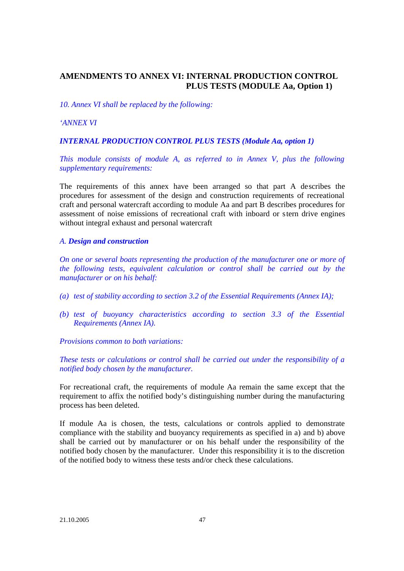# **AMENDMENTS TO ANNEX VI: INTERNAL PRODUCTION CONTROL PLUS TESTS (MODULE Aa, Option 1)**

*10. Annex VI shall be replaced by the following:*

*'ANNEX VI*

*INTERNAL PRODUCTION CONTROL PLUS TESTS (Module Aa, option 1)*

*This module consists of module A, as referred to in Annex V, plus the following supplementary requirements:*

The requirements of this annex have been arranged so that part A describes the procedures for assessment of the design and construction requirements of recreational craft and personal watercraft according to module Aa and part B describes procedures for assessment of noise emissions of recreational craft with inboard or stern drive engines without integral exhaust and personal watercraft

### *A. Design and construction*

*On one or several boats representing the production of the manufacturer one or more of the following tests, equivalent calculation or control shall be carried out by the manufacturer or on his behalf:*

- *(a) test of stability according to section 3.2 of the Essential Requirements (Annex IA);*
- *(b) test of buoyancy characteristics according to section 3.3 of the Essential Requirements (Annex IA).*

*Provisions common to both variations:*

*These tests or calculations or control shall be carried out under the responsibility of a notified body chosen by the manufacturer.*

For recreational craft, the requirements of module Aa remain the same except that the requirement to affix the notified body's distinguishing number during the manufacturing process has been deleted.

If module Aa is chosen, the tests, calculations or controls applied to demonstrate compliance with the stability and buoyancy requirements as specified in a) and b) above shall be carried out by manufacturer or on his behalf under the responsibility of the notified body chosen by the manufacturer. Under this responsibility it is to the discretion of the notified body to witness these tests and/or check these calculations.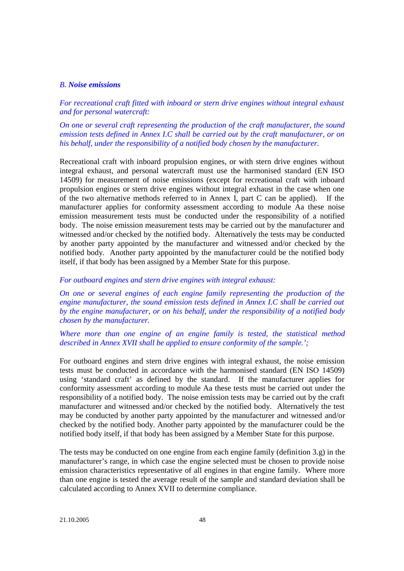### *B. Noise emissions*

*For recreational craft fitted with inboard or stern drive engines without integral exhaust and for personal watercraft:*

*On one or several craft representing the production of the craft manufacturer, the sound emission tests defined in Annex I.C shall be carried out by the craft manufacturer, or on his behalf, under the responsibility of a notified body chosen by the manufacturer.*

Recreational craft with inboard propulsion engines, or with stern drive engines without integral exhaust, and personal watercraft must use the harmonised standard (EN ISO 14509) for measurement of noise emissions (except for recreational craft with inboard propulsion engines or stern drive engines without integral exhaust in the case when one of the two alternative methods referred to in Annex I, part C can be applied). If the manufacturer applies for conformity assessment according to module Aa these noise emission measurement tests must be conducted under the responsibility of a notified body. The noise emission measurement tests may be carried out by the manufacturer and witnessed and/or checked by the notified body. Alternatively the tests may be conducted by another party appointed by the manufacturer and witnessed and/or checked by the notified body. Another party appointed by the manufacturer could be the notified body itself, if that body has been assigned by a Member State for this purpose.

#### *For outboard engines and stern drive engines with integral exhaust:*

*On one or several engines of each engine family representing the production of the engine manufacturer, the sound emission tests defined in Annex I.C shall be carried out by the engine manufacturer, or on his behalf, under the responsibility of a notified body chosen by the manufacturer.*

## *Where more than one engine of an engine family is tested, the statistical method described in Annex XVII shall be applied to ensure conformity of the sample.';*

For outboard engines and stern drive engines with integral exhaust, the noise emission tests must be conducted in accordance with the harmonised standard (EN ISO 14509) using 'standard craft' as defined by the standard. If the manufacturer applies for conformity assessment according to module Aa these tests must be carried out under the responsibility of a notified body. The noise emission tests may be carried out by the craft manufacturer and witnessed and/or checked by the notified body. Alternatively the test may be conducted by another party appointed by the manufacturer and witnessed and/or checked by the notified body. Another party appointed by the manufacturer could be the notified body itself, if that body has been assigned by a Member State for this purpose.

The tests may be conducted on one engine from each engine family (definition 3.g) in the manufacturer's range, in which case the engine selected must be chosen to provide noise emission characteristics representative of all engines in that engine family. Where more than one engine is tested the average result of the sample and standard deviation shall be calculated according to Annex XVII to determine compliance.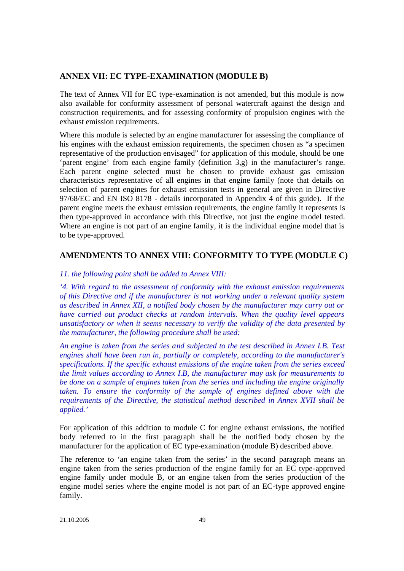# **ANNEX VII: EC TYPE-EXAMINATION (MODULE B)**

The text of Annex VII for EC type-examination is not amended, but this module is now also available for conformity assessment of personal watercraft against the design and construction requirements, and for assessing conformity of propulsion engines with the exhaust emission requirements.

Where this module is selected by an engine manufacturer for assessing the compliance of his engines with the exhaust emission requirements, the specimen chosen as "a specimen representative of the production envisaged" for application of this module, should be one 'parent engine' from each engine family (definition 3,g) in the manufacturer's range. Each parent engine selected must be chosen to provide exhaust gas emission characteristics representative of all engines in that engine family (note that details on selection of parent engines for exhaust emission tests in general are given in Directive 97/68/EC and EN ISO 8178 - details incorporated in Appendix 4 of this guide). If the parent engine meets the exhaust emission requirements, the engine family it represents is then type-approved in accordance with this Directive, not just the engine model tested. Where an engine is not part of an engine family, it is the individual engine model that is to be type-approved.

# **AMENDMENTS TO ANNEX VIII: CONFORMITY TO TYPE (MODULE C)**

# *11. the following point shall be added to Annex VIII:*

*'4. With regard to the assessment of conformity with the exhaust emission requirements of this Directive and if the manufacturer is not working under a relevant quality system as described in Annex XII, a notified body chosen by the manufacturer may carry out or have carried out product checks at random intervals. When the quality level appears unsatisfactory or when it seems necessary to verify the validity of the data presented by the manufacturer, the following procedure shall be used:*

*An engine is taken from the series and subjected to the test described in Annex I.B. Test engines shall have been run in, partially or completely, according to the manufacturer's specifications. If the specific exhaust emissions of the engine taken from the series exceed the limit values according to Annex I.B, the manufacturer may ask for measurements to be done on a sample of engines taken from the series and including the engine originally taken. To ensure the conformity of the sample of engines defined above with the requirements of the Directive, the statistical method described in Annex XVII shall be applied.'*

For application of this addition to module C for engine exhaust emissions, the notified body referred to in the first paragraph shall be the notified body chosen by the manufacturer for the application of EC type-examination (module B) described above.

The reference to 'an engine taken from the series' in the second paragraph means an engine taken from the series production of the engine family for an EC type-approved engine family under module B, or an engine taken from the series production of the engine model series where the engine model is not part of an EC-type approved engine family.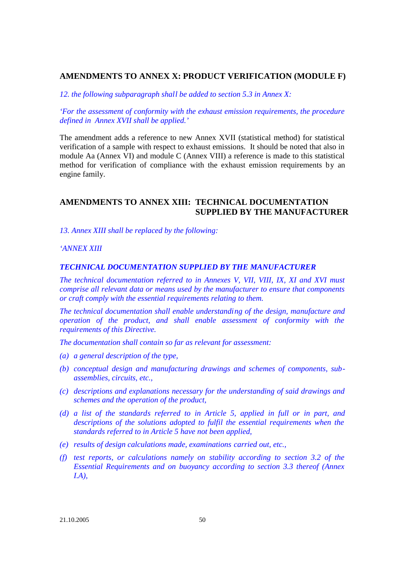# **AMENDMENTS TO ANNEX X: PRODUCT VERIFICATION (MODULE F)**

*12. the following subparagraph shall be added to section 5.3 in Annex X:*

*'For the assessment of conformity with the exhaust emission requirements, the procedure defined in Annex XVII shall be applied.'*

The amendment adds a reference to new Annex XVII (statistical method) for statistical verification of a sample with respect to exhaust emissions. It should be noted that also in module Aa (Annex VI) and module C (Annex VIII) a reference is made to this statistical method for verification of compliance with the exhaust emission requirements by an engine family.

# **AMENDMENTS TO ANNEX XIII: TECHNICAL DOCUMENTATION SUPPLIED BY THE MANUFACTURER**

*13. Annex XIII shall be replaced by the following:*

## *'ANNEX XIII*

## *TECHNICAL DOCUMENTATION SUPPLIED BY THE MANUFACTURER*

*The technical documentation referred to in Annexes V, VII, VIII, IX, XI and XVI must comprise all relevant data or means used by the manufacturer to ensure that components or craft comply with the essential requirements relating to them.*

*The technical documentation shall enable understanding of the design, manufacture and operation of the product, and shall enable assessment of conformity with the requirements of this Directive.*

*The documentation shall contain so far as relevant for assessment:*

- *(a) a general description of the type,*
- *(b) conceptual design and manufacturing drawings and schemes of components, subassemblies, circuits, etc.,*
- *(c) descriptions and explanations necessary for the understanding of said drawings and schemes and the operation of the product,*
- *(d) a list of the standards referred to in Article 5, applied in full or in part, and*  descriptions of the solutions adopted to fulfil the essential requirements when the *standards referred to in Article 5 have not been applied,*
- *(e) results of design calculations made, examinations carried out, etc.,*
- *(f) test reports, or calculations namely on stability according to section 3.2 of the Essential Requirements and on buoyancy according to section 3.3 thereof (Annex I.A),*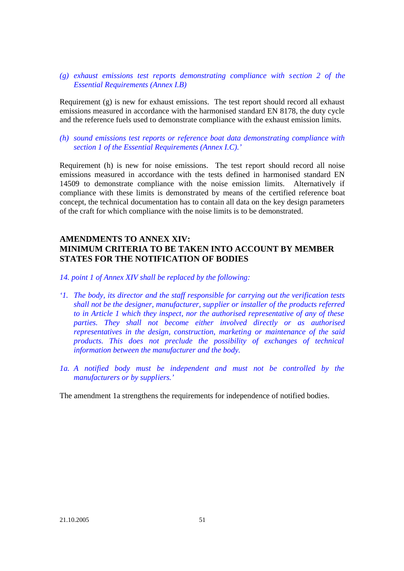## *(g) exhaust emissions test reports demonstrating compliance with section 2 of the Essential Requirements (Annex I.B)*

Requirement (g) is new for exhaust emissions. The test report should record all exhaust emissions measured in accordance with the harmonised standard EN 8178, the duty cycle and the reference fuels used to demonstrate compliance with the exhaust emission limits.

## *(h) sound emissions test reports or reference boat data demonstrating compliance with section 1 of the Essential Requirements (Annex I.C).'*

Requirement (h) is new for noise emissions. The test report should record all noise emissions measured in accordance with the tests defined in harmonised standard EN 14509 to demonstrate compliance with the noise emission limits. Alternatively if compliance with these limits is demonstrated by means of the certified reference boat concept, the technical documentation has to contain all data on the key design parameters of the craft for which compliance with the noise limits is to be demonstrated.

# **AMENDMENTS TO ANNEX XIV: MINIMUM CRITERIA TO BE TAKEN INTO ACCOUNT BY MEMBER STATES FOR THE NOTIFICATION OF BODIES**

*14. point 1 of Annex XIV shall be replaced by the following:*

- *'1. The body, its director and the staff responsible for carrying out the verification tests shall not be the designer, manufacturer, supplier or installer of the products referred to in Article 1 which they inspect, nor the authorised representative of any of these parties. They shall not become either involved directly or as authorised representatives in the design, construction, marketing or maintenance of the said products. This does not preclude the possibility of exchanges of technical information between the manufacturer and the body.*
- *1a. A notified body must be independent and must not be controlled by the manufacturers or by suppliers.'*

The amendment 1a strengthens the requirements for independence of notified bodies.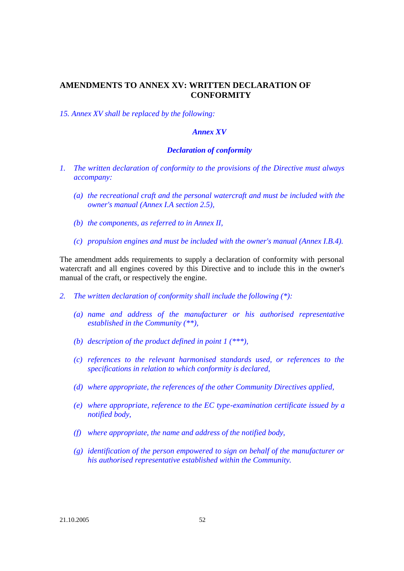# **AMENDMENTS TO ANNEX XV: WRITTEN DECLARATION OF CONFORMITY**

*15. Annex XV shall be replaced by the following:*

## *Annex XV*

### *Declaration of conformity*

- *1. The written declaration of conformity to the provisions of the Directive must always accompany:*
	- *(a) the recreational craft and the personal watercraft and must be included with the owner's manual (Annex I.A section 2.5),*
	- *(b) the components, as referred to in Annex II,*
	- *(c) propulsion engines and must be included with the owner's manual (Annex I.B.4).*

The amendment adds requirements to supply a declaration of conformity with personal watercraft and all engines covered by this Directive and to include this in the owner's manual of the craft, or respectively the engine.

- *2. The written declaration of conformity shall include the following (\*):*
	- *(a) name and address of the manufacturer or his authorised representative established in the Community (\*\*),*
	- *(b) description of the product defined in point 1 (\*\*\*),*
	- *(c) references to the relevant harmonised standards used, or references to the specifications in relation to which conformity is declared,*
	- *(d) where appropriate, the references of the other Community Directives applied,*
	- *(e) where appropriate, reference to the EC type-examination certificate issued by a notified body,*
	- *(f) where appropriate, the name and address of the notified body,*
	- *(g) identification of the person empowered to sign on behalf of the manufacturer or his authorised representative established within the Community.*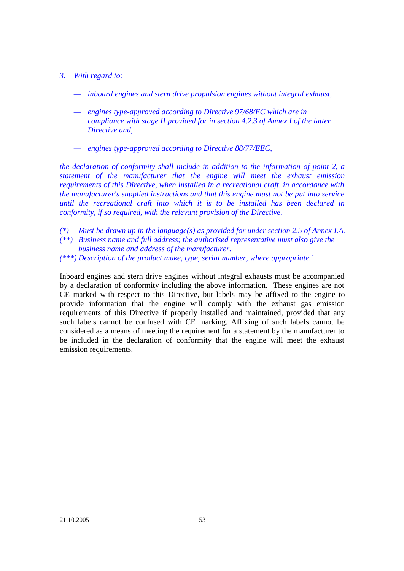- *3. With regard to:*
	- *— inboard engines and stern drive propulsion engines without integral exhaust,*
	- *— engines type-approved according to Directive 97/68/EC which are in compliance with stage II provided for in section 4.2.3 of Annex I of the latter Directive and,*
	- *— engines type-approved according to Directive 88/77/EEC,*

*the declaration of conformity shall include in addition to the information of point 2, a statement of the manufacturer that the engine will meet the exhaust emission requirements of this Directive, when installed in a recreational craft, in accordance with the manufacturer's supplied instructions and that this engine must not be put into service until the recreational craft into which it is to be installed has been declared in conformity, if so required, with the relevant provision of the Directive.*

- *(\*) Must be drawn up in the language(s) as provided for under section 2.5 of Annex I.A. (\*\*) Business name and full address; the authorised representative must also give the business name and address of the manufacturer.*
- *(\*\*\*) Description of the product make, type, serial number, where appropriate.'*

Inboard engines and stern drive engines without integral exhausts must be accompanied by a declaration of conformity including the above information. These engines are not CE marked with respect to this Directive, but labels may be affixed to the engine to provide information that the engine will comply with the exhaust gas emission requirements of this Directive if properly installed and maintained, provided that any such labels cannot be confused with CE marking. Affixing of such labels cannot be considered as a means of meeting the requirement for a statement by the manufacturer to be included in the declaration of conformity that the engine will meet the exhaust emission requirements.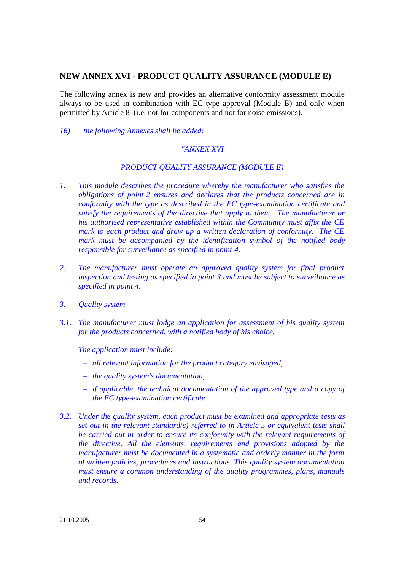# **NEW ANNEX XVI - PRODUCT QUALITY ASSURANCE (MODULE E)**

The following annex is new and provides an alternative conformity assessment module always to be used in combination with EC-type approval (Module B) and only when permitted by Article 8 (i.e. not for components and not for noise emissions).

*16) the following Annexes shall be added:*

## *"ANNEX XVI*

## *PRODUCT QUALITY ASSURANCE (MODULE E)*

- *1. This module describes the procedure whereby the manufacturer who satisfies the obligations of point 2 ensures and declares that the products concerned are in conformity with the type as described in the EC type-examination certificate and satisfy the requirements of the directive that apply to them. The manufacturer or his authorised representative established within the Community must affix the CE mark to each product and draw up a written declaration of conformity. The CE mark must be accompanied by the identification symbol of the notified body responsible for surveillance as specified in point 4.*
- *2. The manufacturer must operate an approved quality system for final product inspection and testing as specified in point 3 and must be subject to surveillance as specified in point 4.*
- *3. Quality system*
- *3.1. The manufacturer must lodge an application for assessment of his quality system for the products concerned, with a notified body of his choice.*

*The application must include:*

- *– all relevant information for the product category envisaged,*
- *– the quality system's documentation,*
- *– if applicable, the technical documentation of the approved type and a copy of the EC type-examination certificate.*
- *3.2. Under the quality system, each product must be examined and appropriate tests as set out in the relevant standard(s) referred to in Article 5 or equivalent tests shall be carried out in order to ensure its conformity with the relevant requirements of the directive. All the elements, requirements and provisions adopted by the manufacturer must be documented in a systematic and orderly manner in the form of written policies, procedures and instructions. This quality system documentation must ensure a common understanding of the quality programmes, plans, manuals and records.*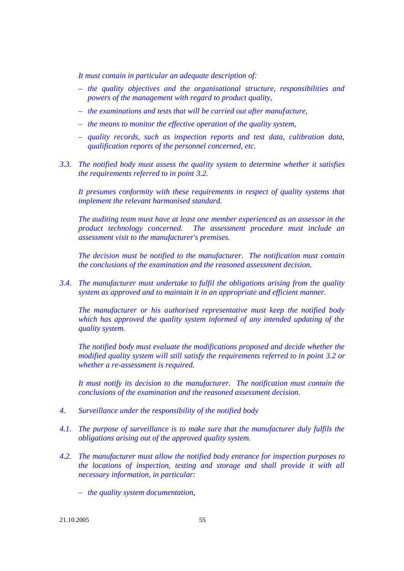*It must contain in particular an adequate description of:*

- *– the quality objectives and the organisational structure, responsibilities and powers of the management with regard to product quality,*
- *– the examinations and tests that will be carried out after manufacture,*
- *– the means to monitor the effective operation of the quality system,*
- *– quality records, such as inspection reports and test data, calibration data, qualification reports of the personnel concerned, etc.*
- *3.3. The notified body must assess the quality system to determine whether it satisfies the requirements referred to in point 3.2.*

*It presumes conformity with these requirements in respect of quality systems that implement the relevant harmonised standard.*

*The auditing team must have at least one member experienced as an assessor in the product technology concerned. The assessment procedure must include an assessment visit to the manufacturer's premises.*

*The decision must be notified to the manufacturer. The notification must contain the conclusions of the examination and the reasoned assessment decision.*

*3.4. The manufacturer must undertake to fulfil the obligations arising from the quality system as approved and to maintain it in an appropriate and efficient manner.*

*The manufacturer or his authorised representative must keep the notified body which has approved the quality system informed of any intended updating of the quality system.*

*The notified body must evaluate the modifications proposed and decide whether the modified quality system will still satisfy the requirements referred to in point 3.2 or whether a re-assessment is required.*

*It must notify its decision to the manufacturer. The notification must contain the conclusions of the examination and the reasoned assessment decision.*

- *4. Surveillance under the responsibility of the notified body*
- *4.1. The purpose of surveillance is to make sure that the manufacturer duly fulfils the obligations arising out of the approved quality system.*
- *4.2. The manufacturer must allow the notified body entrance for inspection purposes to the locations of inspection, testing and storage and shall provide it with all necessary information, in particular:*
	- *– the quality system documentation,*

21.10.2005 55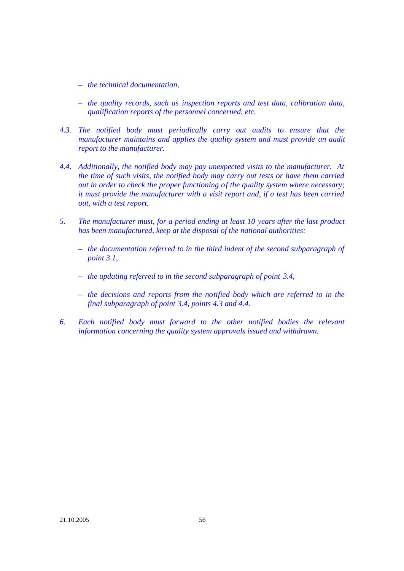- *– the technical documentation,*
- *– the quality records, such as inspection reports and test data, calibration data, qualification reports of the personnel concerned, etc.*
- *4.3. The notified body must periodically carry out audits to ensure that the manufacturer maintains and applies the quality system and must provide an audit report to the manufacturer.*
- *4.4. Additionally, the notified body may pay unexpected visits to the manufacturer. At the time of such visits, the notified body may carry out tests or have them carried out in order to check the proper functioning of the quality system where necessary; it must provide the manufacturer with a visit report and, if a test has been carried out, with a test report.*
- *5. The manufacturer must, for a period ending at least 10 years after the last product has been manufactured, keep at the disposal of the national authorities:*
	- *– the documentation referred to in the third indent of the second subparagraph of point 3.1,*
	- *– the updating referred to in the second subparagraph of point 3.4,*
	- *– the decisions and reports from the notified body which are referred to in the final subparagraph of point 3.4, points 4.3 and 4.4.*
- *6. Each notified body must forward to the other notified bodies the relevant information concerning the quality system approvals issued and withdrawn.*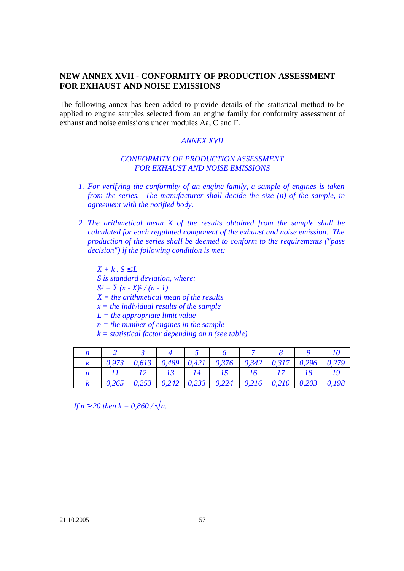# **NEW ANNEX XVII - CONFORMITY OF PRODUCTION ASSESSMENT FOR EXHAUST AND NOISE EMISSIONS**

The following annex has been added to provide details of the statistical method to be applied to engine samples selected from an engine family for conformity assessment of exhaust and noise emissions under modules Aa, C and F.

#### *ANNEX XVII*

# *CONFORMITY OF PRODUCTION ASSESSMENT FOR EXHAUST AND NOISE EMISSIONS*

- *1. For verifying the conformity of an engine family, a sample of engines is taken from the series. The manufacturer shall decide the size (n) of the sample, in agreement with the notified body.*
- *2. The arithmetical mean X of the results obtained from the sample shall be calculated for each regulated component of the exhaust and noise emission. The production of the series shall be deemed to conform to the requirements ("pass decision") if the following condition is met:*

 $X + k$ ,  $S \nL$ *S is standard deviation, where:*  $S^2 = S(x - X)^2/(n - 1)$ *X = the arithmetical mean of the results x = the individual results of the sample L = the appropriate limit value n = the number of engines in the sample k = statistical factor depending on n (see table)*

|  |  | 3 4 5 6 7 8 9                              |  |  |
|--|--|--------------------------------------------|--|--|
|  |  |                                            |  |  |
|  |  | 11   12   13   14   15   16   17   18   19 |  |  |
|  |  |                                            |  |  |

*If n* <sup>3</sup> 20 then  $k = 0.860 / \sqrt{n}$ .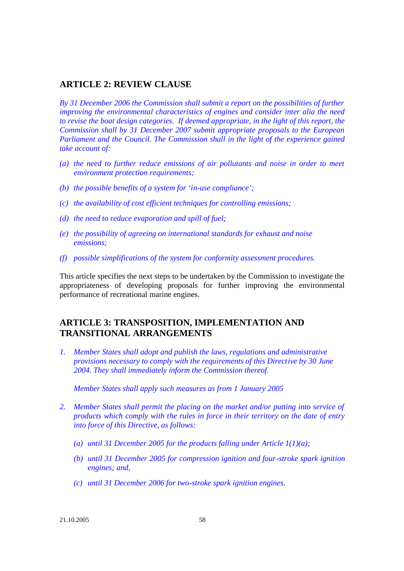# **ARTICLE 2: REVIEW CLAUSE**

*By 31 December 2006 the Commission shall submit a report on the possibilities of further improving the environmental characteristics of engines and consider inter alia the need to revise the boat design categories. If deemed appropriate, in the light of this report, the Commission shall by 31 December 2007 submit appropriate proposals to the European Parliament and the Council. The Commission shall in the light of the experience gained take account of:*

- *(a) the need to further reduce emissions of air pollutants and noise in order to meet environment protection requirements;*
- *(b) the possible benefits of a system for 'in-use compliance';*
- *(c) the availability of cost efficient techniques for controlling emissions;*
- *(d) the need to reduce evaporation and spill of fuel;*
- *(e) the possibility of agreeing on international standards for exhaust and noise emissions;*
- *(f) possible simplifications of the system for conformity assessment procedures.*

This article specifies the next steps to be undertaken by the Commission to investigate the appropriateness of developing proposals for further improving the environmental performance of recreational marine engines.

# **ARTICLE 3: TRANSPOSITION, IMPLEMENTATION AND TRANSITIONAL ARRANGEMENTS**

*1. Member States shall adopt and publish the laws, regulations and administrative provisions necessary to comply with the requirements of this Directive by 30 June 2004. They shall immediately inform the Commission thereof.* 

*Member States shall apply such measures as from 1 January 2005*

- *2. Member States shall permit the placing on the market and/or putting into service of products which comply with the rules in force in their territory on the date of entry into force of this Directive, as follows:*
	- *(a) until 31 December 2005 for the products falling under Article 1(1)(a);*
	- *(b) until 31 December 2005 for compression ignition and four-stroke spark ignition engines; and,*
	- *(c) until 31 December 2006 for two-stroke spark ignition engines.*

21.10.2005 58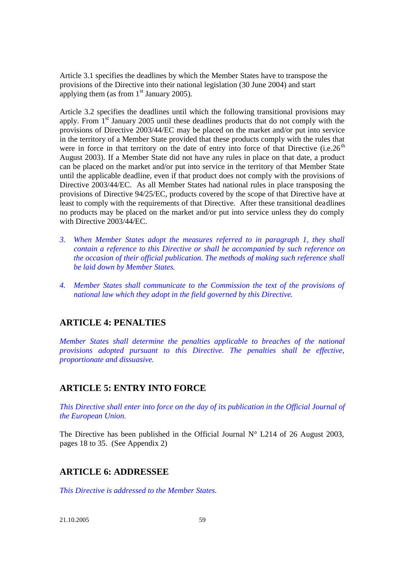Article 3.1 specifies the deadlines by which the Member States have to transpose the provisions of the Directive into their national legislation (30 June 2004) and start applying them (as from  $1<sup>st</sup>$  January 2005).

Article 3.2 specifies the deadlines until which the following transitional provisions may apply. From 1<sup>st</sup> January 2005 until these deadlines products that do not comply with the provisions of Directive 2003/44/EC may be placed on the market and/or put into service in the territory of a Member State provided that these products comply with the rules that were in force in that territory on the date of entry into force of that Directive  $(i.e.26<sup>th</sup>$ August 2003). If a Member State did not have any rules in place on that date, a product can be placed on the market and/or put into service in the territory of that Member State until the applicable deadline, even if that product does not comply with the provisions of Directive 2003/44/EC. As all Member States had national rules in place transposing the provisions of Directive 94/25/EC, products covered by the scope of that Directive have at least to comply with the requirements of that Directive. After these transitional deadlines no products may be placed on the market and/or put into service unless they do comply with Directive 2003/44/EC.

- *3. When Member States adopt the measures referred to in paragraph 1, they shall contain a reference to this Directive or shall be accompanied by such reference on the occasion of their official publication. The methods of making such reference shall be laid down by Member States.*
- *4. Member States shall communicate to the Commission the text of the provisions of national law which they adopt in the field governed by this Directive.*

# **ARTICLE 4: PENALTIES**

*Member States shall determine the penalties applicable to breaches of the national provisions adopted pursuant to this Directive. The penalties shall be effective, proportionate and dissuasive.*

# **ARTICLE 5: ENTRY INTO FORCE**

*This Directive shall enter into force on the day of its publication in the Official Journal of the European Union.*

The Directive has been published in the Official Journal  $N^{\circ}$  L214 of 26 August 2003, pages 18 to 35. (See Appendix 2)

# **ARTICLE 6: ADDRESSEE**

*This Directive is addressed to the Member States.*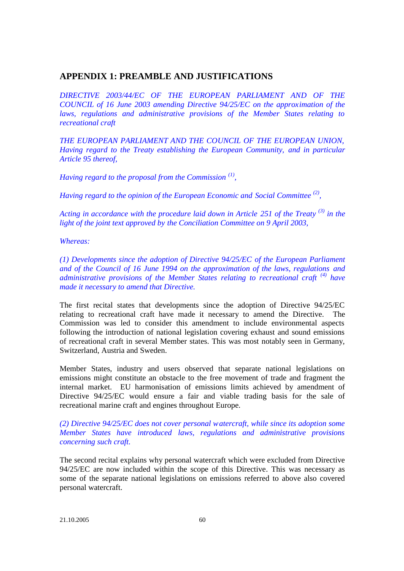# **APPENDIX 1: PREAMBLE AND JUSTIFICATIONS**

*DIRECTIVE 2003/44/EC OF THE EUROPEAN PARLIAMENT AND OF THE COUNCIL of 16 June 2003 amending Directive 94/25/EC on the approximation of the laws, regulations and administrative provisions of the Member States relating to recreational craft*

*THE EUROPEAN PARLIAMENT AND THE COUNCIL OF THE EUROPEAN UNION, Having regard to the Treaty establishing the European Community, and in particular Article 95 thereof,*

*Having regard to the proposal from the Commission (1) ,*

*Having regard to the opinion of the European Economic and Social Committee (2) ,*

*Acting in accordance with the procedure laid down in Article 251 of the Treaty (3) in the light of the joint text approved by the Conciliation Committee on 9 April 2003,*

*Whereas:*

*(1) Developments since the adoption of Directive 94/25/EC of the European Parliament and of the Council of 16 June 1994 on the approximation of the laws, regulations and administrative provisions of the Member States relating to recreational craft (4) have made it necessary to amend that Directive.*

The first recital states that developments since the adoption of Directive 94/25/EC relating to recreational craft have made it necessary to amend the Directive. The Commission was led to consider this amendment to include environmental aspects following the introduction of national legislation covering exhaust and sound emissions of recreational craft in several Member states. This was most notably seen in Germany, Switzerland, Austria and Sweden.

Member States, industry and users observed that separate national legislations on emissions might constitute an obstacle to the free movement of trade and fragment the internal market. EU harmonisation of emissions limits achieved by amendment of Directive 94/25/EC would ensure a fair and viable trading basis for the sale of recreational marine craft and engines throughout Europe.

*(2) Directive 94/25/EC does not cover personal watercraft, while since its adoption some Member States have introduced laws, regulations and administrative provisions concerning such craft.*

The second recital explains why personal watercraft which were excluded from Directive 94/25/EC are now included within the scope of this Directive. This was necessary as some of the separate national legislations on emissions referred to above also covered personal watercraft.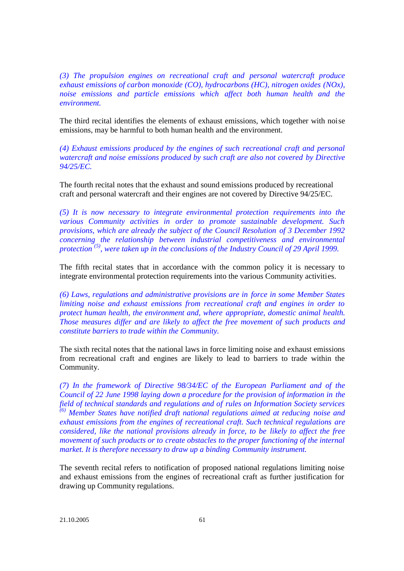*(3) The propulsion engines on recreational craft and personal watercraft produce exhaust emissions of carbon monoxide (CO), hydrocarbons (HC), nitrogen oxides (NOx), noise emissions and particle emissions which affect both human health and the environment.*

The third recital identifies the elements of exhaust emissions, which together with noise emissions, may be harmful to both human health and the environment.

*(4) Exhaust emissions produced by the engines of such recreational craft and personal watercraft and noise emissions produced by such craft are also not covered by Directive 94/25/EC.*

The fourth recital notes that the exhaust and sound emissions produced by recreational craft and personal watercraft and their engines are not covered by Directive 94/25/EC.

*(5) It is now necessary to integrate environmental protection requirements into the various Community activities in order to promote sustainable development. Such provisions, which are already the subject of the Council Resolution of 3 December 1992 concerning the relationship between industrial competitiveness and environmental protection (5), were taken up in the conclusions of the Industry Council of 29 April 1999.*

The fifth recital states that in accordance with the common policy it is necessary to integrate environmental protection requirements into the various Community activities.

*(6) Laws, regulations and administrative provisions are in force in some Member States limiting noise and exhaust emissions from recreational craft and engines in order to protect human health, the environment and, where appropriate, domestic animal health. Those measures differ and are likely to affect the free movement of such products and constitute barriers to trade within the Community.*

The sixth recital notes that the national laws in force limiting noise and exhaust emissions from recreational craft and engines are likely to lead to barriers to trade within the Community.

*(7) In the framework of Directive 98/34/EC of the European Parliament and of the Council of 22 June 1998 laying down a procedure for the provision of information in the field of technical standards and regulations and of rules on Information Society services (6) Member States have notified draft national regulations aimed at reducing noise and exhaust emissions from the engines of recreational craft. Such technical regulations are considered, like the national provisions already in force, to be likely to affect the free movement of such products or to create obstacles to the proper functioning of the internal market. It is therefore necessary to draw up a binding Community instrument.*

The seventh recital refers to notification of proposed national regulations limiting noise and exhaust emissions from the engines of recreational craft as further justification for drawing up Community regulations.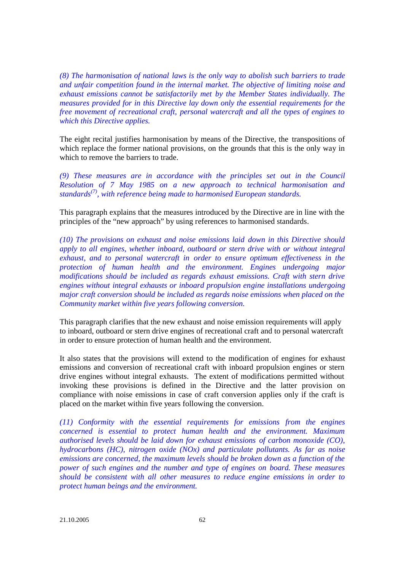*(8) The harmonisation of national laws is the only way to abolish such barriers to trade and unfair competition found in the internal market. The objective of limiting noise and exhaust emissions cannot be satisfactorily met by the Member States individually. The measures provided for in this Directive lay down only the essential requirements for the free movement of recreational craft, personal watercraft and all the types of engines to which this Directive applies.*

The eight recital justifies harmonisation by means of the Directive, the transpositions of which replace the former national provisions, on the grounds that this is the only way in which to remove the barriers to trade.

*(9) These measures are in accordance with the principles set out in the Council Resolution of 7 May 1985 on a new approach to technical harmonisation and standards(7) , with reference being made to harmonised European standards.*

This paragraph explains that the measures introduced by the Directive are in line with the principles of the "new approach" by using references to harmonised standards.

*(10) The provisions on exhaust and noise emissions laid down in this Directive should apply to all engines, whether inboard, outboard or stern drive with or without integral exhaust, and to personal watercraft in order to ensure optimum effectiveness in the protection of human health and the environment. Engines undergoing major modifications should be included as regards exhaust emissions. Craft with stern drive engines without integral exhausts or inboard propulsion engine installations undergoing major craft conversion should be included as regards noise emissions when placed on the Community market within five years following conversion.*

This paragraph clarifies that the new exhaust and noise emission requirements will apply to inboard, outboard or stern drive engines of recreational craft and to personal watercraft in order to ensure protection of human health and the environment.

It also states that the provisions will extend to the modification of engines for exhaust emissions and conversion of recreational craft with inboard propulsion engines or stern drive engines without integral exhausts. The extent of modifications permitted without invoking these provisions is defined in the Directive and the latter provision on compliance with noise emissions in case of craft conversion applies only if the craft is placed on the market within five years following the conversion.

*(11) Conformity with the essential requirements for emissions from the engines concerned is essential to protect human health and the environment. Maximum authorised levels should be laid down for exhaust emissions of carbon monoxide (CO), hydrocarbons (HC), nitrogen oxide (NOx) and particulate pollutants. As far as noise emissions are concerned, the maximum levels should be broken down as a function of the power of such engines and the number and type of engines on board. These measures should be consistent with all other measures to reduce engine emissions in order to protect human beings and the environment.*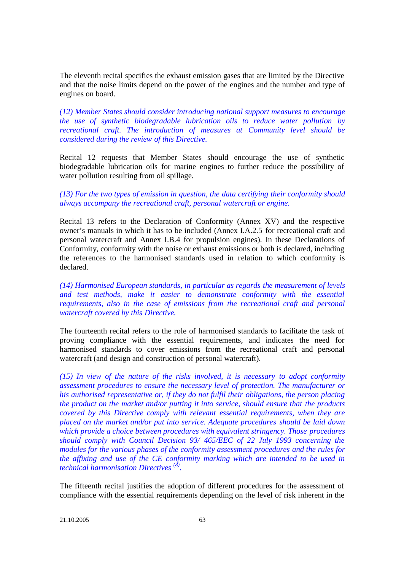The eleventh recital specifies the exhaust emission gases that are limited by the Directive and that the noise limits depend on the power of the engines and the number and type of engines on board.

*(12) Member States should consider introducing national support measures to encourage the use of synthetic biodegradable lubrication oils to reduce water pollution by recreational craft. The introduction of measures at Community level should be considered during the review of this Directive.*

Recital 12 requests that Member States should encourage the use of synthetic biodegradable lubrication oils for marine engines to further reduce the possibility of water pollution resulting from oil spillage.

## *(13) For the two types of emission in question, the data certifying their conformity should always accompany the recreational craft, personal watercraft or engine.*

Recital 13 refers to the Declaration of Conformity (Annex XV) and the respective owner's manuals in which it has to be included (Annex I.A.2.5 for recreational craft and personal watercraft and Annex I.B.4 for propulsion engines). In these Declarations of Conformity, conformity with the noise or exhaust emissions or both is declared, including the references to the harmonised standards used in relation to which conformity is declared.

*(14) Harmonised European standards, in particular as regards the measurement of levels and test methods, make it easier to demonstrate conformity with the essential requirements, also in the case of emissions from the recreational craft and personal watercraft covered by this Directive.*

The fourteenth recital refers to the role of harmonised standards to facilitate the task of proving compliance with the essential requirements, and indicates the need for harmonised standards to cover emissions from the recreational craft and personal watercraft (and design and construction of personal watercraft).

*(15) In view of the nature of the risks involved, it is necessary to adopt conformity assessment procedures to ensure the necessary level of protection. The manufacturer or his authorised representative or, if they do not fulfil their obligations, the person placing the product on the market and/or putting it into service, should ensure that the products covered by this Directive comply with relevant essential requirements, when they are placed on the market and/or put into service. Adequate procedures should be laid down which provide a choice between procedures with equivalent stringency. Those procedures should comply with Council Decision 93/ 465/EEC of 22 July 1993 concerning the modules for the various phases of the conformity assessment procedures and the rules for the affixing and use of the CE conformity marking which are intended to be used in technical harmonisation Directives (8) .*

The fifteenth recital justifies the adoption of different procedures for the assessment of compliance with the essential requirements depending on the level of risk inherent in the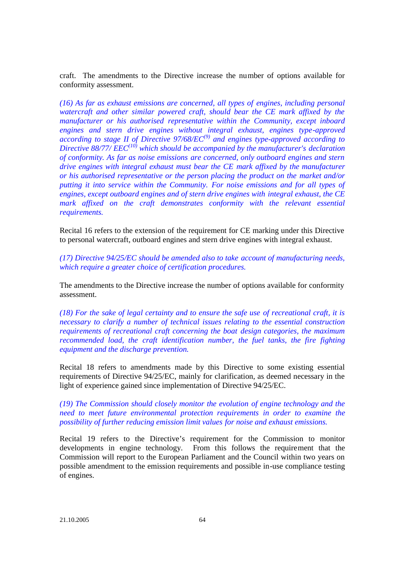craft. The amendments to the Directive increase the number of options available for conformity assessment.

*(16) As far as exhaust emissions are concerned, all types of engines, including personal watercraft and other similar powered craft, should bear the CE mark affixed by the manufacturer or his authorised representative within the Community, except inboard engines and stern drive engines without integral exhaust, engines type-approved according to stage II of Directive 97/68/EC(9) and engines type-approved according to Directive 88/77/ EEC(10) which should be accompanied by the manufacturer's declaration of conformity. As far as noise emissions are concerned, only outboard engines and stern drive engines with integral exhaust must bear the CE mark affixed by the manufacturer or his authorised representative or the person placing the product on the market and/or putting it into service within the Community. For noise emissions and for all types of engines, except outboard engines and of stern drive engines with integral exhaust, the CE mark affixed on the craft demonstrates conformity with the relevant essential requirements.*

Recital 16 refers to the extension of the requirement for CE marking under this Directive to personal watercraft, outboard engines and stern drive engines with integral exhaust.

*(17) Directive 94/25/EC should be amended also to take account of manufacturing needs, which require a greater choice of certification procedures.*

The amendments to the Directive increase the number of options available for conformity assessment.

*(18) For the sake of legal certainty and to ensure the safe use of recreational craft, it is necessary to clarify a number of technical issues relating to the essential construction requirements of recreational craft concerning the boat design categories, the maximum recommended load, the craft identification number, the fuel tanks, the fire fighting equipment and the discharge prevention.*

Recital 18 refers to amendments made by this Directive to some existing essential requirements of Directive 94/25/EC, mainly for clarification, as deemed necessary in the light of experience gained since implementation of Directive 94/25/EC.

*(19) The Commission should closely monitor the evolution of engine technology and the need to meet future environmental protection requirements in order to examine the possibility of further reducing emission limit values for noise and exhaust emissions.*

Recital 19 refers to the Directive's requirement for the Commission to monitor developments in engine technology. From this follows the requirement that the Commission will report to the European Parliament and the Council within two years on possible amendment to the emission requirements and possible in-use compliance testing of engines.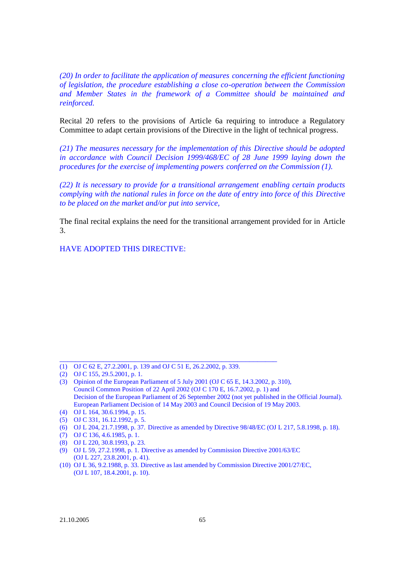*(20) In order to facilitate the application of measures concerning the efficient functioning of legislation, the procedure establishing a close co-operation between the Commission and Member States in the framework of a Committee should be maintained and reinforced.*

Recital 20 refers to the provisions of Article 6a requiring to introduce a Regulatory Committee to adapt certain provisions of the Directive in the light of technical progress.

*(21) The measures necessary for the implementation of this Directive should be adopted in accordance with Council Decision 1999/468/EC of 28 June 1999 laying down the procedures for the exercise of implementing powers conferred on the Commission (1).*

*(22) It is necessary to provide for a transitional arrangement enabling certain products complying with the national rules in force on the date of entry into force of this Directive to be placed on the market and/or put into service,*

The final recital explains the need for the transitional arrangement provided for in Article 3.

HAVE ADOPTED THIS DIRECTIVE:

\_\_\_\_\_\_\_\_\_\_\_\_\_\_\_\_\_\_\_\_\_\_\_\_\_\_\_\_\_\_\_\_\_\_\_\_\_\_\_\_\_\_\_\_\_\_\_\_\_\_\_\_\_\_\_

<sup>(1)</sup> OJ C 62 E, 27.2.2001, p. 139 and OJ C 51 E, 26.2.2002, p. 339.

<sup>(2)</sup> OJ C 155, 29.5.2001, p. 1.

<sup>(3)</sup> Opinion of the European Parliament of 5 July 2001 (OJ C 65 E, 14.3.2002, p. 310), Council Common Position of 22 April 2002 (OJ C 170 E, 16.7.2002, p. 1) and Decision of the European Parliament of 26 September 2002 (not yet published in the Official Journal). European Parliament Decision of 14 May 2003 and Council Decision of 19 May 2003.

<sup>(4)</sup> OJ L 164, 30.6.1994, p. 15.

<sup>(5)</sup> OJ C 331, 16.12.1992, p. 5.

<sup>(6)</sup> OJ L 204, 21.7.1998, p. 37. Directive as amended by Directive 98/48/EC (OJ L 217, 5.8.1998, p. 18).

<sup>(7)</sup> OJ C 136, 4.6.1985, p. 1.

<sup>(8)</sup> OJ L 220, 30.8.1993, p. 23.

<sup>(9)</sup> OJ L 59, 27.2.1998, p. 1. Directive as amended by Commission Directive 2001/63/EC (OJ L 227, 23.8.2001, p. 41).

<sup>(10)</sup> OJ L 36, 9.2.1988, p. 33. Directive as last amended by Commission Directive 2001/27/EC, (OJ L 107, 18.4.2001, p. 10).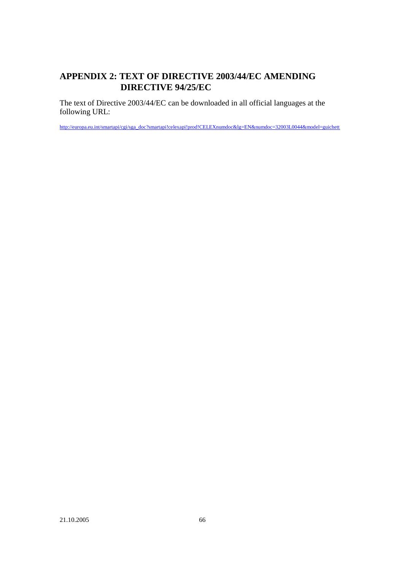# **APPENDIX 2: TEXT OF DIRECTIVE 2003/44/EC AMENDING DIRECTIVE 94/25/EC**

The text of Directive 2003/44/EC can be downloaded in all official languages at the following URL:

http://europa.eu.int/smartapi/cgi/sga\_doc?smartapi!celexapi!prod!CELEXnumdoc&lg=EN&numdoc=32003L0044&model=guichett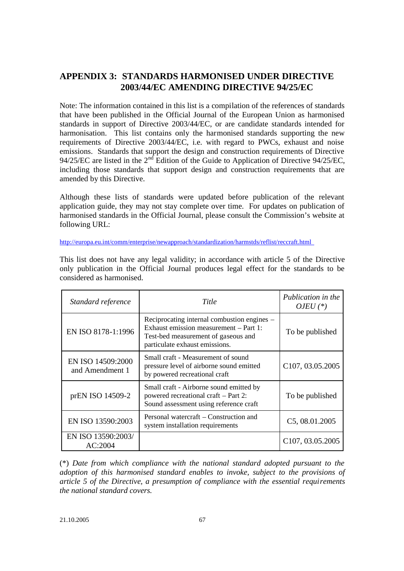# **APPENDIX 3: STANDARDS HARMONISED UNDER DIRECTIVE 2003/44/EC AMENDING DIRECTIVE 94/25/EC**

Note: The information contained in this list is a compilation of the references of standards that have been published in the Official Journal of the European Union as harmonised standards in support of Directive 2003/44/EC, or are candidate standards intended for harmonisation. This list contains only the harmonised standards supporting the new requirements of Directive 2003/44/EC, i.e. with regard to PWCs, exhaust and noise emissions. Standards that support the design and construction requirements of Directive 94/25/EC are listed in the  $2<sup>nd</sup>$  Edition of the Guide to Application of Directive 94/25/EC, including those standards that support design and construction requirements that are amended by this Directive.

Although these lists of standards were updated before publication of the relevant application guide, they may not stay complete over time. For updates on publication of harmonised standards in the Official Journal, please consult the Commission's website at following URL:

http://europa.eu.int/comm/enterprise/newapproach/standardization/harmstds/reflist/reccraft.html

This list does not have any legal validity; in accordance with article 5 of the Directive only publication in the Official Journal produces legal effect for the standards to be considered as harmonised.

| Standard reference                   | Title                                                                                                                                                          | Publication in the<br>OJEU $(*)$ |
|--------------------------------------|----------------------------------------------------------------------------------------------------------------------------------------------------------------|----------------------------------|
| EN ISO 8178-1:1996                   | Reciprocating internal combustion engines –<br>Exhaust emission measurement - Part 1:<br>Test-bed measurement of gaseous and<br>particulate exhaust emissions. | To be published                  |
| EN ISO 14509:2000<br>and Amendment 1 | Small craft - Measurement of sound<br>pressure level of airborne sound emitted<br>by powered recreational craft                                                | C107, 03.05.2005                 |
| prEN ISO 14509-2                     | Small craft - Airborne sound emitted by<br>powered recreational craft – Part 2:<br>Sound assessment using reference craft                                      | To be published                  |
| EN ISO 13590:2003                    | Personal watercraft – Construction and<br>system installation requirements                                                                                     | C5, 08.01.2005                   |
| EN ISO 13590:2003/<br>AC:2004        |                                                                                                                                                                | C <sub>107</sub> , 03.05.2005    |

(\*) *Date from which compliance with the national standard adopted pursuant to the adoption of this harmonised standard enables to invoke, subject to the provisions of article 5 of the Directive, a presumption of compliance with the essential requirements the national standard covers.*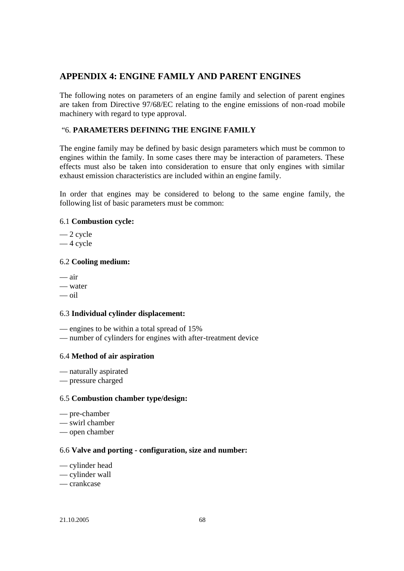# **APPENDIX 4: ENGINE FAMILY AND PARENT ENGINES**

The following notes on parameters of an engine family and selection of parent engines are taken from Directive 97/68/EC relating to the engine emissions of non-road mobile machinery with regard to type approval.

# "6. **PARAMETERS DEFINING THE ENGINE FAMILY**

The engine family may be defined by basic design parameters which must be common to engines within the family. In some cases there may be interaction of parameters. These effects must also be taken into consideration to ensure that only engines with similar exhaust emission characteristics are included within an engine family.

In order that engines may be considered to belong to the same engine family, the following list of basic parameters must be common:

## 6.1 **Combustion cycle:**

— 2 cycle

— 4 cycle

## 6.2 **Cooling medium:**

- air — water
- oil

# 6.3 **Individual cylinder displacement:**

— engines to be within a total spread of 15%

— number of cylinders for engines with after-treatment device

# 6.4 **Method of air aspiration**

— naturally aspirated

— pressure charged

### 6.5 **Combustion chamber type/design:**

- pre-chamber
- swirl chamber

— open chamber

### 6.6 **Valve and porting - configuration, size and number:**

— cylinder head

- cylinder wall
- crankcase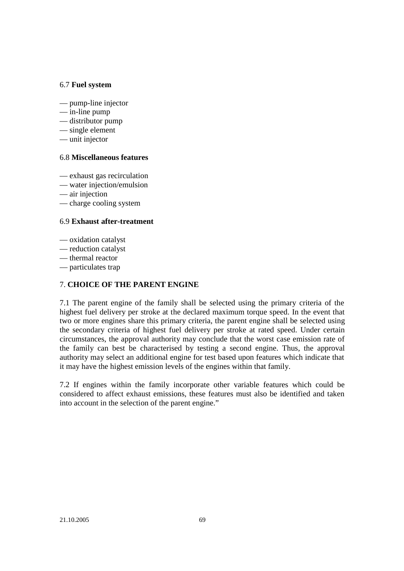## 6.7 **Fuel system**

- pump-line injector
- in-line pump
- distributor pump
- single element
- unit injector

### 6.8 **Miscellaneous features**

- exhaust gas recirculation
- water injection/emulsion
- air injection
- charge cooling system

## 6.9 **Exhaust after-treatment**

- oxidation catalyst
- reduction catalyst
- thermal reactor
- particulates trap

# 7. **CHOICE OF THE PARENT ENGINE**

7.1 The parent engine of the family shall be selected using the primary criteria of the highest fuel delivery per stroke at the declared maximum torque speed. In the event that two or more engines share this primary criteria, the parent engine shall be selected using the secondary criteria of highest fuel delivery per stroke at rated speed. Under certain circumstances, the approval authority may conclude that the worst case emission rate of the family can best be characterised by testing a second engine. Thus, the approval authority may select an additional engine for test based upon features which indicate that it may have the highest emission levels of the engines within that family.

7.2 If engines within the family incorporate other variable features which could be considered to affect exhaust emissions, these features must also be identified and taken into account in the selection of the parent engine."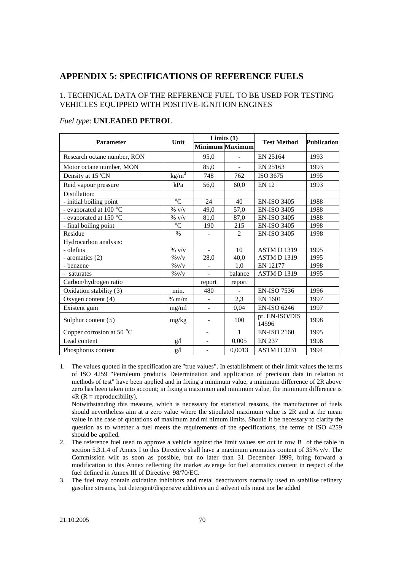# **APPENDIX 5: SPECIFICATIONS OF REFERENCE FUELS**

# 1. TECHNICAL DATA OF THE REFERENCE FUEL TO BE USED FOR TESTING VEHICLES EQUIPPED WITH POSITIVE-IGNITION ENGINES

| <b>Parameter</b>                         | Unit            |                          | Limits $(1)$    | <b>Test Method</b>      | <b>Publication</b> |
|------------------------------------------|-----------------|--------------------------|-----------------|-------------------------|--------------------|
|                                          |                 |                          | Minimum Maximum |                         |                    |
| Research octane number, RON              |                 | 95,0                     |                 | EN 25164                | 1993               |
| Motor octane number, MON                 |                 | 85,0                     | ÷.              | EN 25163                | 1993               |
| Density at 15 'CN                        | $\text{kg/m}^3$ | 748                      | 762             | ISO 3675                | 1995               |
| Reid vapour pressure                     | kPa             | 56.0                     | 60.0            | <b>EN 12</b>            | 1993               |
| Distillation:                            |                 |                          |                 |                         |                    |
| - initial boiling point                  | $\overline{C}$  | 24                       | 40              | <b>EN-ISO 3405</b>      | 1988               |
| - evaporated at 100 $\mathrm{^{\circ}C}$ | $\%$ v/v        | 49,0                     | 57,0            | <b>EN-ISO 3405</b>      | 1988               |
| - evaporated at 150 °C                   | $\%$ v/v        | 81,0                     | 87,0            | <b>EN-ISO 3405</b>      | 1988               |
| - final boiling point                    | $\overline{C}$  | 190                      | 215             | <b>EN-ISO 3405</b>      | 1998               |
| Residue                                  | $\%$            |                          | $\mathfrak{D}$  | <b>EN-ISO 3405</b>      | 1998               |
| Hydrocarbon analysis:                    |                 |                          |                 |                         |                    |
| - olefins                                | $\%$ v/v        | $\overline{a}$           | 10              | <b>ASTM D1319</b>       | 1995               |
| - aromatics (2)                          | $\%$ V/V        | 28,0                     | 40,0            | <b>ASTM D1319</b>       | 1995               |
| - benzene                                | $\%$ V/V        |                          | 1,0             | <b>EN 12177</b>         | 1998               |
| - saturates                              | $\%$ V/V        | $\overline{\phantom{a}}$ | balance         | <b>ASTM D1319</b>       | 1995               |
| Carbon/hydrogen ratio                    |                 | report                   | report          |                         |                    |
| Oxidation stability (3)                  | min.            | 480                      |                 | <b>EN-ISO 7536</b>      | 1996               |
| Oxygen content (4)                       | $% \frac{m}{m}$ |                          | 2,3             | EN 1601                 | 1997               |
| Existent gum                             | mg/ml           |                          | 0,04            | <b>EN-ISO 6246</b>      | 1997               |
| Sulphur content (5)                      | mg/kg           |                          | 100             | pr. EN-ISO/DIS<br>14596 | 1998               |
| Copper corrosion at 50 $\degree$ C       |                 |                          | 1               | <b>EN-ISO 2160</b>      | 1995               |
| Lead content                             | g/1             | $\overline{a}$           | 0,005           | <b>EN 237</b>           | 1996               |
| Phosphorus content                       | g/1             |                          | 0,0013          | <b>ASTMD3231</b>        | 1994               |

#### *Fuel type*: **UNLEADED PETROL**

1. The values quoted in the specification are "true values". In establishment of their limit values the terms of ISO 4259 "Petroleum products Determination and application of precision data in relation to methods of test" have been applied and in fixing a minimum value, a minimum difference of 2R above zero has been taken into account; in fixing a maximum and minimum value, the minimum difference is  $4R$  ( $R =$  reproducibility).

Notwithstanding this measure, which is necessary for statistical reasons, the manufacturer of fuels should nevertheless aim at a zero value where the stipulated maximum value is 2R and at the mean value in the case of quotations of maximum and mi nimum limits. Should it be necessary to clarify the question as to whether a fuel meets the requirements of the specifications, the terms of ISO 4259 should be applied.

- 2. The reference fuel used to approve a vehicle against the limit values set out in row B of the table in section 5.3.1.4 of Annex I to this Directive shall have a maximum aromatics content of 35% v/v. The Commission wilt as soon as possible, but no later than 31 December 1999, bring forward a modification to this Annex reflecting the market av erage for fuel aromatics content in respect of the fuel defined in Annex III of Directive 98/70/EC*.*
- 3. The fuel may contain oxidation inhibitors and metal deactivators normally used to stabilise refinery gasoline streams, but detergent/dispersive additives an d solvent oils must nor be added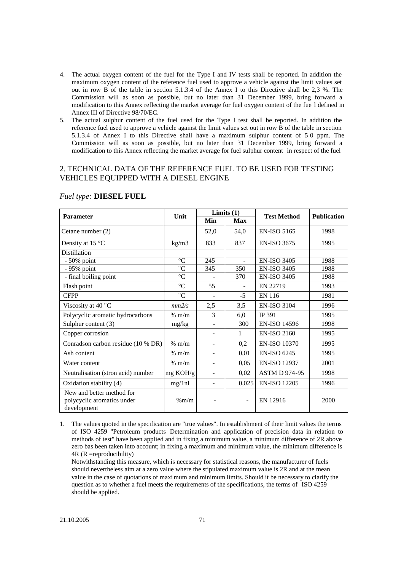- 4. The actual oxygen content of the fuel for the Type I and IV tests shall be reported. In addition the maximum oxygen content of the reference fuel used to approve a vehicle against the limit values set out in row B of the table in section 5.1.3.4 of the Annex I to this Directive shall be 2,3 %. The Commission will as soon as possible, but no later than 31 December 1999, bring forward a modification to this Annex reflecting the market average for fuel oxygen content of the fue l defined in Annex III of Directive 98/70/EC.
- 5. The actual sulphur content of the fuel used for the Type I test shall be reported. In addition the reference fuel used to approve a vehicle against the limit values set out in row B of the table in section 5.1.3.4 of Annex I to this Directive shall have a maximum sulphur content of 5 0 ppm. The Commission will as soon as possible, but no later than 31 December 1999, bring forward a modification to this Annex reflecting the market average for fuel sulphur content in respect of the fuel

### 2. TECHNICAL DATA OF THE REFERENCE FUEL TO BE USED FOR TESTING VEHICLES EQUIPPED WITH A DIESEL ENGINE

|                                                                        | Unit               |                          | Limits $(1)$             | <b>Test Method</b>   | <b>Publication</b> |  |
|------------------------------------------------------------------------|--------------------|--------------------------|--------------------------|----------------------|--------------------|--|
| <b>Parameter</b>                                                       |                    | Min                      | <b>Max</b>               |                      |                    |  |
| Cetane number (2)                                                      |                    | 52,0                     | 54,0                     | <b>EN-ISO 5165</b>   | 1998               |  |
| Density at 15 $\degree$ C                                              | kg/m3              | 833                      | 837                      | <b>EN-ISO 3675</b>   | 1995               |  |
| Distillation                                                           |                    |                          |                          |                      |                    |  |
| $-50\%$ point                                                          | $\rm ^{\circ}C$    | 245                      | $\overline{a}$           | <b>EN-ISO 3405</b>   | 1988               |  |
| - 95% point                                                            | "C                 | 345                      | 350                      | <b>EN-ISO 3405</b>   | 1988               |  |
| - final boiling point                                                  | $\rm ^{\circ}C$    |                          | 370                      | <b>EN-ISO 3405</b>   | 1988               |  |
| Flash point                                                            | $\rm ^{\circ}C$    | 55                       |                          | EN 22719             | 1993               |  |
| <b>CFPP</b>                                                            | "C                 |                          | $-5$                     | <b>EN 116</b>        | 1981               |  |
| Viscosity at 40 "C                                                     | mm2/s              | 2,5                      | 3,5                      | <b>EN-ISO 3104</b>   | 1996               |  |
| Polycyclic aromatic hydrocarbons                                       | $%$ m/m            | $\mathcal{E}$            | 6,0                      | IP 391               | 1995               |  |
| Sulphur content (3)                                                    | mg/kg              | $\overline{\phantom{a}}$ | 300                      | <b>EN-ISO 14596</b>  | 1998               |  |
| Copper corrosion                                                       |                    |                          | 1                        | <b>EN-ISO 2160</b>   | 1995               |  |
| Conradson carbon residue (10 % DR)                                     | % m/m              |                          | 0,2                      | <b>EN-ISO 10370</b>  | 1995               |  |
| Ash content                                                            | $% \frac{m}{m}$    | $\blacksquare$           | 0,01                     | <b>EN-ISO 6245</b>   | 1995               |  |
| Water content                                                          | $%$ m/m            | $\blacksquare$           | 0,05                     | <b>EN-ISO 12937</b>  | 2001               |  |
| Neutralisation (stron acid) number                                     | $mg \text{ KOH/g}$ |                          | 0,02                     | <b>ASTM D 974-95</b> | 1998               |  |
| Oxidation stability (4)                                                | mg/1nl             |                          | 0,025                    | <b>EN-ISO 12205</b>  | 1996               |  |
| New and better method for<br>polycyclic aromatics under<br>development | %m/m               |                          | $\overline{\phantom{a}}$ | EN 12916             | 2000               |  |

#### *Fuel type:* **DIESEL FUEL**

1. The values quoted in the specification are "true values". In establishment of their limit values the terms of ISO 4259 "Petroleum products Determination and application of precision data in relation to methods of test" have been applied and in fixing a minimum value, a minimum difference of 2R above zero bas been taken into account; in fixing a maximum and minimum value, the minimum difference is 4R (R =reproducibility)

Notwithstanding this measure, which is necessary for statistical reasons, the manufacturer of fuels should nevertheless aim at a zero value where the stipulated maximum value is 2R and at the mean value in the case of quotations of maximum and minimum limits. Should it be necessary to clarify the question as to whether a fuel meets the requirements of the specifications, the terms of ISO 4259 should be applied.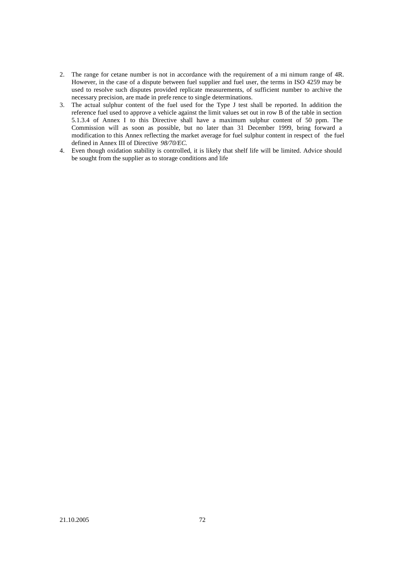- 2. The range for cetane number is not in accordance with the requirement of a mi nimum range of 4R. However, in the case of a dispute between fuel supplier and fuel user, the terms in ISO 4259 may be used to resolve such disputes provided replicate measurements, of sufficient number to archive the necessary precision, are made in prefe rence to single determinations.
- 3. The actual sulphur content of the fuel used for the Type J test shall be reported. In addition the reference fuel used to approve a vehicle against the limit values set out in row B of the table in section 5.1.3.4 of Annex I to this Directive shall have a maximum sulphur content of 50 ppm. The Commission will as soon as possible, but no later than 31 December 1999, bring forward a modification to this Annex reflecting the market average for fuel sulphur content in respect of the fuel defined in Annex III of Directive *98/70/EC.*
- 4. Even though oxidation stability is controlled, it is likely that shelf life will be limited. Advice should be sought from the supplier as to storage conditions and life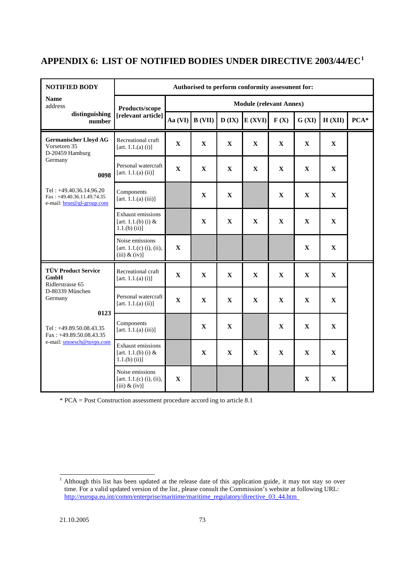# **APPENDIX 6: LIST OF NOTIFIED BODIES UNDER DIRECTIVE 2003/44/EC<sup>1</sup>**

| <b>NOTIFIED BODY</b>                                                                                                    |                                                                     | Authorised to perform conformity assessment for: |             |             |              |             |              |              |        |  |  |
|-------------------------------------------------------------------------------------------------------------------------|---------------------------------------------------------------------|--------------------------------------------------|-------------|-------------|--------------|-------------|--------------|--------------|--------|--|--|
| <b>Name</b><br>address                                                                                                  | Products/scope                                                      | <b>Module (relevant Annex)</b>                   |             |             |              |             |              |              |        |  |  |
| distinguishing<br>number                                                                                                | [relevant article]                                                  | Aa $(VI)$                                        | B (VII)     | D(IX)       | E(XVI)       | F(X)        | G (XI)       | H (XII)      | $PCA*$ |  |  |
| <b>Germanischer Lloyd AG</b><br>Vorsetzen 35<br>D-20459 Hamburg                                                         | Recreational craft<br>[art. $1.1.(a) (i)$ ]                         | $\mathbf X$                                      | $\mathbf X$ | $\mathbf X$ | $\mathbf X$  | $\mathbf X$ | $\mathbf X$  | $\mathbf X$  |        |  |  |
| Germany<br>0098                                                                                                         | Personal watercraft<br>[art. 1.1.(a) (ii)]                          | $\mathbf X$                                      | $\mathbf X$ | $\mathbf X$ | $\mathbf X$  | $\mathbf X$ | $\mathbf X$  | $\mathbf X$  |        |  |  |
| Tel: $+49.40.36.14.96.20$<br>Fax: +49.40.36.11.49.74.35<br>e-mail: brue@gl-group.com                                    | Components<br>[art. 1.1.(a) (iii)]                                  |                                                  | $\mathbf X$ | $\mathbf X$ |              | $\mathbf X$ | $\mathbf X$  | $\mathbf X$  |        |  |  |
|                                                                                                                         | <b>Exhaust emissions</b><br>[art. 1.1.(b) (i) $&$<br>$1.1(b)$ (ii)] |                                                  | $\mathbf X$ | $\mathbf X$ | $\mathbf X$  | $\mathbf X$ | $\mathbf X$  | $\mathbf X$  |        |  |  |
|                                                                                                                         | Noise emissions<br>[art. $1.1(c)$ (i), (ii),<br>$(iii)$ & $(iv)$ ]  | $\mathbf X$                                      |             |             |              |             | $\mathbf{X}$ | $\mathbf{X}$ |        |  |  |
| <b>TÜV Product Service</b><br>GmbH<br>Ridlerstrasse 65                                                                  | Recreational craft<br>[art. $1.1(a)$ (i)]                           | $\mathbf X$                                      | $\mathbf X$ | $\mathbf X$ | $\mathbf{X}$ | $\mathbf X$ | $\mathbf{X}$ | $\mathbf{X}$ |        |  |  |
| D-80339 München<br>Germany<br>0123<br>Tel: +49.89.50.08.43.35<br>$Fax: +49.89.50.08.43.35$<br>e-mail: smoesch@tuvps.com | Personal watercraft<br>[art. $1.1.(a)$ (ii)]                        | $\mathbf X$                                      | $\mathbf X$ | $\mathbf X$ | $\mathbf X$  | $\mathbf X$ | $\mathbf X$  | $\mathbf X$  |        |  |  |
|                                                                                                                         | Components<br>[art. $1.1.(a)$ (iii)]                                |                                                  | $\mathbf X$ | $\mathbf X$ |              | $\mathbf X$ | $\mathbf X$  | $\mathbf X$  |        |  |  |
|                                                                                                                         | <b>Exhaust emissions</b><br>[art. 1.1.(b) (i) $&$<br>$1.1(b)$ (ii)] |                                                  | $\mathbf X$ | $\mathbf X$ | $\mathbf X$  | $\mathbf X$ | $\mathbf X$  | $\mathbf X$  |        |  |  |
|                                                                                                                         | Noise emissions<br>[art. $1.1(c)$ (i), (ii),<br>$(iii)$ & $(iv)$ ]  | $\mathbf X$                                      |             |             |              |             | $\mathbf X$  | $\mathbf X$  |        |  |  |

\* PCA = Post Construction assessment procedure accord ing to article 8.1

 $\mathbf{1}$  $1$  Although this list has been updated at the release date of this application guide, it may not stay so over time. For a valid updated version of the list, please consult the Commission's website at following URL: http://europa.eu.int/comm/enterprise/maritime/maritime\_regulatory/directive\_03\_44.htm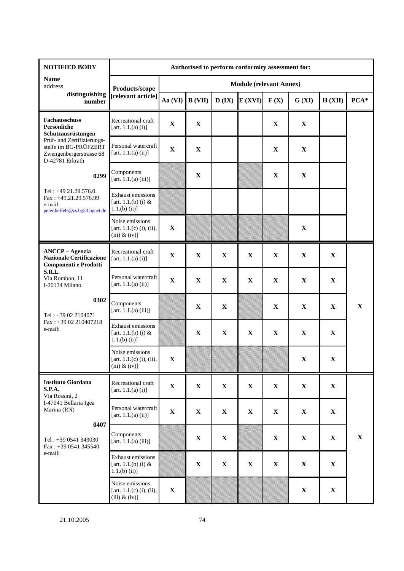| <b>NOTIFIED BODY</b>                                                                              | Authorised to perform conformity assessment for:                   |             |                |             |              |                                |             |              |             |
|---------------------------------------------------------------------------------------------------|--------------------------------------------------------------------|-------------|----------------|-------------|--------------|--------------------------------|-------------|--------------|-------------|
| <b>Name</b><br>address                                                                            | Products/scope                                                     |             |                |             |              | <b>Module (relevant Annex)</b> |             |              |             |
| distinguishing<br>number                                                                          | [relevant article]                                                 | Aa (VI)     | <b>B</b> (VII) | D(IX)       | E(XVI)       | F(X)                           | G (XI)      | H (XII)      | $PCA*$      |
| <b>Fachausschuss</b><br>Persönliche<br>Schutzausrüstungen                                         | Recreational craft<br>[art. 1.1.(a) (i)]                           | $\mathbf X$ | $\mathbf X$    |             |              | $\mathbf X$                    | $\mathbf X$ |              |             |
| Prüf- und Zertifizierungs-<br>stelle im BG-PRÜFZERT<br>Zwengenbergerstrasse 68<br>D-42781 Erkrath | Personal watercraft<br>[art. 1.1.(a) (ii)]                         | $\mathbf X$ | $\mathbf X$    |             |              | $\mathbf X$                    | $\mathbf X$ |              |             |
| 0299                                                                                              | Components<br>[art. $1.1(a)$ (iii)]                                |             | $\mathbf X$    |             |              | $\mathbf X$                    | $\mathbf X$ |              |             |
| Tel: +49 21.29.576.0<br>Fax: +49.21.29.576.99<br>e-mail:<br>peter.heffels@zs.bg23.bgnet.de        | Exhaust emissions<br>[art. 1.1.(b) (i) $&$<br>$1.1(b)$ (ii)]       |             |                |             |              |                                |             |              |             |
|                                                                                                   | Noise emissions<br>[art. $1.1(c)$ (i), (ii),<br>$(iii)$ & $(iv)$ ] | $\mathbf X$ |                |             |              |                                | $\mathbf X$ |              |             |
| <b>ANCCP</b> - Agenzia<br><b>Nazionale Certificazione</b><br>Componenti e Prodotti                | Recreational craft<br>[art. 1.1.(a) (i)]                           | $\mathbf X$ | $\mathbf X$    | $\mathbf X$ | $\mathbf X$  | $\mathbf X$                    | $\mathbf X$ | $\mathbf X$  |             |
| S.R.L.<br>Via Rombon, 11<br>I-20134 Milano                                                        | Personal watercraft<br>[art. 1.1.(a) (ii)]                         | $\mathbf X$ | $\mathbf X$    | $\mathbf X$ | $\mathbf X$  | $\mathbf X$                    | $\mathbf X$ | $\mathbf X$  |             |
| 0302<br>Tel: +39 02 2104071                                                                       | Components<br>[art. 1.1.(a) (iii)]                                 |             | $\mathbf X$    | $\mathbf X$ |              | $\mathbf X$                    | $\mathbf X$ | $\mathbf X$  | $\mathbf X$ |
| Fax: +39 02 210407218<br>e-mail:                                                                  | <b>Exhaust emissions</b><br>[art. $1.1(b)$ (i) &<br>$1.1(b)$ (ii)] |             | $\mathbf X$    | $\mathbf X$ | $\mathbf X$  | $\mathbf X$                    | $\mathbf X$ | $\mathbf X$  |             |
|                                                                                                   | Noise emissions<br>[art. 1.1.(c) (i), (ii),<br>$(iii)$ & $(iv)$ ]  | $\mathbf X$ |                |             |              |                                | $\mathbf X$ | $\mathbf X$  |             |
| <b>Instituto Giordano</b><br><b>S.P.A.</b><br>Via Rossini, 2                                      | Recreational craft<br>[art. 1.1.(a) (i)]                           | $\mathbf X$ | $\mathbf X$    | $\mathbf X$ | $\mathbf{X}$ | $\mathbf X$                    | $\mathbf X$ | $\mathbf X$  |             |
| I-47041 Bellaria Igea<br>Marina (RN)<br>0407                                                      | Personal watercraft<br>[art. 1.1.(a) (ii)]                         | $\mathbf X$ | $\mathbf X$    | $\mathbf X$ | $\mathbf{X}$ | $\mathbf X$                    | $\mathbf X$ | $\mathbf{X}$ |             |
| Tel: $+390541343030$<br>Fax: +39 0541 345540                                                      | Components<br>[art. 1.1.(a) (iii)]                                 |             | $\mathbf X$    | $\mathbf X$ |              | $\mathbf X$                    | $\mathbf X$ | $\mathbf X$  | $\mathbf X$ |
| e-mail:                                                                                           | Exhaust emissions<br>[art. $1.1(b)$ (i) &<br>$1.1(b)$ (ii)]        |             | $\mathbf X$    | $\mathbf X$ | $\mathbf X$  | $\mathbf X$                    | $\mathbf X$ | $\mathbf{X}$ |             |
|                                                                                                   | Noise emissions<br>[art. $1.1(c)$ (i), (ii),<br>$(iii)$ & $(iv)$ ] | $\mathbf X$ |                |             |              |                                | $\mathbf X$ | $\mathbf{X}$ |             |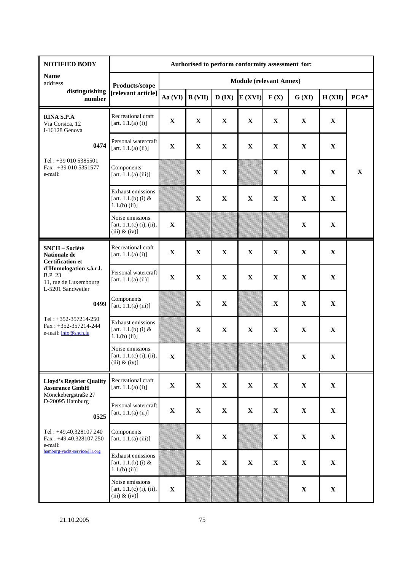| <b>NOTIFIED BODY</b>                                                                    |                                                                     | Authorised to perform conformity assessment for: |             |             |             |                                |             |             |             |
|-----------------------------------------------------------------------------------------|---------------------------------------------------------------------|--------------------------------------------------|-------------|-------------|-------------|--------------------------------|-------------|-------------|-------------|
| <b>Name</b><br>address                                                                  | Products/scope                                                      |                                                  |             |             |             | <b>Module (relevant Annex)</b> |             |             |             |
| distinguishing<br>number                                                                | [relevant article]                                                  | Aa (VI)                                          | B (VII)     | D(IX)       | E(XVI)      | F(X)                           | G (XI)      | H (XII)     | $PCA*$      |
| <b>RINA S.P.A</b><br>Via Corsica, 12<br>I-16128 Genova                                  | Recreational craft<br>[art. 1.1.(a) (i)]                            | $\mathbf X$                                      | $\mathbf X$ | $\mathbf X$ | $\mathbf X$ | $\mathbf X$                    | $\mathbf X$ | $\mathbf X$ |             |
| 0474                                                                                    | Personal watercraft<br>[art. 1.1.(a) (ii)]                          | $\mathbf X$                                      | $\mathbf X$ | $\mathbf X$ | $\mathbf X$ | $\mathbf X$                    | $\mathbf X$ | $\mathbf X$ |             |
| Tel: +39 010 5385501<br>Fax: +39 010 5351577<br>e-mail:                                 | Components<br>[art. $1.1(a)$ (iii)]                                 |                                                  | $\mathbf X$ | $\mathbf X$ |             | $\mathbf X$                    | $\mathbf X$ | $\mathbf X$ | $\mathbf X$ |
|                                                                                         | <b>Exhaust emissions</b><br>[art. $1.1.(b)$ (i) &<br>$1.1(b)$ (ii)] |                                                  | $\mathbf X$ | $\mathbf X$ | $\mathbf X$ | $\mathbf X$                    | $\mathbf X$ | $\mathbf X$ |             |
|                                                                                         | Noise emissions<br>[art. $1.1(c)$ (i), (ii),<br>$(iii)$ & $(iv)$ ]  | $\mathbf X$                                      |             |             |             |                                | $\mathbf X$ | $\mathbf X$ |             |
| SNCH - Société<br>Nationale de<br><b>Certification et</b>                               | Recreational craft<br>[art. 1.1.(a) (i)]                            | $\mathbf X$                                      | $\mathbf X$ | $\mathbf X$ | $\mathbf X$ | $\mathbf X$                    | $\mathbf X$ | $\mathbf X$ |             |
| d'Homologation s.à.r.l.<br><b>B.P. 23</b><br>11, rue de Luxembourg<br>L-5201 Sandweiler | Personal watercraft<br>[art. $1.1.(a)$ (ii)]                        | $\mathbf X$                                      | $\mathbf X$ | $\mathbf X$ | $\mathbf X$ | $\mathbf X$                    | $\mathbf X$ | $\mathbf X$ |             |
| 0499                                                                                    | Components<br>[art. $1.1(a)$ (iii)]                                 |                                                  | $\mathbf X$ | $\mathbf X$ |             | $\mathbf X$                    | $\mathbf X$ | $\mathbf X$ |             |
| Tel: +352-357214-250<br>$Fax: +352-357214-244$<br>e-mail: info@snch.lu                  | <b>Exhaust emissions</b><br>[art. $1.1(b)$ (i) &<br>$1.1(b)$ (ii)]  |                                                  | $\mathbf X$ | $\mathbf X$ | $\mathbf X$ | $\mathbf X$                    | $\mathbf X$ | $\mathbf X$ |             |
|                                                                                         | Noise emissions<br>[art. $1.1(c)$ (i), (ii),<br>$(iii)$ & $(iv)$ ]  | $\mathbf X$                                      |             |             |             |                                | $\mathbf X$ | $\mathbf X$ |             |
| <b>Lloyd's Register Quality</b><br><b>Assurance GmbH</b><br>Mönckebergstraße 27         | Recreational craft<br>[art. 1.1.(a) (i)]                            | $\mathbf X$                                      | $\mathbf X$ | $\mathbf X$ | $\mathbf X$ | $\mathbf X$                    | $\mathbf X$ | $\mathbf X$ |             |
| D-20095 Hamburg<br>0525                                                                 | Personal watercraft<br>[art. 1.1.(a) (ii)]                          | $\mathbf X$                                      | $\mathbf X$ | $\mathbf X$ | $\mathbf X$ | $\mathbf X$                    | $\mathbf X$ | $\mathbf X$ |             |
| Tel: +49.40.328107.240<br>$Fax: +49.40.328107.250$<br>e-mail:                           | Components<br>[art. $1.1.(a)$ (iii)]                                |                                                  | $\mathbf X$ | $\mathbf X$ |             | $\mathbf X$                    | $\mathbf X$ | $\mathbf X$ |             |
| hamburg-yacht-service@lr.org                                                            | Exhaust emissions<br>[art. $1.1(b)$ (i) &<br>$1.1(b)$ (ii)]         |                                                  | $\mathbf X$ | $\mathbf X$ | $\mathbf X$ | $\mathbf{X}$                   | $\mathbf X$ | $\mathbf X$ |             |
|                                                                                         | Noise emissions<br>[art. $1.1(c)$ (i), (ii),<br>$(iii)$ & $(iv)$ ]  | $\mathbf X$                                      |             |             |             |                                | $\mathbf X$ | $\mathbf X$ |             |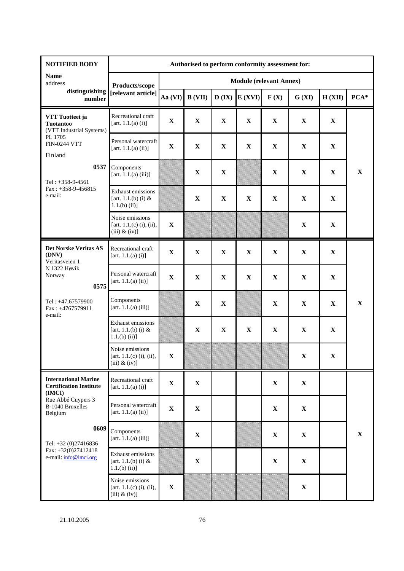| <b>NOTIFIED BODY</b>                                                    | Authorised to perform conformity assessment for:                    |             |             |             |                                                    |                                |             |             |             |
|-------------------------------------------------------------------------|---------------------------------------------------------------------|-------------|-------------|-------------|----------------------------------------------------|--------------------------------|-------------|-------------|-------------|
| <b>Name</b><br>address                                                  | Products/scope                                                      |             |             |             |                                                    | <b>Module (relevant Annex)</b> |             |             |             |
| distinguishing<br>number                                                | [relevant article]                                                  | Aa (VI)     | B (VII)     |             | $\mathbf{D}(\mathbf{IX}) \mathbf{E}(X\mathbf{VI})$ | F(X)                           | G (XI)      | H (XII)     | $PCA*$      |
| VTT Tuotteet ja<br><b>Tuotantoo</b><br>(VTT Industrial Systems)         | Recreational craft<br>[art. 1.1.(a) (i)]                            | $\mathbf X$ | $\mathbf X$ | $\mathbf X$ | $\mathbf X$                                        | $\mathbf X$                    | $\mathbf X$ | $\mathbf X$ |             |
| PL 1705<br><b>FIN-0244 VTT</b><br>Finland                               | Personal watercraft<br>[art. 1.1.(a) (ii)]                          | $\mathbf X$ | $\mathbf X$ | $\mathbf X$ | $\mathbf X$                                        | $\mathbf X$                    | $\mathbf X$ | $\mathbf X$ |             |
| 0537<br>Tel: $+358-9-4561$                                              | Components<br>[art. $1.1.(a)$ (iii)]                                |             | $\mathbf X$ | $\mathbf X$ |                                                    | $\mathbf X$                    | $\mathbf X$ | $\mathbf X$ | $\mathbf X$ |
| $Fax: +358-9-456815$<br>e-mail:                                         | <b>Exhaust emissions</b><br>[art. 1.1.(b) (i) $&$<br>$1.1(b)$ (ii)] |             | $\mathbf X$ | $\mathbf X$ | $\mathbf X$                                        | $\mathbf X$                    | $\mathbf X$ | $\mathbf X$ |             |
|                                                                         | Noise emissions<br>[art. $1.1(c)$ (i), (ii),<br>$(iii)$ & $(iv)$ ]  | $\mathbf X$ |             |             |                                                    |                                | $\mathbf X$ | $\mathbf X$ |             |
| Det Norske Veritas AS<br>(DNV)<br>Veritasveien 1                        | Recreational craft<br>[art. $1.1.(a)$ (i)]                          | $\mathbf X$ | $\mathbf X$ | $\mathbf X$ | $\mathbf X$                                        | $\mathbf X$                    | $\mathbf X$ | $\mathbf X$ |             |
| N 1322 Høvik<br>Norway<br>0575                                          | Personal watercraft<br>[art. 1.1.(a) (ii)]                          | $\mathbf X$ | $\mathbf X$ | $\mathbf X$ | $\mathbf X$                                        | $\mathbf X$                    | $\mathbf X$ | $\mathbf X$ |             |
| Tel: +47.67579900<br>Fax: +4767579911<br>e-mail:                        | Components<br>[art. $1.1.(a)$ (iii)]                                |             | $\mathbf X$ | $\mathbf X$ |                                                    | X                              | $\mathbf X$ | $\mathbf X$ | $\mathbf X$ |
|                                                                         | <b>Exhaust emissions</b><br>[art. $1.1(b)$ (i) &<br>$1.1(b)$ (ii)]  |             | $\mathbf X$ | $\mathbf X$ | $\mathbf X$                                        | $\mathbf X$                    | $\mathbf X$ | $\mathbf X$ |             |
|                                                                         | Noise emissions<br>[art. $1.1(c)$ (i), (ii),<br>$(iii)$ & $(iv)$ ]  | $\mathbf X$ |             |             |                                                    |                                | $\mathbf X$ | $\mathbf X$ |             |
| <b>International Marine</b><br><b>Certification Institute</b><br>(IMCI) | Recreational craft<br>[art. $1.1.(a) (i)$ ]                         | $\mathbf X$ | $\mathbf X$ |             |                                                    | $\mathbf X$                    | $\mathbf X$ |             |             |
| Rue Abbé Cuypers 3<br>B-1040 Bruxelles<br>Belgium                       | Personal watercraft<br>[art. 1.1.(a) (ii)]                          | $\mathbf X$ | $\mathbf X$ |             |                                                    | $\mathbf X$                    | $\mathbf X$ |             |             |
| 0609<br>Tel: +32 (0)27416836                                            | Components<br>[art. 1.1.(a) (iii)]                                  |             | $\mathbf X$ |             |                                                    | $\mathbf X$                    | $\mathbf X$ |             | $\mathbf X$ |
| Fax: $+32(0)27412418$<br>e-mail: info@imci.org                          | Exhaust emissions<br>[art. $1.1(b)$ (i) &<br>$1.1(b)$ (ii)]         |             | $\mathbf X$ |             |                                                    | $\mathbf X$                    | $\mathbf X$ |             |             |
|                                                                         | Noise emissions<br>[art. $1.1(c)$ (i), (ii),<br>$(iii)$ & $(iv)$ ]  | $\mathbf X$ |             |             |                                                    |                                | $\mathbf X$ |             |             |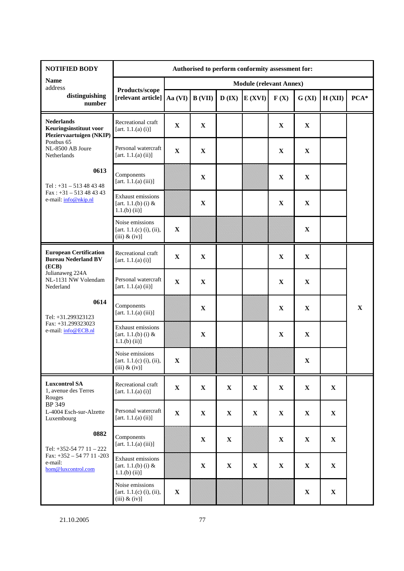| <b>NOTIFIED BODY</b>                                                    | Authorised to perform conformity assessment for:                    |                                |             |             |             |             |             |              |             |  |  |
|-------------------------------------------------------------------------|---------------------------------------------------------------------|--------------------------------|-------------|-------------|-------------|-------------|-------------|--------------|-------------|--|--|
| <b>Name</b><br>address                                                  |                                                                     | <b>Module (relevant Annex)</b> |             |             |             |             |             |              |             |  |  |
| distinguishing<br>number                                                | Products/scope<br>[relevant article]]                               | Aa (VI)                        | B (VII)     | $D$ (IX)    | E(XVI)      | F(X)        | G (XI)      | H(XII)       | $PCA*$      |  |  |
| <b>Nederlands</b><br>Keuringsinstituut voor<br>Pleziervaartuigen (NKIP) | Recreational craft<br>[art. $1.1.(a) (i)$ ]                         | $\mathbf X$                    | $\mathbf X$ |             |             | $\mathbf X$ | $\mathbf X$ |              |             |  |  |
| Postbus 65<br>NL-8500 AB Joure<br>Netherlands                           | Personal watercraft<br>[art. $1.1.(a)$ (ii)]                        | $\mathbf X$                    | $\mathbf X$ |             |             | $\mathbf X$ | $\mathbf X$ |              |             |  |  |
| 0613<br>Tel: $+31 - 513484348$                                          | Components<br>[art. 1.1.(a) (iii)]                                  |                                | $\mathbf X$ |             |             | $\mathbf X$ | $\mathbf X$ |              |             |  |  |
| $Fax: +31 - 513484343$<br>e-mail: info@nkip.nl                          | <b>Exhaust emissions</b><br>[art. 1.1.(b) (i) $&$<br>$1.1(b)$ (ii)] |                                | $\mathbf X$ |             |             | $\mathbf X$ | $\mathbf X$ |              |             |  |  |
|                                                                         | Noise emissions<br>[art. $1.1(c)$ (i), (ii),<br>$(iii)$ & $(iv)$ ]  | $\mathbf X$                    |             |             |             |             | $\mathbf X$ |              |             |  |  |
| <b>European Certification</b><br><b>Bureau Nederland BV</b><br>(ECB)    | Recreational craft<br>[art. $1.1.(a) (i)$ ]                         | $\mathbf X$                    | $\mathbf X$ |             |             | $\mathbf X$ | $\mathbf X$ |              |             |  |  |
| Julianaweg 224A<br>NL-1131 NW Volendam<br>Nederland                     | Personal watercraft<br>[art. $1.1.(a)$ (ii)]                        | $\mathbf X$                    | $\mathbf X$ |             |             | $\mathbf X$ | $\mathbf X$ |              |             |  |  |
| 0614<br>Tel: +31.299323123                                              | Components<br>[art. 1.1.(a) (iii)]                                  |                                | $\mathbf X$ |             |             | $\mathbf X$ | $\mathbf X$ |              | $\mathbf X$ |  |  |
| Fax: +31.299323023<br>e-mail: info@ECB.nl                               | <b>Exhaust emissions</b><br>[art. 1.1.(b) (i) $&$<br>$1.1(b)$ (ii)] |                                | $\mathbf X$ |             |             | $\mathbf X$ | $\mathbf X$ |              |             |  |  |
|                                                                         | Noise emissions<br>[art. $1.1(c)$ (i), (ii),<br>$(iii)$ & $(iv)$ ]  | $\mathbf X$                    |             |             |             |             | $\mathbf X$ |              |             |  |  |
| <b>Luxcontrol SA</b><br>1, avenue des Terres<br>Rouges                  | Recreational craft<br>[art. $1.1.(a) (i)$ ]                         | $\mathbf X$                    | $\mathbf X$ | $\mathbf X$ | $\mathbf X$ | $\mathbf X$ | $\mathbf X$ | $\mathbf{X}$ |             |  |  |
| BP 349<br>L-4004 Esch-sur-Alzette<br>Luxembourg                         | Personal watercraft<br>[art. 1.1.(a) (ii)]                          | $\mathbf X$                    | $\mathbf X$ | $\mathbf X$ | $\mathbf X$ | $\mathbf X$ | $\mathbf X$ | $\mathbf X$  |             |  |  |
| 0882<br>Tel: $+352-547711-222$                                          | Components<br>[art. 1.1.(a) (iii)]                                  |                                | $\mathbf X$ | $\mathbf X$ |             | $\mathbf X$ | $\mathbf X$ | $\mathbf X$  |             |  |  |
| Fax: $+352 - 547711 - 203$<br>e-mail:<br>hom@luxcontrol.com             | Exhaust emissions<br>[art. 1.1.(b) (i) $&$<br>$1.1(b)$ (ii)]        |                                | $\mathbf X$ | $\mathbf X$ | $\mathbf X$ | $\mathbf X$ | $\mathbf X$ | $\mathbf X$  |             |  |  |
|                                                                         | Noise emissions<br>[art. $1.1(c)$ (i), (ii),<br>$(iii)$ & $(iv)$ ]  | $\mathbf X$                    |             |             |             |             | $\mathbf X$ | $\mathbf X$  |             |  |  |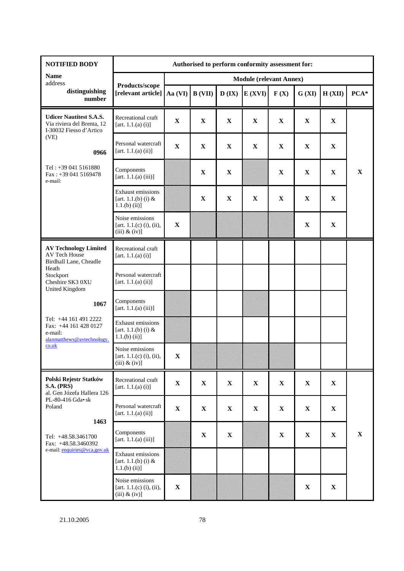| <b>NOTIFIED BODY</b>                                                                                                                                                                                                                                                                                                                                                                                                                                                                       | Authorised to perform conformity assessment for:                    |             |                |              |                                |             |             |              |             |
|--------------------------------------------------------------------------------------------------------------------------------------------------------------------------------------------------------------------------------------------------------------------------------------------------------------------------------------------------------------------------------------------------------------------------------------------------------------------------------------------|---------------------------------------------------------------------|-------------|----------------|--------------|--------------------------------|-------------|-------------|--------------|-------------|
| <b>Name</b><br>address                                                                                                                                                                                                                                                                                                                                                                                                                                                                     |                                                                     |             |                |              | <b>Module (relevant Annex)</b> |             |             |              |             |
| distinguishing<br>number                                                                                                                                                                                                                                                                                                                                                                                                                                                                   | Products/scope<br>[relevant article]                                | Aa (VI)     | <b>B</b> (VII) | $D$ (IX)     | E(XVI)                         | F(X)        | G (XI)      | H (XII)      | $PCA*$      |
| <b>Udicer Nautitest S.A.S.</b><br>Via riviera del Brenta, 12<br>I-30032 Fiesso d'Artico                                                                                                                                                                                                                                                                                                                                                                                                    | Recreational craft<br>[art. 1.1.(a) (i)]                            | $\mathbf X$ | $\mathbf X$    | $\mathbf X$  | $\mathbf X$                    | $\mathbf X$ | $\mathbf X$ | $\mathbf X$  |             |
| (VE)<br>0966                                                                                                                                                                                                                                                                                                                                                                                                                                                                               | Personal watercraft<br>[art. $1.1.(a)$ (ii)]                        | $\mathbf X$ | $\mathbf X$    | $\mathbf X$  | $\mathbf X$                    | $\mathbf X$ | $\mathbf X$ | $\mathbf X$  |             |
| Tel: +39 041 5161880<br>$Fax: +390415169478$<br>e-mail:                                                                                                                                                                                                                                                                                                                                                                                                                                    | Components<br>[art. 1.1.(a) (iii)]                                  |             | $\mathbf X$    | $\mathbf{X}$ |                                | $\mathbf X$ | $\mathbf X$ | $\mathbf X$  | $\mathbf X$ |
|                                                                                                                                                                                                                                                                                                                                                                                                                                                                                            | <b>Exhaust emissions</b><br>[art. 1.1.(b) (i) $&$<br>$1.1(b)$ (ii)] |             | $\mathbf X$    | $\mathbf X$  | $\mathbf X$                    | $\mathbf X$ | $\mathbf X$ | $\mathbf X$  |             |
|                                                                                                                                                                                                                                                                                                                                                                                                                                                                                            | Noise emissions<br>[art. $1.1(c)$ (i), (ii),<br>$(iii)$ & $(iv)$ ]  | $\mathbf X$ |                |              |                                |             | $\mathbf X$ | $\mathbf X$  |             |
| <b>AV Technology Limited</b><br>AV Tech House<br>Birdhall Lane, Cheadle                                                                                                                                                                                                                                                                                                                                                                                                                    | Recreational craft<br>[art. 1.1.(a) (i)]                            |             |                |              |                                |             |             |              |             |
| Heath<br>Stockport<br>Cheshire SK3 0XU<br><b>United Kingdom</b>                                                                                                                                                                                                                                                                                                                                                                                                                            | Personal watercraft<br>[art. 1.1.(a) (ii)]                          |             |                |              |                                |             |             |              |             |
| 1067                                                                                                                                                                                                                                                                                                                                                                                                                                                                                       | Components<br>[art. 1.1.(a) (iii)]                                  |             |                |              |                                |             |             |              |             |
| Tel: +44 161 491 2222<br>Fax: +44 161 428 0127<br>e-mail:<br>alanmatthews@avtechnology.                                                                                                                                                                                                                                                                                                                                                                                                    | <b>Exhaust emissions</b><br>[art. $1.1(b)$ (i) &<br>$1.1(b)$ (ii)]  |             |                |              |                                |             |             |              |             |
| $\frac{\text{c} \cdot \text{c} \cdot \text{c} \cdot \text{c} \cdot \text{c} \cdot \text{c} \cdot \text{c} \cdot \text{c} \cdot \text{c} \cdot \text{c} \cdot \text{c} \cdot \text{c} \cdot \text{c} \cdot \text{c} \cdot \text{c} \cdot \text{c} \cdot \text{c} \cdot \text{c} \cdot \text{c} \cdot \text{c} \cdot \text{c} \cdot \text{c} \cdot \text{c} \cdot \text{c} \cdot \text{c} \cdot \text{c} \cdot \text{c} \cdot \text{c} \cdot \text{c} \cdot \text{c} \cdot \text{c} \cdot \$ | Noise emissions<br>[art. $1.1(c)$ (i), (ii),<br>$(iii)$ & $(iv)$ ]  | $\mathbf X$ |                |              |                                |             |             |              |             |
| Polski Rejestr Statków<br><b>S.A. (PRS)</b><br>al. Gen Józefa Hallera 126                                                                                                                                                                                                                                                                                                                                                                                                                  | Recreational craft<br>[art. 1.1.(a) (i)]                            | $\mathbf X$ | $\mathbf X$    | $\mathbf X$  | $\mathbf X$                    | $\mathbf X$ | $\mathbf X$ | $\mathbf{X}$ |             |
| PL-80-416 Gda• sk<br>Poland<br>1463                                                                                                                                                                                                                                                                                                                                                                                                                                                        | Personal watercraft<br>[art. $1.1.(a)$ (ii)]                        | $\mathbf X$ | $\mathbf X$    | $\mathbf X$  | $\mathbf X$                    | $\mathbf X$ | $\mathbf X$ | $\mathbf X$  |             |
| Tel: +48.58.3461700<br>Fax: +48.58.3460392                                                                                                                                                                                                                                                                                                                                                                                                                                                 | Components<br>[art. 1.1.(a) (iii)]                                  |             | $\mathbf X$    | $\mathbf X$  |                                | $\mathbf X$ | $\mathbf X$ | $\mathbf X$  | $\mathbf X$ |
| e-mail: enquiries@vca.gov.uk                                                                                                                                                                                                                                                                                                                                                                                                                                                               | <b>Exhaust emissions</b><br>[art. $1.1(b)$ (i) &<br>$1.1(b)$ (ii)]  |             |                |              |                                |             |             |              |             |
|                                                                                                                                                                                                                                                                                                                                                                                                                                                                                            | Noise emissions<br>[art. $1.1(c)$ (i), (ii),<br>$(iii)$ & $(iv)$ ]  | $\mathbf X$ |                |              |                                |             | $\mathbf X$ | $\mathbf X$  |             |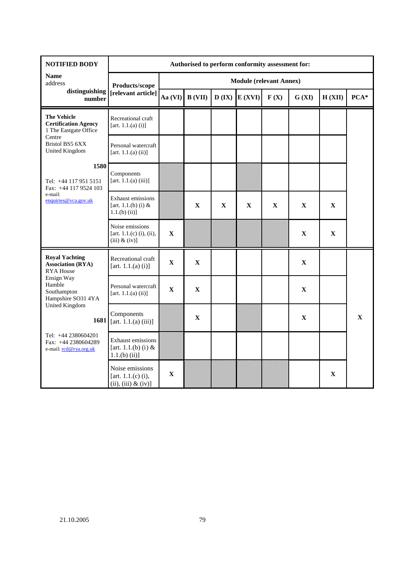| <b>NOTIFIED BODY</b>                                                       | Authorised to perform conformity assessment for:                    |                                |              |             |                                                    |             |             |             |             |  |  |  |
|----------------------------------------------------------------------------|---------------------------------------------------------------------|--------------------------------|--------------|-------------|----------------------------------------------------|-------------|-------------|-------------|-------------|--|--|--|
| <b>Name</b><br>address                                                     | Products/scope                                                      | <b>Module (relevant Annex)</b> |              |             |                                                    |             |             |             |             |  |  |  |
| distinguishing<br>number                                                   | [relevant article]                                                  | Aa (VI)                        | B (VII)      |             | $\mathbf{D}(\mathbf{IX}) \mathbf{E}(X\mathbf{VI})$ | F(X)        | G (XI)      | H (XII)     | $PCA*$      |  |  |  |
| <b>The Vehicle</b><br><b>Certification Agency</b><br>1 The Eastgate Office | Recreational craft<br>[art. $1.1.(a) (i)$ ]                         |                                |              |             |                                                    |             |             |             |             |  |  |  |
| Centre<br>Bristol BS5 6XX<br><b>United Kingdom</b>                         | Personal watercraft<br>[art. $1.1.(a)$ (ii)]                        |                                |              |             |                                                    |             |             |             |             |  |  |  |
| 1580<br>Tel: +44 117 951 5151<br>Fax: +44 117 9524 103                     | Components<br>[art. $1.1.(a)$ (iii)]                                |                                |              |             |                                                    |             |             |             |             |  |  |  |
| e-mail:<br>enquiries@vca.gov.uk                                            | <b>Exhaust emissions</b><br>[art. $1.1.(b)$ (i) &<br>$1.1(b)$ (ii)] |                                | $\mathbf X$  | $\mathbf X$ | $\mathbf{X}$                                       | $\mathbf X$ | $\mathbf X$ | $\mathbf X$ |             |  |  |  |
|                                                                            | Noise emissions<br>[art. $1.1(c)$ (i), (ii),<br>$(iii)$ & $(iv)$ ]  | $\mathbf X$                    |              |             |                                                    |             | $\mathbf X$ | $\mathbf X$ |             |  |  |  |
| <b>Royal Yachting</b><br><b>Association (RYA)</b><br><b>RYA</b> House      | Recreational craft<br>[art. $1.1.(a)$ (i)]                          | $\mathbf X$                    | $\mathbf X$  |             |                                                    |             | $\mathbf X$ |             |             |  |  |  |
| Ensign Way<br>Hamble<br>Southampton<br>Hampshire SO31 4YA                  | Personal watercraft<br>[art. 1.1.(a) (ii)]                          | $\mathbf X$                    | $\mathbf X$  |             |                                                    |             | $\mathbf X$ |             |             |  |  |  |
| <b>United Kingdom</b><br>1681                                              | Components<br>[art. 1.1.(a) (iii)]                                  |                                | $\mathbf{X}$ |             |                                                    |             | $\mathbf X$ |             | $\mathbf X$ |  |  |  |
| Tel: +44 2380604201<br>Fax: +44 2380604289<br>e-mail: rcd@rya.org.uk       | <b>Exhaust emissions</b><br>[art. $1.1(b)$ (i) &<br>$1.1(b)$ (ii)]  |                                |              |             |                                                    |             |             |             |             |  |  |  |
|                                                                            | Noise emissions<br>[art. $1.1(c)$ (i),<br>(ii), (iii) & (iv)        | $\mathbf X$                    |              |             |                                                    |             |             | $\mathbf X$ |             |  |  |  |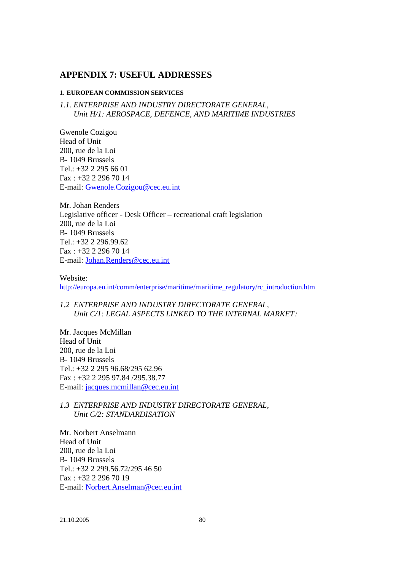## **APPENDIX 7: USEFUL ADDRESSES**

#### **1. EUROPEAN COMMISSION SERVICES**

*1.1. ENTERPRISE AND INDUSTRY DIRECTORATE GENERAL, Unit H/1: AEROSPACE, DEFENCE, AND MARITIME INDUSTRIES*

Gwenole Cozigou Head of Unit 200, rue de la Loi B- 1049 Brussels Tel.: +32 2 295 66 01 Fax : +32 2 296 70 14 E-mail: Gwenole.Cozigou@cec.eu.int

Mr. Johan Renders Legislative officer - Desk Officer – recreational craft legislation 200, rue de la Loi B- 1049 Brussels Tel.: +32 2 296.99.62 Fax : +32 2 296 70 14 E-mail: Johan.Renders@cec.eu.int

Website: http://europa.eu.int/comm/enterprise/maritime/maritime\_regulatory/rc\_introduction.htm

*1.2 ENTERPRISE AND INDUSTRY DIRECTORATE GENERAL, Unit C/1: LEGAL ASPECTS LINKED TO THE INTERNAL MARKET:*

Mr. Jacques McMillan Head of Unit 200, rue de la Loi B- 1049 Brussels Tel.: +32 2 295 96.68/295 62.96 Fax : +32 2 295 97.84 /295.38.77 E-mail: jacques.mcmillan@cec.eu.int

## *1.3 ENTERPRISE AND INDUSTRY DIRECTORATE GENERAL, Unit C/2: STANDARDISATION*

Mr. Norbert Anselmann Head of Unit 200, rue de la Loi B- 1049 Brussels Tel.: +32 2 299.56.72/295 46 50 Fax : +32 2 296 70 19 E-mail: Norbert.Anselman@cec.eu.int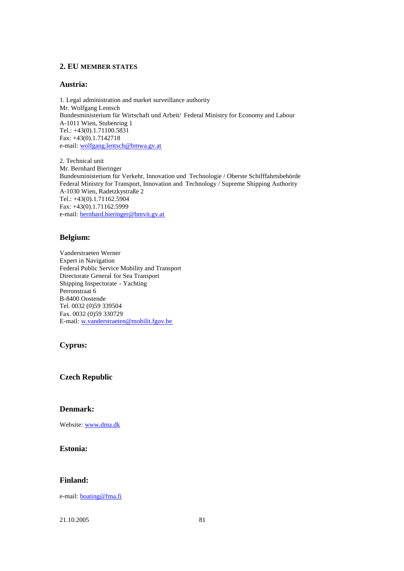## **2. EU MEMBER STATES**

#### **Austria:**

1. Legal administration and market surveillance authority Mr. Wolfgang Lentsch Bundesministerium für Wirtschaft und Arbeit/ Federal Ministry for Economy and Labour A-1011 Wien, Stubenring 1 Tel.: +43(0).1.71100.5831 Fax: +43(0).1.7142718 e-mail: wolfgang.lentsch@bmwa.gv.at

2. Technical unit Mr. Bernhard Bieringer Bundesministerium für Verkehr, Innovation und Technologie / Oberste Schifffahrtsbehörde Federal Ministry for Transport, Innovation and Technology / Supreme Shipping Authority A-1030 Wien, Radetzkystraße 2 Tel.: +43(0).1.71162.5904 Fax: +43(0).1.71162.5999 e-mail: bernhard.bieringer@bmvit.gv.at

#### **Belgium:**

Vanderstraeten Werner Expert in Navigation Federal Public Service Mobility and Transport Directorate General for Sea Transport Shipping Inspectorate - Yachting Perronstraat 6 B-8400 Oostende Tel. 0032 (0)59 339504 Fax. 0032 (0)59 330729 E-mail: w.vanderstraeten@mobilit.fgov.be

#### **Cyprus:**

**Czech Republic**

#### **Denmark:**

Website: www.dma.dk

#### **Estonia:**

## **Finland:**

e-mail: boating@fma.fi

21.10.2005 81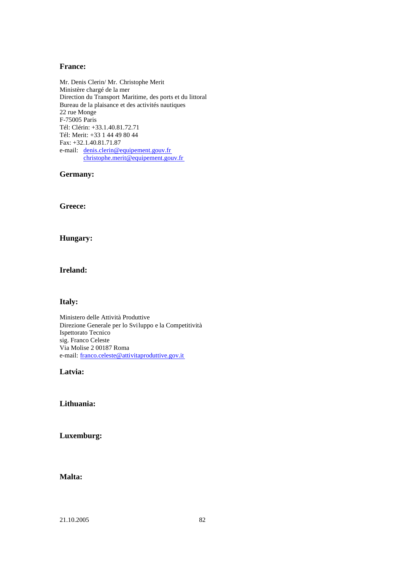#### **France:**

Mr. Denis Clerin/ Mr. Christophe Merit Ministère chargé de la mer Direction du Transport Maritime, des ports et du littoral Bureau de la plaisance et des activités nautiques 22 rue Monge F-75005 Paris Tél: Clérin: +33.1.40.81.72.71 Tél: Merit: +33 1 44 49 80 44 Fax: +32.1.40.81.71.87 e-mail: denis.clerin@equipement.gouv.fr christophe.merit@equipement.gouv.fr

**Germany:**

**Greece:**

#### **Hungary:**

## **Ireland:**

#### **Italy:**

Ministero delle Attività Produttive Direzione Generale per lo Sviluppo e la Competitività Ispettorato Tecnico sig. Franco Celeste Via Molise 2 00187 Roma e-mail: franco.celeste@attivitaproduttive.gov.it

## **Latvia:**

## **Lithuania:**

## **Luxemburg:**

## **Malta:**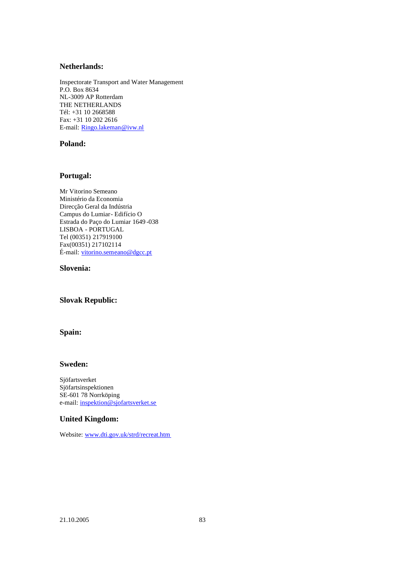## **Netherlands:**

Inspectorate Transport and Water Management P.O. Box 8634 NL-3009 AP Rotterdam THE NETHERLANDS Tél: +31 10 2668588 Fax: +31 10 202 2616 E-mail: Ringo.lakeman@ivw.nl

## **Poland:**

#### **Portugal:**

Mr Vitorino Semeano Ministério da Economia Direcção Geral da Indústria Campus do Lumiar- Edifício O Estrada do Paço do Lumiar 1649 -038 LISBOA - PORTUGAL Tel (00351) 217919100 Fax(00351) 217102114 É-mail: vitorino.semeano@dgcc.pt

#### **Slovenia:**

## **Slovak Republic:**

#### **Spain:**

## **Sweden:**

Sjöfartsverket Sjöfartsinspektionen SE-601 78 Norrköping e-mail: inspektion@sjofartsverket.se

#### **United Kingdom:**

Website: www.dti.gov.uk/strd/recreat.htm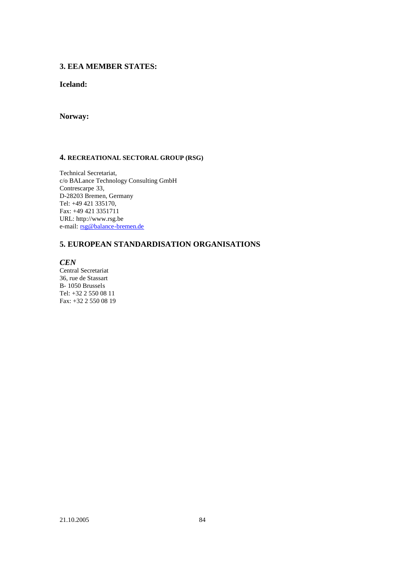## **3. EEA MEMBER STATES:**

## **Iceland:**

## **Norway:**

#### **4. RECREATIONAL SECTORAL GROUP (RSG)**

Technical Secretariat, c/o BALance Technology Consulting GmbH Contrescarpe 33, D-28203 Bremen, Germany Tel: +49 421 335170, Fax: +49 421 3351711 URL: http://www.rsg.be e-mail: rsg@balance-bremen.de

## **5. EUROPEAN STANDARDISATION ORGANISATIONS**

*CEN*

Central Secretariat 36, rue de Stassart B- 1050 Brussels Tel: +32 2 550 08 11 Fax: +32 2 550 08 19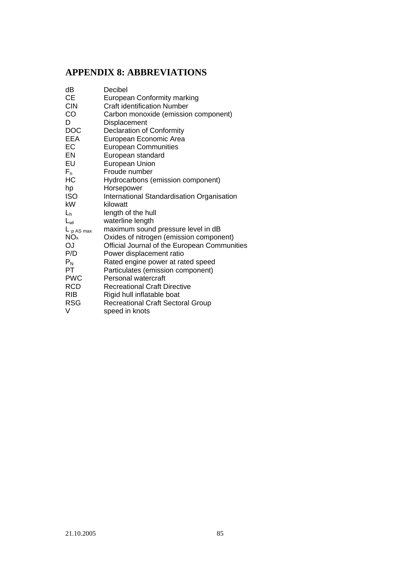# **APPENDIX 8: ABBREVIATIONS**

| dB              | Decibel                                      |
|-----------------|----------------------------------------------|
| <b>CE</b>       | <b>European Conformity marking</b>           |
| <b>CIN</b>      | <b>Craft identification Number</b>           |
| CO              | Carbon monoxide (emission component)         |
| D               | Displacement                                 |
| <b>DOC</b>      | Declaration of Conformity                    |
| <b>EEA</b>      | European Economic Area                       |
| EC              | <b>European Communities</b>                  |
| EN              | European standard                            |
| EU              | European Union                               |
| $F_n$           | Froude number                                |
| НC              | Hydrocarbons (emission component)            |
| hp              | Horsepower                                   |
| <b>ISO</b>      | International Standardisation Organisation   |
| kW              | kilowatt                                     |
| $L_h$           | length of the hull                           |
| $L_{wl}$        | waterline length                             |
| $L_{pAS max}$   | maximum sound pressure level in dB           |
| NO <sub>x</sub> | Oxides of nitrogen (emission component)      |
| <b>OJ</b>       | Official Journal of the European Communities |
| P/D             | Power displacement ratio                     |
| $P_N$           | Rated engine power at rated speed            |
| PT              | Particulates (emission component)            |
| <b>PWC</b>      | Personal watercraft                          |
| <b>RCD</b>      | <b>Recreational Craft Directive</b>          |
| <b>RIB</b>      | Rigid hull inflatable boat                   |
| <b>RSG</b>      | <b>Recreational Craft Sectoral Group</b>     |
| V               | speed in knots                               |